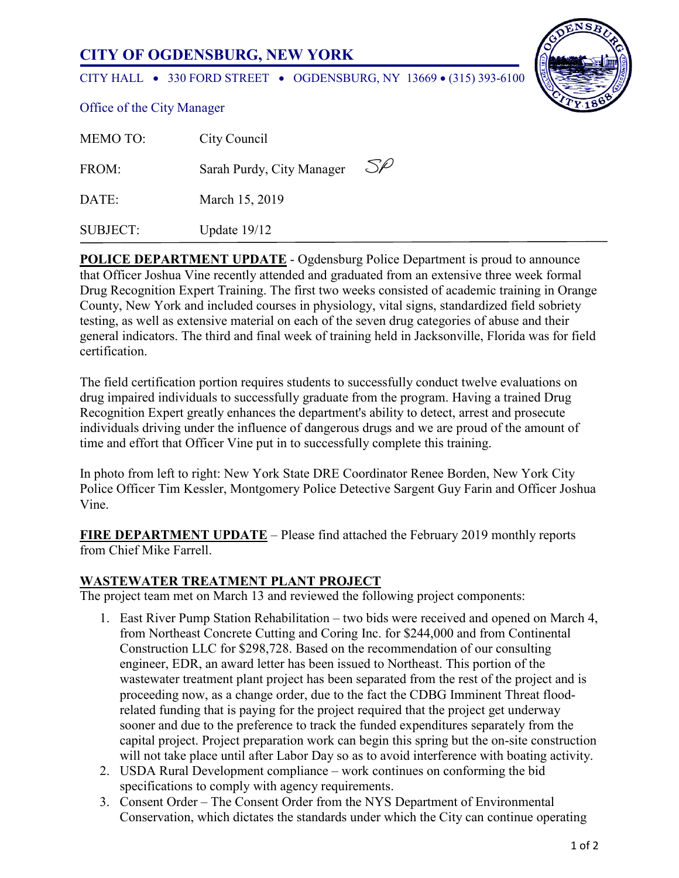# **CITY OF OGDENSBURG, NEW YORK**

CITY HALL • 330 FORD STREET • OGDENSBURG, NY 13669 • (315) 393-6100



| <b>MEMOTO:</b>  | City Council              |    |
|-----------------|---------------------------|----|
| FROM:           | Sarah Purdy, City Manager | SP |
| DATE:           | March 15, 2019            |    |
| <b>SUBJECT:</b> | Update $19/12$            |    |

**POLICE DEPARTMENT UPDATE** - Ogdensburg Police Department is proud to announce that Officer Joshua Vine recently attended and graduated from an extensive three week formal Drug Recognition Expert Training. The first two weeks consisted of academic training in Orange County, New York and included courses in physiology, vital signs, standardized field sobriety testing, as well as extensive material on each of the seven drug categories of abuse and their general indicators. The third and final week of training held in Jacksonville, Florida was for field certification.

The field certification portion requires students to successfully conduct twelve evaluations on drug impaired individuals to successfully graduate from the program. Having a trained Drug Recognition Expert greatly enhances the department's ability to detect, arrest and prosecute individuals driving under the influence of dangerous drugs and we are proud of the amount of time and effort that Officer Vine put in to successfully complete this training.

In photo from left to right: New York State DRE Coordinator Renee Borden, New York City Police Officer Tim Kessler, Montgomery Police Detective Sargent Guy Farin and Officer Joshua Vine.

**FIRE DEPARTMENT UPDATE** – Please find attached the February 2019 monthly reports from Chief Mike Farrell.

### **WASTEWATER TREATMENT PLANT PROJECT**

The project team met on March 13 and reviewed the following project components:

- 1. East River Pump Station Rehabilitation two bids were received and opened on March 4, from Northeast Concrete Cutting and Coring Inc. for \$244,000 and from Continental Construction LLC for \$298,728. Based on the recommendation of our consulting engineer, EDR, an award letter has been issued to Northeast. This portion of the wastewater treatment plant project has been separated from the rest of the project and is proceeding now, as a change order, due to the fact the CDBG Imminent Threat floodrelated funding that is paying for the project required that the project get underway sooner and due to the preference to track the funded expenditures separately from the capital project. Project preparation work can begin this spring but the on-site construction will not take place until after Labor Day so as to avoid interference with boating activity.
- 2. USDA Rural Development compliance work continues on conforming the bid specifications to comply with agency requirements.
- 3. Consent Order The Consent Order from the NYS Department of Environmental Conservation, which dictates the standards under which the City can continue operating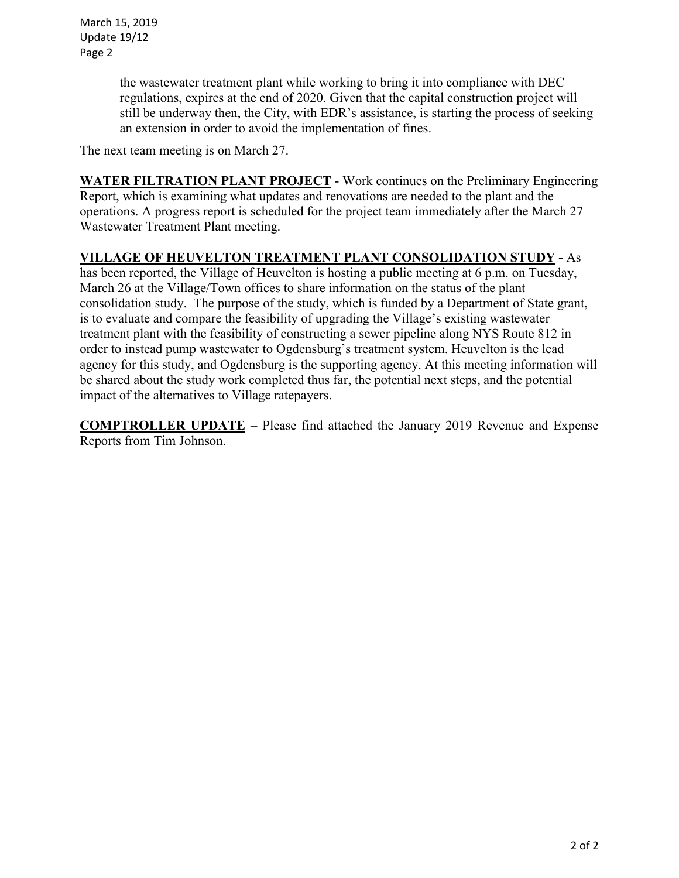March 15, 2019 Update 19/12 Page 2

> the wastewater treatment plant while working to bring it into compliance with DEC regulations, expires at the end of 2020. Given that the capital construction project will still be underway then, the City, with EDR's assistance, is starting the process of seeking an extension in order to avoid the implementation of fines.

The next team meeting is on March 27.

**WATER FILTRATION PLANT PROJECT** - Work continues on the Preliminary Engineering Report, which is examining what updates and renovations are needed to the plant and the operations. A progress report is scheduled for the project team immediately after the March 27 Wastewater Treatment Plant meeting.

### **VILLAGE OF HEUVELTON TREATMENT PLANT CONSOLIDATION STUDY -** As

has been reported, the Village of Heuvelton is hosting a public meeting at 6 p.m. on Tuesday, March 26 at the Village/Town offices to share information on the status of the plant consolidation study. The purpose of the study, which is funded by a Department of State grant, is to evaluate and compare the feasibility of upgrading the Village's existing wastewater treatment plant with the feasibility of constructing a sewer pipeline along NYS Route 812 in order to instead pump wastewater to Ogdensburg's treatment system. Heuvelton is the lead agency for this study, and Ogdensburg is the supporting agency. At this meeting information will be shared about the study work completed thus far, the potential next steps, and the potential impact of the alternatives to Village ratepayers.

**COMPTROLLER UPDATE** – Please find attached the January 2019 Revenue and Expense Reports from Tim Johnson.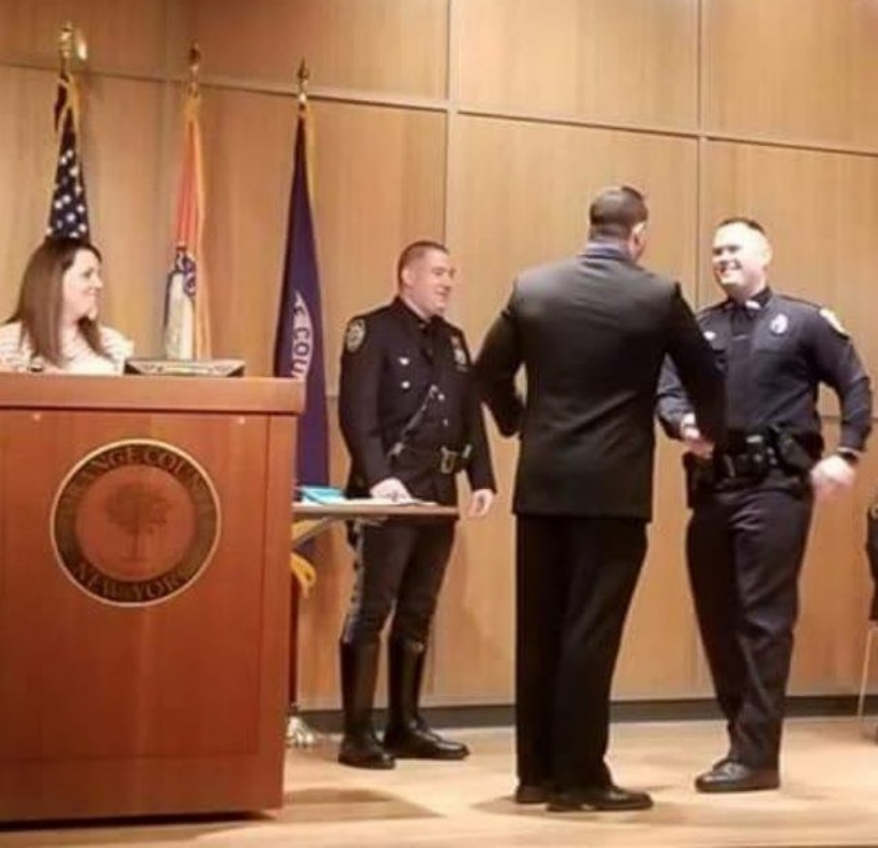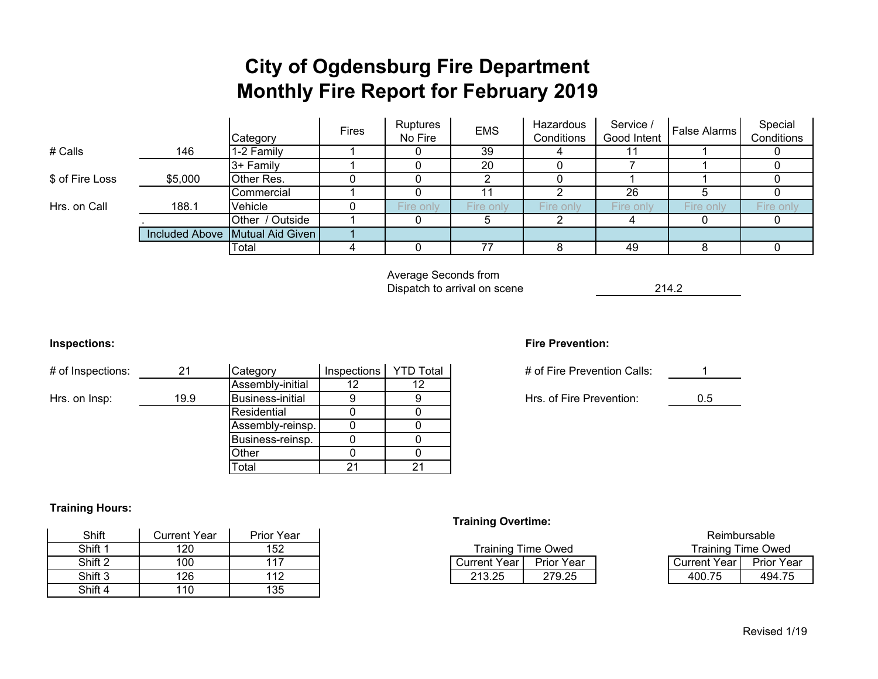# **City of Ogdensburg Fire Department Monthly Fire Report for February 2019**

|                 |         | Category                        | <b>Fires</b> | Ruptures<br>No Fire | <b>EMS</b> | Hazardous<br>Conditions | Service /<br>Good Intent | <b>False Alarms</b> | Special<br>Conditions |
|-----------------|---------|---------------------------------|--------------|---------------------|------------|-------------------------|--------------------------|---------------------|-----------------------|
| # Calls         | 146     | 1-2 Family                      |              |                     | 39         |                         |                          |                     |                       |
|                 |         | 3+ Family                       |              |                     | 20         |                         |                          |                     |                       |
| \$ of Fire Loss | \$5,000 | <b>Other Res.</b>               |              |                     |            |                         |                          |                     |                       |
|                 |         | Commercial                      |              |                     |            |                         | 26                       |                     |                       |
| Hrs. on Call    | 188.1   | Vehicle                         |              | Fire only           | Fire only  | Fire only               | Fire only                | Fire only           | Fire only             |
|                 |         | Other / Outside                 |              |                     |            |                         |                          |                     |                       |
|                 |         | Included Above Mutual Aid Given |              |                     |            |                         |                          |                     |                       |
|                 |         | Total                           |              |                     | 77         |                         | 49                       |                     |                       |

Average Seconds from Dispatch to arrival on scene 214.2

| # of Inspections: | 21   | Category                | Inspections | <b>YTD Total</b> | # of Fire Prevention Calls: |     |
|-------------------|------|-------------------------|-------------|------------------|-----------------------------|-----|
|                   |      | Assembly-initial        | 12          |                  |                             |     |
| Hrs. on Insp:     | 19.9 | <b>Business-initial</b> |             |                  | Hrs. of Fire Prevention:    | 0.5 |
|                   |      | Residential             |             |                  |                             |     |
|                   |      | Assembly-reinsp.        |             |                  |                             |     |
|                   |      | Business-reinsp.        |             |                  |                             |     |
|                   |      | Other                   |             |                  |                             |     |
|                   |      | Total                   | 21          | 21               |                             |     |

### **Inspections: Fire Prevention:**

### **Training Hours:**

| Shift   | <b>Current Year</b> | <b>Prior Year</b> |
|---------|---------------------|-------------------|
| Shift 1 | 120                 | 152               |
| Shift 2 | 100                 | 117               |
| Shift 3 | 126                 | 112               |
| Shift 4 | 110                 | 135               |

#### **Training Overtime:**

| Shift     | <b>Current Year</b> | <b>Prior Year</b>    |  |                     |                   | Reimbursable              |                   |  |
|-----------|---------------------|----------------------|--|---------------------|-------------------|---------------------------|-------------------|--|
| Shift 1   | 120                 | 152                  |  | Training Time Owed  |                   | <b>Training Time Owed</b> |                   |  |
| Shift 2   | 100                 | 117                  |  | <b>Current Year</b> | <b>Prior Year</b> | <b>Current Year</b>       | <b>Prior Year</b> |  |
| Shift 3   | 126                 | 112                  |  | 213.25              | 279.25            | 400.75                    | 494.75            |  |
| _ _ _ _ _ | .                   | $\sim$ $\sim$ $\sim$ |  |                     |                   |                           |                   |  |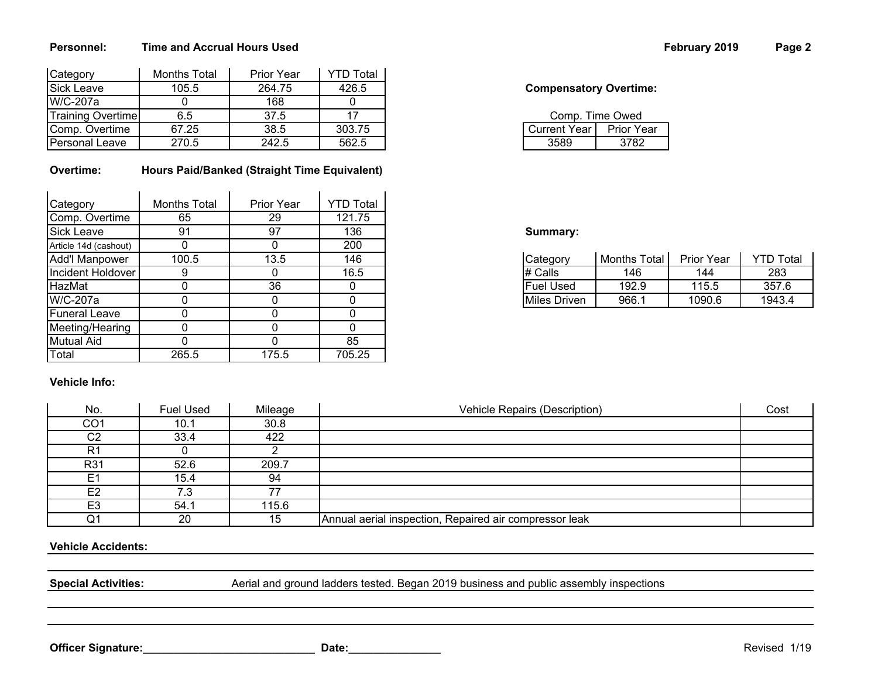### **Personnel: Time and Accrual Hours Used**

| Category                 | Months Total | Prior Year | <b>YTD Total</b> |                               |                   |
|--------------------------|--------------|------------|------------------|-------------------------------|-------------------|
| <b>Sick Leave</b>        | 105.5        | 264.75     | 426.5            | <b>Compensatory Overtime:</b> |                   |
| W/C-207a                 |              | 168        |                  |                               |                   |
| <b>Training Overtime</b> | 6.5          | 37.5       |                  |                               | Comp. Time Owed   |
| Comp. Overtime           | 67.25        | 38.5       | 303.75           | <b>Current Year</b>           | <b>Prior Year</b> |
| Personal Leave           | 270.5        | 242.5      | 562.5            | 3589                          | 3782              |

| Overtime: |  | Hours Paid/Banked (Straight Time Equivalent) |
|-----------|--|----------------------------------------------|
|-----------|--|----------------------------------------------|

| Category              | <b>Months Total</b> | <b>Prior Year</b> | <b>YTD Total</b> |
|-----------------------|---------------------|-------------------|------------------|
| Comp. Overtime        | 65                  | 29                | 121.75           |
| <b>Sick Leave</b>     | 91                  | 97                | 136              |
| Article 14d (cashout) |                     |                   | 200              |
| <b>Add'l Manpower</b> | 100.5               | 13.5              | 146              |
| Incident Holdover     | 9                   |                   | 16.5             |
| HazMat                |                     | 36                |                  |
| W/C-207a              |                     |                   |                  |
| Funeral Leave         |                     |                   |                  |
| Meeting/Hearing       |                     |                   |                  |
| <b>Mutual Aid</b>     |                     |                   | 85               |
| Total                 | 265.5               | 175.5             | 705.25           |

### **Vehicle Info:**

### **Compensatory Overtime:**

| Comp. Time Owed |                   |  |  |  |  |
|-----------------|-------------------|--|--|--|--|
| Current Year    | <b>Prior Year</b> |  |  |  |  |
| 3589            | 3782              |  |  |  |  |

| Category             | Months Total | <b>Prior Year</b> | <b>YTD Total</b> |
|----------------------|--------------|-------------------|------------------|
| $#$ Calls            | 146          | 144               | 283              |
| <b>Fuel Used</b>     | 192.9        | 115.5             | 357.6            |
| <b>IMiles Driven</b> | 966.1        | 1090.6            | 1943.4           |

| No.             | <b>Fuel Used</b> | Mileage | Vehicle Repairs (Description)                          | Cost |
|-----------------|------------------|---------|--------------------------------------------------------|------|
| CO <sub>1</sub> | 10.1             | 30.8    |                                                        |      |
| C <sub>2</sub>  | 33.4             | 422     |                                                        |      |
| R <sub>1</sub>  |                  |         |                                                        |      |
| R31             | 52.6             | 209.7   |                                                        |      |
| E1              | 15.4             | 94      |                                                        |      |
| E <sub>2</sub>  | 7.3              | 77      |                                                        |      |
| E <sub>3</sub>  | 54.1             | 115.6   |                                                        |      |
| Q1              | 20               | 15      | Annual aerial inspection, Repaired air compressor leak |      |

#### **Vehicle Accidents:**

**Special Activities:** Aerial and ground ladders tested. Began 2019 business and public assembly inspections

Officer Signature: Newselet 1/19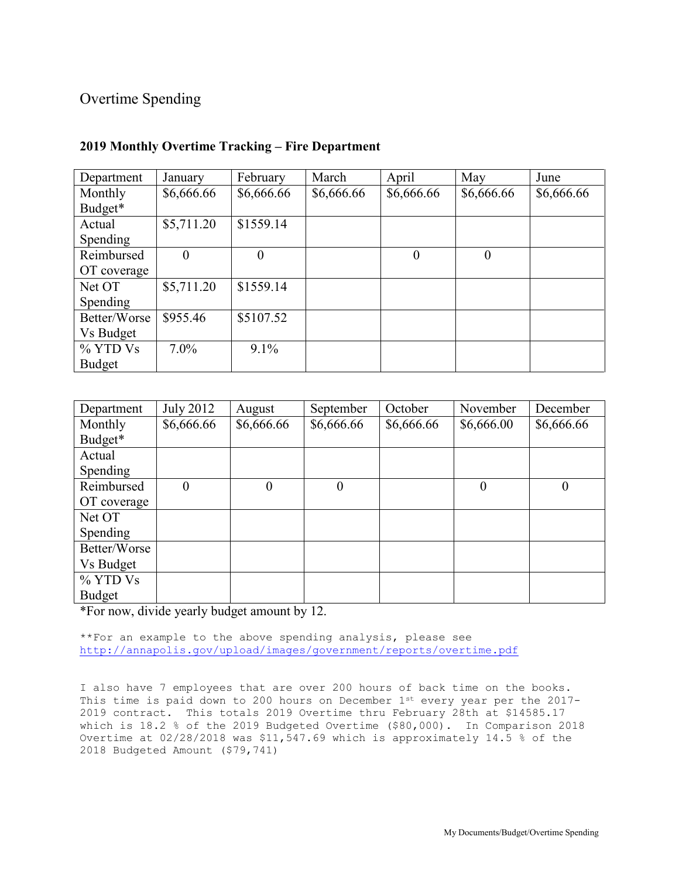# Overtime Spending

| Department      | January    | February         | March      | April            | May              | June       |
|-----------------|------------|------------------|------------|------------------|------------------|------------|
| Monthly         | \$6,666.66 | \$6,666.66       | \$6,666.66 | \$6,666.66       | \$6,666.66       | \$6,666.66 |
| Budget*         |            |                  |            |                  |                  |            |
| Actual          | \$5,711.20 | \$1559.14        |            |                  |                  |            |
| <b>Spending</b> |            |                  |            |                  |                  |            |
| Reimbursed      | $\theta$   | $\boldsymbol{0}$ |            | $\boldsymbol{0}$ | $\boldsymbol{0}$ |            |
| OT coverage     |            |                  |            |                  |                  |            |
| Net OT          | \$5,711.20 | \$1559.14        |            |                  |                  |            |
| <b>Spending</b> |            |                  |            |                  |                  |            |
| Better/Worse    | \$955.46   | \$5107.52        |            |                  |                  |            |
| Vs Budget       |            |                  |            |                  |                  |            |
| % YTD Vs        | $7.0\%$    | $9.1\%$          |            |                  |                  |            |
| <b>Budget</b>   |            |                  |            |                  |                  |            |

### **2019 Monthly Overtime Tracking – Fire Department**

| Department    | <b>July 2012</b> | August         | September  | October    | November       | December       |
|---------------|------------------|----------------|------------|------------|----------------|----------------|
| Monthly       | \$6,666.66       | \$6,666.66     | \$6,666.66 | \$6,666.66 | \$6,666.00     | \$6,666.66     |
| Budget*       |                  |                |            |            |                |                |
| Actual        |                  |                |            |            |                |                |
| Spending      |                  |                |            |            |                |                |
| Reimbursed    | $\theta$         | $\overline{0}$ | $\theta$   |            | $\overline{0}$ | $\overline{0}$ |
| OT coverage   |                  |                |            |            |                |                |
| Net OT        |                  |                |            |            |                |                |
| Spending      |                  |                |            |            |                |                |
| Better/Worse  |                  |                |            |            |                |                |
| Vs Budget     |                  |                |            |            |                |                |
| % YTD Vs      |                  |                |            |            |                |                |
| <b>Budget</b> |                  |                |            |            |                |                |

\*For now, divide yearly budget amount by 12.

\*\*For an example to the above spending analysis, please see <http://annapolis.gov/upload/images/government/reports/overtime.pdf>

I also have 7 employees that are over 200 hours of back time on the books. This time is paid down to 200 hours on December 1st every year per the 2017-2019 contract. This totals 2019 Overtime thru February 28th at \$14585.17 which is 18.2 % of the 2019 Budgeted Overtime (\$80,000). In Comparison 2018 Overtime at 02/28/2018 was \$11,547.69 which is approximately 14.5 % of the 2018 Budgeted Amount (\$79,741)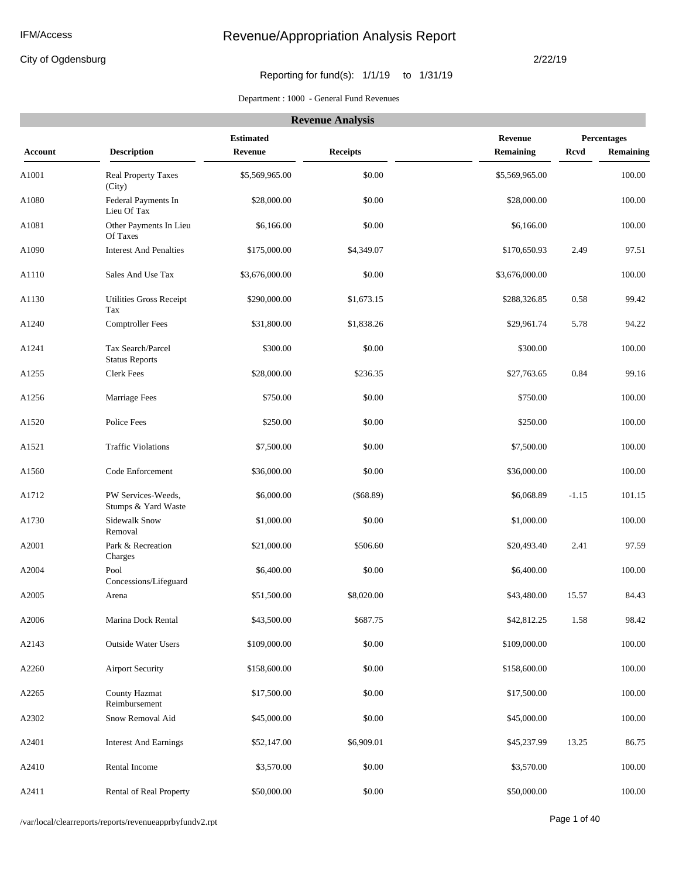City of Ogdensburg

#### 2/22/19

### Reporting for fund(s): 1/1/19 to 1/31/19

Department : 1000 **-** General Fund Revenues

|                | <b>Revenue Analysis</b>                    |                             |                 |                             |             |                                 |  |  |  |  |  |
|----------------|--------------------------------------------|-----------------------------|-----------------|-----------------------------|-------------|---------------------------------|--|--|--|--|--|
| <b>Account</b> | <b>Description</b>                         | <b>Estimated</b><br>Revenue | <b>Receipts</b> | Revenue<br><b>Remaining</b> | <b>Rcvd</b> | Percentages<br><b>Remaining</b> |  |  |  |  |  |
| A1001          | Real Property Taxes<br>(City)              | \$5,569,965.00              | \$0.00          | \$5,569,965.00              |             | 100.00                          |  |  |  |  |  |
| A1080          | Federal Payments In<br>Lieu Of Tax         | \$28,000.00                 | \$0.00          | \$28,000.00                 |             | 100.00                          |  |  |  |  |  |
| A1081          | Other Payments In Lieu<br>Of Taxes         | \$6,166.00                  | \$0.00          | \$6,166.00                  |             | 100.00                          |  |  |  |  |  |
| A1090          | <b>Interest And Penalties</b>              | \$175,000.00                | \$4,349.07      | \$170,650.93                | 2.49        | 97.51                           |  |  |  |  |  |
| A1110          | Sales And Use Tax                          | \$3,676,000.00              | \$0.00          | \$3,676,000.00              |             | 100.00                          |  |  |  |  |  |
| A1130          | Utilities Gross Receipt<br>Tax             | \$290,000.00                | \$1,673.15      | \$288,326.85                | 0.58        | 99.42                           |  |  |  |  |  |
| A1240          | <b>Comptroller Fees</b>                    | \$31,800.00                 | \$1,838.26      | \$29,961.74                 | 5.78        | 94.22                           |  |  |  |  |  |
| A1241          | Tax Search/Parcel<br><b>Status Reports</b> | \$300.00                    | \$0.00          | \$300.00                    |             | 100.00                          |  |  |  |  |  |
| A1255          | <b>Clerk Fees</b>                          | \$28,000.00                 | \$236.35        | \$27,763.65                 | 0.84        | 99.16                           |  |  |  |  |  |
| A1256          | Marriage Fees                              | \$750.00                    | \$0.00          | \$750.00                    |             | 100.00                          |  |  |  |  |  |
| A1520          | Police Fees                                | \$250.00                    | \$0.00          | \$250.00                    |             | 100.00                          |  |  |  |  |  |
| A1521          | <b>Traffic Violations</b>                  | \$7,500.00                  | \$0.00          | \$7,500.00                  |             | 100.00                          |  |  |  |  |  |
| A1560          | Code Enforcement                           | \$36,000.00                 | \$0.00          | \$36,000.00                 |             | 100.00                          |  |  |  |  |  |
| A1712          | PW Services-Weeds,<br>Stumps & Yard Waste  | \$6,000.00                  | (\$68.89)       | \$6,068.89                  | $-1.15$     | 101.15                          |  |  |  |  |  |
| A1730          | <b>Sidewalk Snow</b><br>Removal            | \$1,000.00                  | \$0.00          | \$1,000.00                  |             | 100.00                          |  |  |  |  |  |
| A2001          | Park & Recreation<br>Charges               | \$21,000.00                 | \$506.60        | \$20,493.40                 | 2.41        | 97.59                           |  |  |  |  |  |
| A2004          | Pool<br>Concessions/Lifeguard              | \$6,400.00                  | \$0.00          | \$6,400.00                  |             | 100.00                          |  |  |  |  |  |
| A2005          | Arena                                      | \$51,500.00                 | \$8,020.00      | \$43,480.00                 | 15.57       | 84.43                           |  |  |  |  |  |
| A2006          | Marina Dock Rental                         | \$43,500.00                 | \$687.75        | \$42,812.25                 | 1.58        | 98.42                           |  |  |  |  |  |
| A2143          | <b>Outside Water Users</b>                 | \$109,000.00                | \$0.00          | \$109,000.00                |             | 100.00                          |  |  |  |  |  |
| A2260          | <b>Airport Security</b>                    | \$158,600.00                | \$0.00          | \$158,600.00                |             | 100.00                          |  |  |  |  |  |
| A2265          | <b>County Hazmat</b><br>Reimbursement      | \$17,500.00                 | \$0.00          | \$17,500.00                 |             | 100.00                          |  |  |  |  |  |
| A2302          | Snow Removal Aid                           | \$45,000.00                 | \$0.00          | \$45,000.00                 |             | 100.00                          |  |  |  |  |  |
| A2401          | <b>Interest And Earnings</b>               | \$52,147.00                 | \$6,909.01      | \$45,237.99                 | 13.25       | 86.75                           |  |  |  |  |  |
| A2410          | Rental Income                              | \$3,570.00                  | \$0.00          | \$3,570.00                  |             | 100.00                          |  |  |  |  |  |
| A2411          | Rental of Real Property                    | \$50,000.00                 | \$0.00          | \$50,000.00                 |             | 100.00                          |  |  |  |  |  |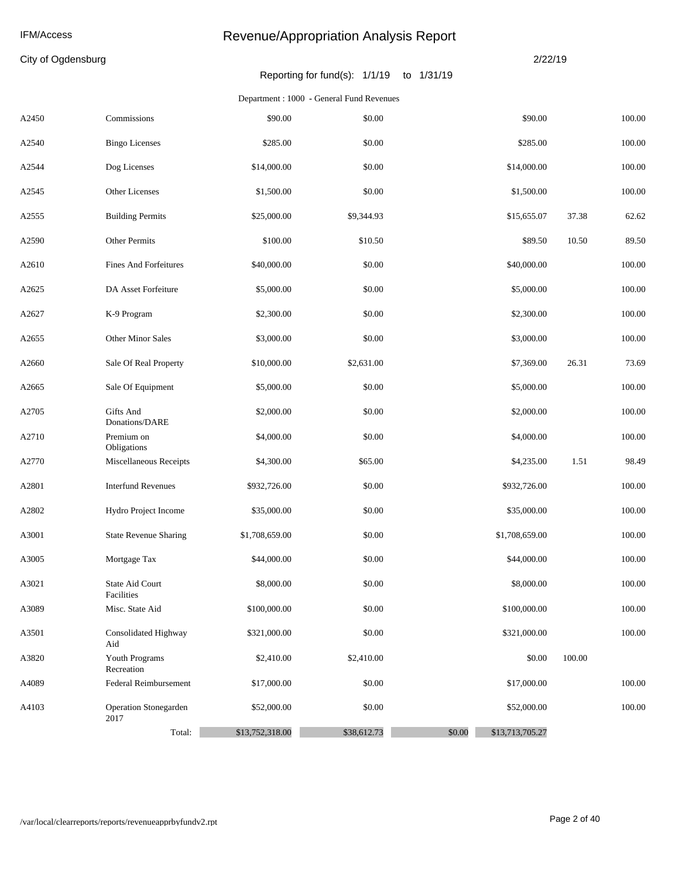### City of Ogdensburg

#### 2/22/19

### Reporting for fund(s): 1/1/19 to 1/31/19

#### Department : 1000 **-** General Fund Revenues

| A2450 | Commissions                   | \$90.00         | \$0.00      |        | \$90.00         |        | 100.00     |
|-------|-------------------------------|-----------------|-------------|--------|-----------------|--------|------------|
| A2540 | <b>Bingo Licenses</b>         | \$285.00        | \$0.00      |        | \$285.00        |        | 100.00     |
| A2544 | Dog Licenses                  | \$14,000.00     | \$0.00      |        | \$14,000.00     |        | 100.00     |
| A2545 | Other Licenses                | \$1,500.00      | \$0.00      |        | \$1,500.00      |        | 100.00     |
| A2555 | <b>Building Permits</b>       | \$25,000.00     | \$9,344.93  |        | \$15,655.07     | 37.38  | 62.62      |
| A2590 | Other Permits                 | \$100.00        | \$10.50     |        | \$89.50         | 10.50  | 89.50      |
| A2610 | <b>Fines And Forfeitures</b>  | \$40,000.00     | \$0.00      |        | \$40,000.00     |        | 100.00     |
| A2625 | DA Asset Forfeiture           | \$5,000.00      | \$0.00      |        | \$5,000.00      |        | 100.00     |
| A2627 | K-9 Program                   | \$2,300.00      | \$0.00      |        | \$2,300.00      |        | 100.00     |
| A2655 | <b>Other Minor Sales</b>      | \$3,000.00      | \$0.00      |        | \$3,000.00      |        | 100.00     |
| A2660 | Sale Of Real Property         | \$10,000.00     | \$2,631.00  |        | \$7,369.00      | 26.31  | 73.69      |
| A2665 | Sale Of Equipment             | \$5,000.00      | \$0.00      |        | \$5,000.00      |        | 100.00     |
| A2705 | Gifts And<br>Donations/DARE   | \$2,000.00      | \$0.00      |        | \$2,000.00      |        | $100.00\,$ |
| A2710 | Premium on<br>Obligations     | \$4,000.00      | \$0.00      |        | \$4,000.00      |        | 100.00     |
| A2770 | Miscellaneous Receipts        | \$4,300.00      | \$65.00     |        | \$4,235.00      | 1.51   | 98.49      |
| A2801 | <b>Interfund Revenues</b>     | \$932,726.00    | \$0.00      |        | \$932,726.00    |        | 100.00     |
| A2802 | Hydro Project Income          | \$35,000.00     | \$0.00      |        | \$35,000.00     |        | 100.00     |
| A3001 | <b>State Revenue Sharing</b>  | \$1,708,659.00  | \$0.00      |        | \$1,708,659.00  |        | 100.00     |
| A3005 | Mortgage Tax                  | \$44,000.00     | \$0.00      |        | \$44,000.00     |        | 100.00     |
| A3021 | State Aid Court<br>Facilities | \$8,000.00      | \$0.00      |        | \$8,000.00      |        | 100.00     |
| A3089 | Misc. State Aid               | \$100,000.00    | \$0.00      |        | \$100,000.00    |        | 100.00     |
| A3501 | Consolidated Highway<br>Aid   | \$321,000.00    | \$0.00      |        | \$321,000.00    |        | 100.00     |
| A3820 | Youth Programs<br>Recreation  | \$2,410.00      | \$2,410.00  |        | \$0.00          | 100.00 |            |
| A4089 | Federal Reimbursement         | \$17,000.00     | \$0.00      |        | \$17,000.00     |        | 100.00     |
| A4103 | Operation Stonegarden<br>2017 | \$52,000.00     | \$0.00      |        | \$52,000.00     |        | 100.00     |
|       | Total:                        | \$13,752,318.00 | \$38,612.73 | \$0.00 | \$13,713,705.27 |        |            |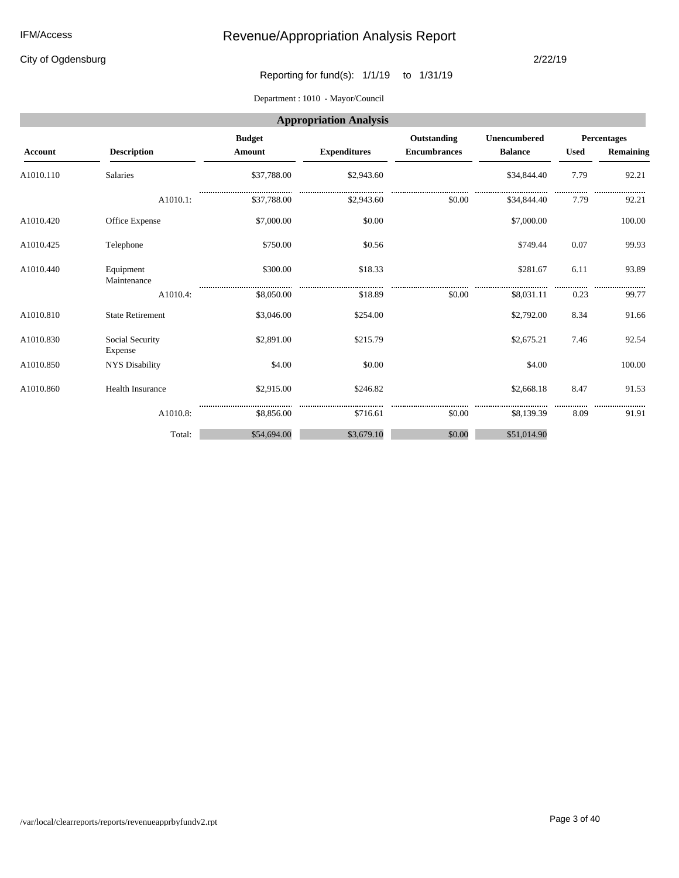City of Ogdensburg

#### 2/22/19

Reporting for fund(s): 1/1/19 to 1/31/19

Department : 1010 **-** Mayor/Council

|                |                            |               | <b>Appropriation Analysis</b> |                     |                     |             |                  |
|----------------|----------------------------|---------------|-------------------------------|---------------------|---------------------|-------------|------------------|
|                |                            | <b>Budget</b> |                               | Outstanding         | <b>Unencumbered</b> |             | Percentages      |
| <b>Account</b> | <b>Description</b>         | Amount        | <b>Expenditures</b>           | <b>Encumbrances</b> | <b>Balance</b>      | <b>Used</b> | <b>Remaining</b> |
| A1010.110      | Salaries                   | \$37,788.00   | \$2,943.60                    |                     | \$34,844.40         | 7.79        | 92.21            |
|                | A1010.1:                   | \$37,788.00   | \$2,943.60                    | \$0.00              | \$34,844.40         | 7.79        | 92.21            |
| A1010.420      | Office Expense             | \$7,000.00    | \$0.00                        |                     | \$7,000.00          |             | 100.00           |
| A1010.425      | Telephone                  | \$750.00      | \$0.56                        |                     | \$749.44            | 0.07        | 99.93            |
| A1010.440      | Equipment<br>Maintenance   | \$300.00      | \$18.33                       |                     | \$281.67            | 6.11        | 93.89<br>        |
|                | A1010.4:                   | \$8,050.00    | \$18.89                       | \$0.00              | \$8,031.11          | 0.23        | 99.77            |
| A1010.810      | <b>State Retirement</b>    | \$3,046.00    | \$254.00                      |                     | \$2,792.00          | 8.34        | 91.66            |
| A1010.830      | Social Security<br>Expense | \$2,891.00    | \$215.79                      |                     | \$2,675.21          | 7.46        | 92.54            |
| A1010.850      | <b>NYS Disability</b>      | \$4.00        | \$0.00                        |                     | \$4.00              |             | 100.00           |
| A1010.860      | <b>Health Insurance</b>    | \$2,915.00    | \$246.82                      |                     | \$2,668.18          | 8.47        | 91.53            |
|                | A1010.8:                   | \$8,856.00    | \$716.61                      | \$0.00              | \$8,139.39          | 8.09        | 91.91            |
|                | Total:                     | \$54,694.00   | \$3,679.10                    | \$0.00              | \$51,014.90         |             |                  |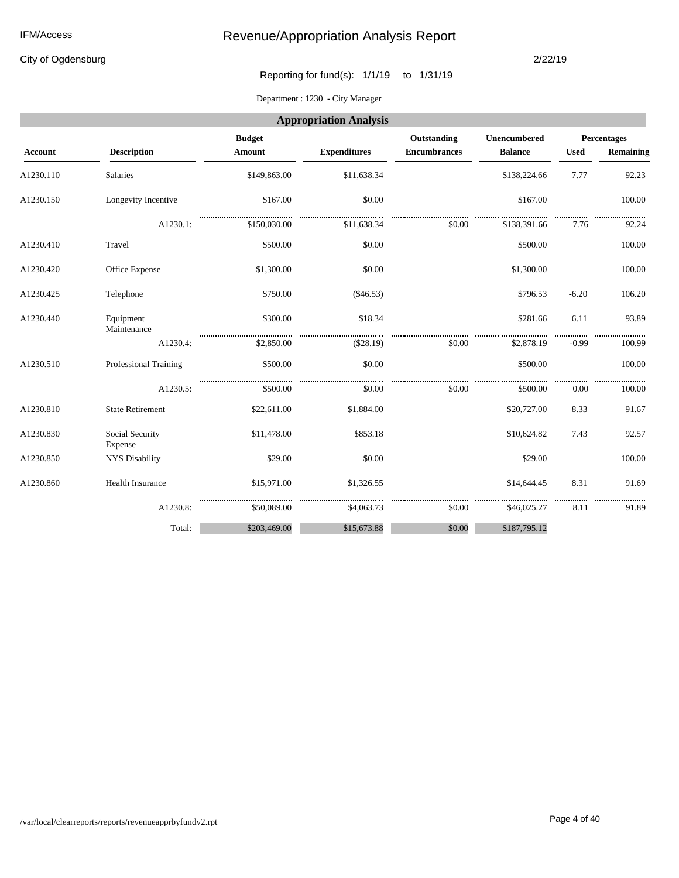City of Ogdensburg

#### 2/22/19

Reporting for fund(s): 1/1/19 to 1/31/19

Department : 1230 **-** City Manager

|           |                            |                         | <b>Appropriation Analysis</b> |                                    |                                |             |                                 |
|-----------|----------------------------|-------------------------|-------------------------------|------------------------------------|--------------------------------|-------------|---------------------------------|
| Account   | <b>Description</b>         | <b>Budget</b><br>Amount | <b>Expenditures</b>           | Outstanding<br><b>Encumbrances</b> | Unencumbered<br><b>Balance</b> | <b>Used</b> | <b>Percentages</b><br>Remaining |
| A1230.110 | <b>Salaries</b>            | \$149,863.00            | \$11,638.34                   |                                    | \$138,224.66                   | 7.77        | 92.23                           |
| A1230.150 | Longevity Incentive        | \$167.00                | \$0.00                        |                                    | \$167.00                       |             | 100.00                          |
|           | A1230.1:                   | \$150,030.00            | \$11,638.34                   | \$0.00                             | \$138,391.66                   | 7.76        | 92.24                           |
| A1230.410 | Travel                     | \$500.00                | \$0.00                        |                                    | \$500.00                       |             | 100.00                          |
| A1230.420 | Office Expense             | \$1,300.00              | \$0.00                        |                                    | \$1,300.00                     |             | 100.00                          |
| A1230.425 | Telephone                  | \$750.00                | $(\$46.53)$                   |                                    | \$796.53                       | $-6.20$     | 106.20                          |
| A1230.440 | Equipment<br>Maintenance   | \$300.00                | \$18.34                       |                                    | \$281.66                       | 6.11        | 93.89                           |
|           | A1230.4:                   | \$2.850.00              | ( \$28.19)                    | \$0.00                             | \$2,878.19                     | $-0.99$     | 100.99                          |
| A1230.510 | Professional Training      | \$500.00                | \$0.00                        |                                    | \$500.00                       |             | 100.00                          |
|           | A1230.5:                   | \$500.00                | \$0.00                        | \$0.00                             | \$500.00                       | 0.00        | 100.00                          |
| A1230.810 | <b>State Retirement</b>    | \$22,611.00             | \$1,884.00                    |                                    | \$20,727.00                    | 8.33        | 91.67                           |
| A1230.830 | Social Security<br>Expense | \$11,478.00             | \$853.18                      |                                    | \$10,624.82                    | 7.43        | 92.57                           |
| A1230.850 | <b>NYS Disability</b>      | \$29.00                 | \$0.00                        |                                    | \$29.00                        |             | 100.00                          |
| A1230.860 | <b>Health Insurance</b>    | \$15,971.00             | \$1,326.55                    |                                    | \$14,644.45                    | 8.31        | 91.69                           |
|           | A1230.8:                   | \$50,089.00             | \$4,063.73                    | \$0.00                             | \$46,025.27                    | 8.11        | 91.89                           |
|           | Total:                     | \$203,469.00            | \$15,673.88                   | \$0.00                             | \$187,795.12                   |             |                                 |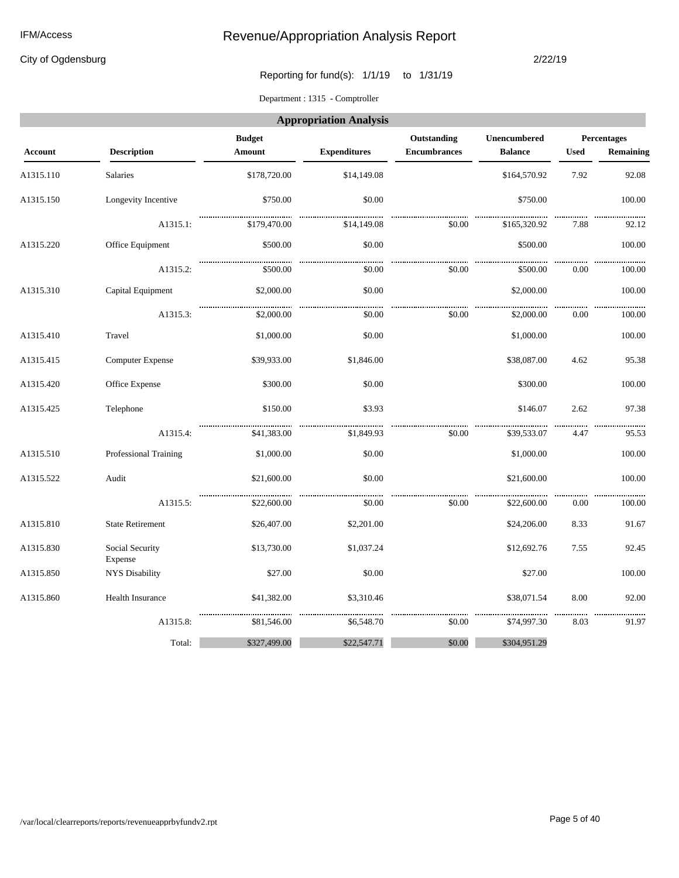#### IFM/Access

# Revenue/Appropriation Analysis Report

City of Ogdensburg

#### 2/22/19

Reporting for fund(s): 1/1/19 to 1/31/19

Department : 1315 **-** Comptroller

|                |                            |                         | <b>Appropriation Analysis</b> |                                    |                                |             |                                 |
|----------------|----------------------------|-------------------------|-------------------------------|------------------------------------|--------------------------------|-------------|---------------------------------|
| <b>Account</b> | <b>Description</b>         | <b>Budget</b><br>Amount | <b>Expenditures</b>           | Outstanding<br><b>Encumbrances</b> | Unencumbered<br><b>Balance</b> | <b>Used</b> | <b>Percentages</b><br>Remaining |
| A1315.110      | Salaries                   | \$178,720.00            | \$14,149.08                   |                                    | \$164,570.92                   | 7.92        | 92.08                           |
| A1315.150      | Longevity Incentive        | \$750.00                | \$0.00                        |                                    | \$750.00                       |             | 100.00                          |
|                | A1315.1:                   | \$179,470.00            | \$14,149.08                   | \$0.00                             | \$165,320.92                   | 7.88        | 92.12                           |
| A1315.220      | Office Equipment           | \$500.00                | \$0.00                        |                                    | \$500.00                       |             | 100.00                          |
|                | A1315.2:                   | \$500.00                | \$0.00                        | \$0.00                             | \$500.00                       | 0.00        | 100.00                          |
| A1315.310      | Capital Equipment          | \$2,000.00              | \$0.00                        |                                    | \$2,000.00                     |             | 100.00                          |
|                | A1315.3:                   | \$2,000.00              | \$0.00                        | \$0.00                             | \$2,000.00                     | 0.00        | 100.00                          |
| A1315.410      | Travel                     | \$1,000.00              | \$0.00                        |                                    | \$1,000.00                     |             | 100.00                          |
| A1315.415      | <b>Computer Expense</b>    | \$39,933.00             | \$1,846.00                    |                                    | \$38,087.00                    | 4.62        | 95.38                           |
| A1315.420      | Office Expense             | \$300.00                | \$0.00                        |                                    | \$300.00                       |             | 100.00                          |
| A1315.425      | Telephone                  | \$150.00                | \$3.93                        |                                    | \$146.07                       | 2.62        | 97.38                           |
|                | A1315.4:                   | \$41,383.00             | \$1,849.93                    | \$0.00                             | \$39,533.07                    | 4.47        | 95.53                           |
| A1315.510      | Professional Training      | \$1,000.00              | \$0.00                        |                                    | \$1,000.00                     |             | 100.00                          |
| A1315.522      | Audit                      | \$21,600.00             | \$0.00                        |                                    | \$21,600.00                    |             | 100.00                          |
|                | A1315.5:                   | \$22,600.00             | \$0.00                        | \$0.00                             | \$22,600.00                    | 0.00        | 100.00                          |
| A1315.810      | <b>State Retirement</b>    | \$26,407.00             | \$2,201.00                    |                                    | \$24,206.00                    | 8.33        | 91.67                           |
| A1315.830      | Social Security<br>Expense | \$13,730.00             | \$1,037.24                    |                                    | \$12,692.76                    | 7.55        | 92.45                           |
| A1315.850      | <b>NYS Disability</b>      | \$27.00                 | \$0.00                        |                                    | \$27.00                        |             | 100.00                          |
| A1315.860      | Health Insurance           | \$41,382.00             | \$3,310.46                    |                                    | \$38,071.54                    | 8.00        | 92.00                           |
|                | A1315.8:                   | \$81,546.00             | \$6,548.70                    | \$0.00                             | \$74,997.30                    | 8.03        | 91.97                           |
|                | Total:                     | \$327,499.00            | \$22,547.71                   | \$0.00                             | \$304,951.29                   |             |                                 |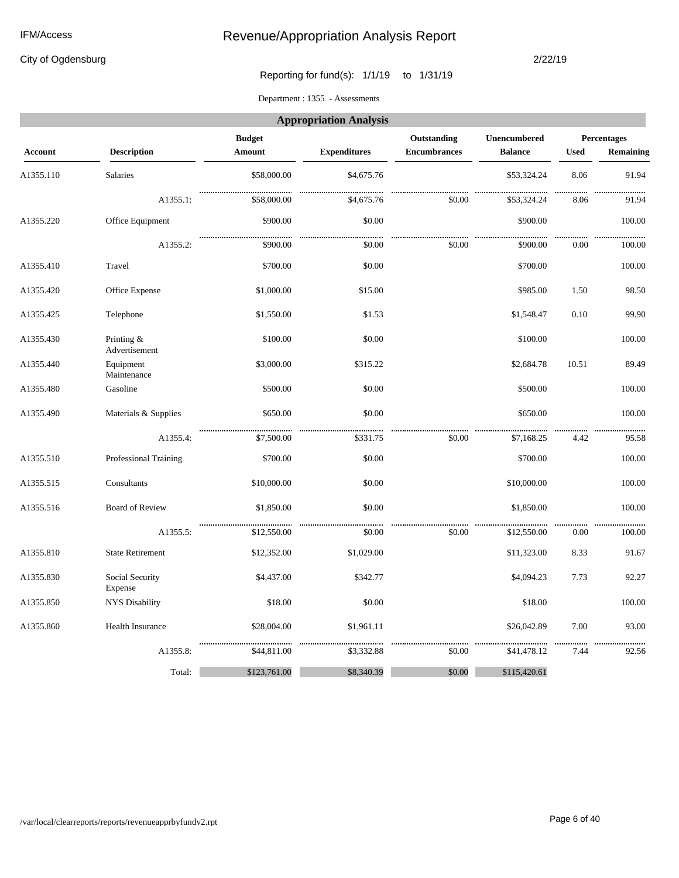City of Ogdensburg

2/22/19

Reporting for fund(s): 1/1/19 to 1/31/19

Department : 1355 **-** Assessments

|                |                             |                         | <b>Appropriation Analysis</b> |                                    |                                |             |                                 |
|----------------|-----------------------------|-------------------------|-------------------------------|------------------------------------|--------------------------------|-------------|---------------------------------|
| <b>Account</b> | <b>Description</b>          | <b>Budget</b><br>Amount | <b>Expenditures</b>           | Outstanding<br><b>Encumbrances</b> | Unencumbered<br><b>Balance</b> | <b>Used</b> | <b>Percentages</b><br>Remaining |
| A1355.110      | <b>Salaries</b>             | \$58,000.00             | \$4,675.76                    |                                    | \$53,324.24                    | 8.06        | 91.94                           |
|                | A1355.1:                    | \$58,000.00             | \$4,675.76                    | \$0.00                             | \$53,324.24                    | 8.06        | 91.94                           |
| A1355.220      | Office Equipment            | \$900.00                | \$0.00                        |                                    | \$900.00                       |             | 100.00                          |
|                | A1355.2:                    | \$900.00                | \$0.00                        | \$0.00                             | \$900.00                       | 0.00        | 100.00                          |
| A1355.410      | Travel                      | \$700.00                | \$0.00                        |                                    | \$700.00                       |             | 100.00                          |
| A1355.420      | Office Expense              | \$1,000.00              | \$15.00                       |                                    | \$985.00                       | 1.50        | 98.50                           |
| A1355.425      | Telephone                   | \$1,550.00              | \$1.53                        |                                    | \$1,548.47                     | 0.10        | 99.90                           |
| A1355.430      | Printing &<br>Advertisement | \$100.00                | \$0.00                        |                                    | \$100.00                       |             | 100.00                          |
| A1355.440      | Equipment<br>Maintenance    | \$3,000.00              | \$315.22                      |                                    | \$2,684.78                     | 10.51       | 89.49                           |
| A1355.480      | Gasoline                    | \$500.00                | \$0.00                        |                                    | \$500.00                       |             | 100.00                          |
| A1355.490      | Materials & Supplies        | \$650.00                | \$0.00                        |                                    | \$650.00                       |             | 100.00                          |
|                | A1355.4:                    | \$7,500.00              | \$331.75                      | \$0.00                             | \$7,168.25                     | 4.42        | 95.58                           |
| A1355.510      | Professional Training       | \$700.00                | \$0.00                        |                                    | \$700.00                       |             | 100.00                          |
| A1355.515      | Consultants                 | \$10,000.00             | \$0.00                        |                                    | \$10,000.00                    |             | 100.00                          |
| A1355.516      | <b>Board of Review</b>      | \$1,850.00              | \$0.00                        |                                    | \$1,850.00                     |             | 100.00                          |
|                | A1355.5:                    | \$12,550.00             | \$0.00                        | \$0.00                             | \$12,550.00                    | 0.00        | 100.00                          |
| A1355.810      | <b>State Retirement</b>     | \$12,352.00             | \$1,029.00                    |                                    | \$11,323.00                    | 8.33        | 91.67                           |
| A1355.830      | Social Security<br>Expense  | \$4,437.00              | \$342.77                      |                                    | \$4,094.23                     | 7.73        | 92.27                           |
| A1355.850      | <b>NYS Disability</b>       | \$18.00                 | \$0.00                        |                                    | \$18.00                        |             | 100.00                          |
| A1355.860      | <b>Health Insurance</b>     | \$28,004.00             | \$1,961.11                    |                                    | \$26,042.89                    | 7.00        | 93.00                           |
|                | A1355.8:                    | \$44,811.00             | \$3,332.88                    | \$0.00                             | \$41,478.12                    | 7.44        | 92.56                           |
|                | Total:                      | \$123,761.00            | \$8,340.39                    | \$0.00                             | \$115,420.61                   |             |                                 |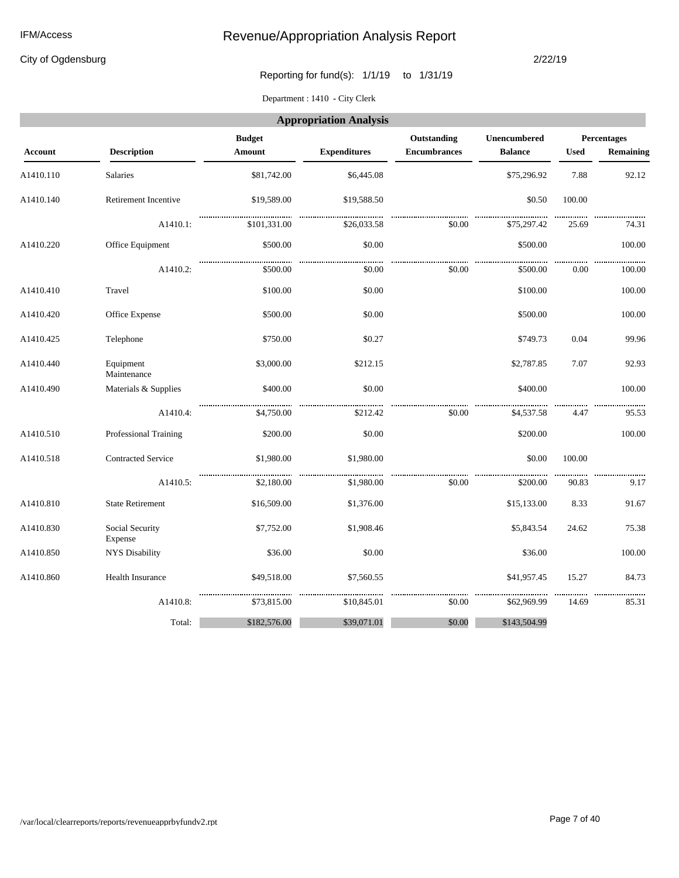City of Ogdensburg

#### 2/22/19

Reporting for fund(s): 1/1/19 to 1/31/19

Department : 1410 **-** City Clerk

|           |                            |                         | <b>Appropriation Analysis</b> |                                    |                                |             |                                 |
|-----------|----------------------------|-------------------------|-------------------------------|------------------------------------|--------------------------------|-------------|---------------------------------|
| Account   | <b>Description</b>         | <b>Budget</b><br>Amount | <b>Expenditures</b>           | Outstanding<br><b>Encumbrances</b> | Unencumbered<br><b>Balance</b> | <b>Used</b> | <b>Percentages</b><br>Remaining |
|           |                            |                         |                               |                                    |                                |             |                                 |
| A1410.110 | <b>Salaries</b>            | \$81,742.00             | \$6,445.08                    |                                    | \$75,296.92                    | 7.88        | 92.12                           |
| A1410.140 | Retirement Incentive       | \$19,589.00             | \$19,588.50                   |                                    | \$0.50                         | 100.00      |                                 |
|           | A1410.1:                   | \$101,331.00            | \$26,033.58                   | \$0.00                             | \$75,297.42                    | 25.69       | 74.31                           |
| A1410.220 | Office Equipment           | \$500.00                | \$0.00                        |                                    | \$500.00                       |             | 100.00                          |
|           | A1410.2:                   | \$500.00                | \$0.00                        | \$0.00                             | \$500.00                       | 0.00        | 100.00                          |
| A1410.410 | Travel                     | \$100.00                | \$0.00                        |                                    | \$100.00                       |             | 100.00                          |
| A1410.420 | Office Expense             | \$500.00                | \$0.00                        |                                    | \$500.00                       |             | 100.00                          |
| A1410.425 | Telephone                  | \$750.00                | \$0.27                        |                                    | \$749.73                       | 0.04        | 99.96                           |
| A1410.440 | Equipment<br>Maintenance   | \$3,000.00              | \$212.15                      |                                    | \$2,787.85                     | 7.07        | 92.93                           |
| A1410.490 | Materials & Supplies       | \$400.00                | \$0.00                        |                                    | \$400.00                       |             | 100.00                          |
|           | A1410.4:                   | \$4,750.00              | \$212.42                      | \$0.00                             | \$4,537.58                     | 4.47        | 95.53                           |
| A1410.510 | Professional Training      | \$200.00                | \$0.00                        |                                    | \$200.00                       |             | 100.00                          |
| A1410.518 | <b>Contracted Service</b>  | \$1,980.00              | \$1,980.00                    |                                    | \$0.00                         | 100.00      |                                 |
|           | A1410.5:                   | \$2,180.00              | \$1,980.00                    | \$0.00                             | \$200.00                       | 90.83       | 9.17                            |
| A1410.810 | <b>State Retirement</b>    | \$16,509.00             | \$1,376.00                    |                                    | \$15,133.00                    | 8.33        | 91.67                           |
| A1410.830 | Social Security<br>Expense | \$7,752.00              | \$1,908.46                    |                                    | \$5,843.54                     | 24.62       | 75.38                           |
| A1410.850 | <b>NYS Disability</b>      | \$36.00                 | \$0.00                        |                                    | \$36.00                        |             | 100.00                          |
| A1410.860 | <b>Health Insurance</b>    | \$49,518.00             | \$7,560.55                    |                                    | \$41,957.45                    | 15.27       | 84.73                           |
|           | A1410.8:                   | \$73,815.00             | \$10,845.01                   | \$0.00                             | \$62,969.99                    | 14.69       | 85.31                           |
|           | Total:                     | \$182,576.00            | \$39,071.01                   | \$0.00                             | \$143,504.99                   |             |                                 |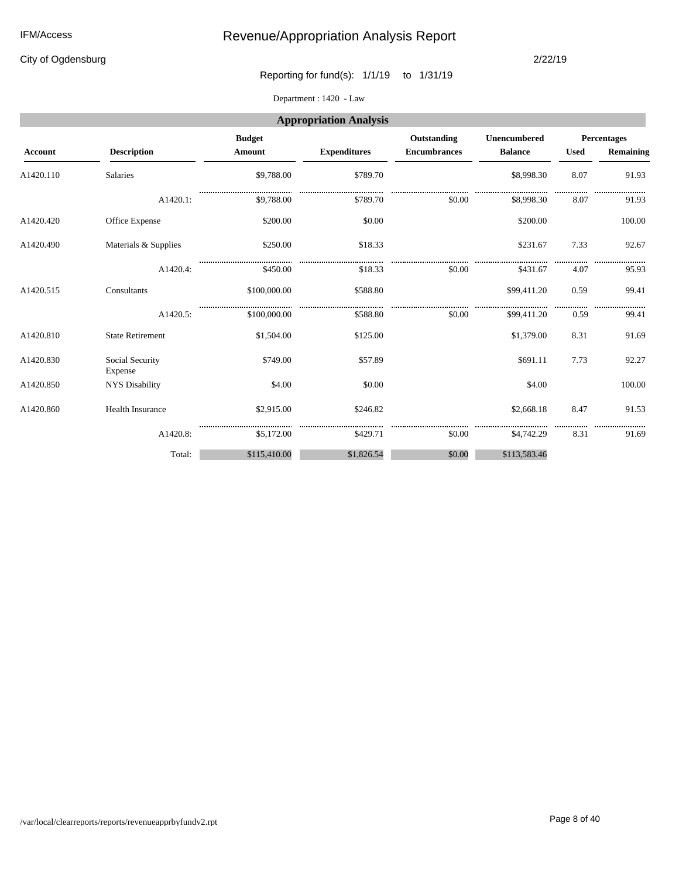City of Ogdensburg

#### 2/22/19

### Reporting for fund(s): 1/1/19 to 1/31/19

Department : 1420 **-** Law

|                |                            |               | <b>Appropriation Analysis</b> |                     |                |             |             |
|----------------|----------------------------|---------------|-------------------------------|---------------------|----------------|-------------|-------------|
|                |                            | <b>Budget</b> |                               | Outstanding         | Unencumbered   |             | Percentages |
| <b>Account</b> | <b>Description</b>         | Amount        | <b>Expenditures</b>           | <b>Encumbrances</b> | <b>Balance</b> | <b>Used</b> | Remaining   |
| A1420.110      | <b>Salaries</b>            | \$9,788.00    | \$789.70                      |                     | \$8,998.30     | 8.07        | 91.93       |
|                | A1420.1:                   | \$9,788.00    | \$789.70                      | \$0.00              | \$8,998.30     | 8.07        | 91.93       |
| A1420.420      | Office Expense             | \$200.00      | \$0.00                        |                     | \$200.00       |             | 100.00      |
| A1420.490      | Materials & Supplies       | \$250.00      | \$18.33                       |                     | \$231.67       | 7.33        | 92.67       |
|                | A1420.4:                   | \$450.00      | \$18.33                       | \$0.00              | \$431.67       | 4.07        | 95.93       |
| A1420.515      | Consultants                | \$100,000.00  | \$588.80                      |                     | \$99,411.20    | 0.59        | 99.41       |
|                | A1420.5:                   | \$100,000.00  | \$588.80                      | \$0.00              | \$99,411.20    | 0.59        | .<br>99.41  |
| A1420.810      | <b>State Retirement</b>    | \$1,504.00    | \$125.00                      |                     | \$1,379.00     | 8.31        | 91.69       |
| A1420.830      | Social Security<br>Expense | \$749.00      | \$57.89                       |                     | \$691.11       | 7.73        | 92.27       |
| A1420.850      | <b>NYS Disability</b>      | \$4.00        | \$0.00                        |                     | \$4.00         |             | 100.00      |
| A1420.860      | Health Insurance           | \$2,915.00    | \$246.82                      |                     | \$2,668.18     | 8.47        | 91.53       |
|                | A1420.8:                   | \$5,172.00    | \$429.71                      | \$0.00              | \$4,742.29     | 8.31        | 91.69       |
|                | Total:                     | \$115,410.00  | \$1,826.54                    | \$0.00              | \$113,583.46   |             |             |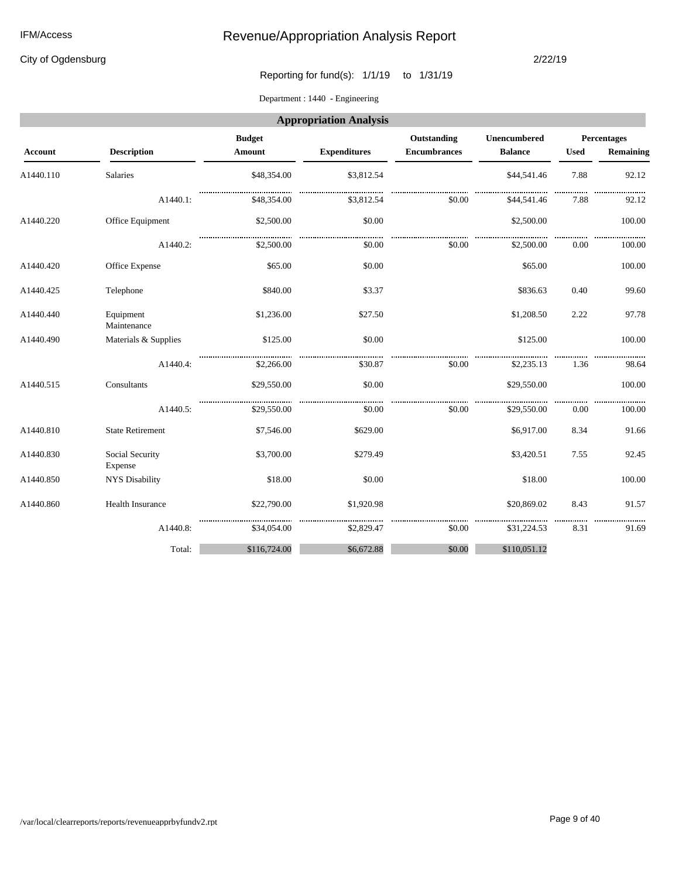City of Ogdensburg

#### 2/22/19

Reporting for fund(s): 1/1/19 to 1/31/19

Department : 1440 **-** Engineering

|           |                            |               | <b>Appropriation Analysis</b> |                                    |                                |             |                          |
|-----------|----------------------------|---------------|-------------------------------|------------------------------------|--------------------------------|-------------|--------------------------|
|           | <b>Description</b>         | <b>Budget</b> | <b>Expenditures</b>           | Outstanding<br><b>Encumbrances</b> | Unencumbered<br><b>Balance</b> | <b>Used</b> | Percentages<br>Remaining |
| Account   |                            | Amount        |                               |                                    |                                |             |                          |
| A1440.110 | Salaries                   | \$48,354.00   | \$3,812.54                    |                                    | \$44,541.46                    | 7.88        | 92.12                    |
|           | A1440.1:                   | \$48,354.00   | \$3,812.54                    | \$0.00                             | \$44,541.46                    | 7.88        | 92.12                    |
| A1440.220 | Office Equipment           | \$2,500.00    | \$0.00                        |                                    | \$2,500.00                     |             | 100.00                   |
|           | A1440.2:                   | \$2,500.00    | \$0.00                        | \$0.00                             | \$2,500.00                     | 0.00        | 100.00                   |
| A1440.420 | Office Expense             | \$65.00       | \$0.00                        |                                    | \$65.00                        |             | 100.00                   |
| A1440.425 | Telephone                  | \$840.00      | \$3.37                        |                                    | \$836.63                       | 0.40        | 99.60                    |
| A1440.440 | Equipment<br>Maintenance   | \$1,236.00    | \$27.50                       |                                    | \$1,208.50                     | 2.22        | 97.78                    |
| A1440.490 | Materials & Supplies       | \$125.00      | \$0.00                        |                                    | \$125.00                       |             | 100.00                   |
|           | A1440.4:                   | \$2,266.00    | \$30.87                       | \$0.00                             | \$2,235.13                     | 1.36        | 98.64                    |
| A1440.515 | Consultants                | \$29,550.00   | \$0.00                        |                                    | \$29,550.00                    |             | 100.00                   |
|           | A1440.5:                   | \$29,550.00   | \$0.00                        | \$0.00                             | \$29,550.00                    | 0.00        | 100.00                   |
| A1440.810 | <b>State Retirement</b>    | \$7,546.00    | \$629.00                      |                                    | \$6,917.00                     | 8.34        | 91.66                    |
| A1440.830 | Social Security<br>Expense | \$3,700.00    | \$279.49                      |                                    | \$3,420.51                     | 7.55        | 92.45                    |
| A1440.850 | <b>NYS Disability</b>      | \$18.00       | \$0.00                        |                                    | \$18.00                        |             | 100.00                   |
| A1440.860 | Health Insurance           | \$22,790.00   | \$1,920.98                    |                                    | \$20,869.02                    | 8.43        | 91.57                    |
|           | A1440.8:                   | \$34,054.00   | \$2,829.47                    | \$0.00                             | \$31,224.53                    | 8.31        | 91.69                    |
|           | Total:                     | \$116,724.00  | \$6,672.88                    | \$0.00                             | \$110,051.12                   |             |                          |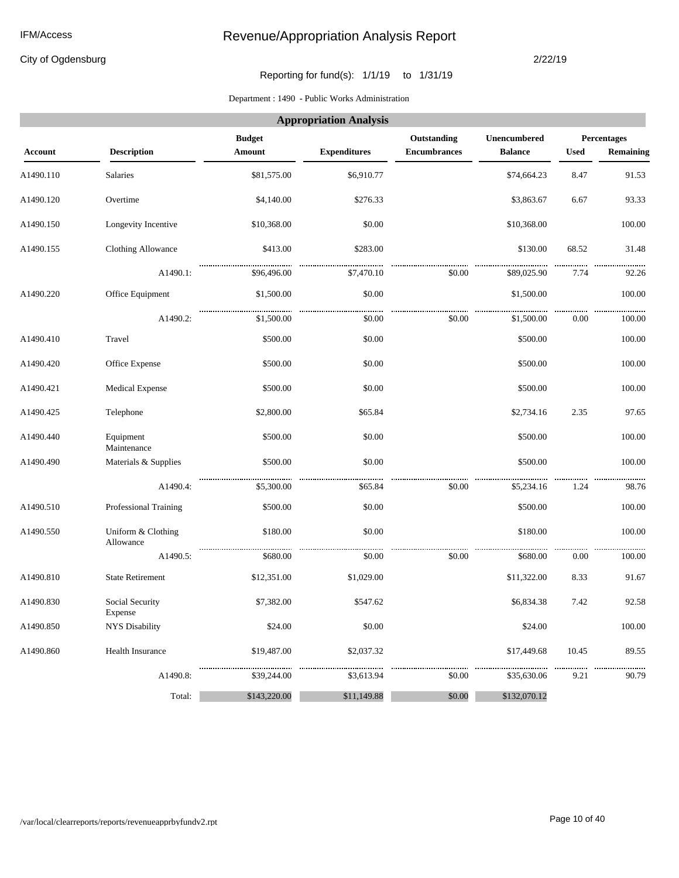City of Ogdensburg

#### 2/22/19

### Reporting for fund(s): 1/1/19 to 1/31/19

#### Department : 1490 **-** Public Works Administration

|                |                                 |                                | <b>Appropriation Analysis</b> |                                    |                                |             |                          |
|----------------|---------------------------------|--------------------------------|-------------------------------|------------------------------------|--------------------------------|-------------|--------------------------|
| <b>Account</b> | <b>Description</b>              | <b>Budget</b><br><b>Amount</b> | <b>Expenditures</b>           | Outstanding<br><b>Encumbrances</b> | Unencumbered<br><b>Balance</b> | <b>Used</b> | Percentages<br>Remaining |
|                |                                 |                                |                               |                                    |                                |             |                          |
| A1490.110      | Salaries                        | \$81,575.00                    | \$6,910.77                    |                                    | \$74,664.23                    | 8.47        | 91.53                    |
| A1490.120      | Overtime                        | \$4,140.00                     | \$276.33                      |                                    | \$3,863.67                     | 6.67        | 93.33                    |
| A1490.150      | Longevity Incentive             | \$10,368.00                    | \$0.00                        |                                    | \$10,368.00                    |             | 100.00                   |
| A1490.155      | Clothing Allowance              | \$413.00                       | \$283.00                      |                                    | \$130.00                       | 68.52       | 31.48                    |
|                | A1490.1:                        | \$96,496.00                    | \$7,470.10                    | \$0.00                             | \$89,025.90                    | 7.74        | 92.26                    |
| A1490.220      | Office Equipment                | \$1,500.00                     | \$0.00                        |                                    | \$1,500.00                     |             | 100.00                   |
|                | A1490.2:                        | \$1,500.00                     | \$0.00                        | \$0.00                             | \$1,500.00                     | 0.00        | .<br>100.00              |
| A1490.410      | Travel                          | \$500.00                       | \$0.00                        |                                    | \$500.00                       |             | 100.00                   |
| A1490.420      | Office Expense                  | \$500.00                       | \$0.00                        |                                    | \$500.00                       |             | 100.00                   |
| A1490.421      | <b>Medical Expense</b>          | \$500.00                       | \$0.00                        |                                    | \$500.00                       |             | 100.00                   |
| A1490.425      | Telephone                       | \$2,800.00                     | \$65.84                       |                                    | \$2,734.16                     | 2.35        | 97.65                    |
| A1490.440      | Equipment<br>Maintenance        | \$500.00                       | \$0.00                        |                                    | \$500.00                       |             | 100.00                   |
| A1490.490      | Materials & Supplies            | \$500.00                       | \$0.00                        |                                    | \$500.00                       |             | 100.00                   |
|                | A1490.4:                        | \$5,300.00                     | \$65.84                       | \$0.00                             | \$5,234.16                     | 1.24        | 98.76                    |
| A1490.510      | Professional Training           | \$500.00                       | \$0.00                        |                                    | \$500.00                       |             | 100.00                   |
| A1490.550      | Uniform & Clothing<br>Allowance | \$180.00                       | \$0.00                        |                                    | \$180.00                       |             | 100.00                   |
|                | A1490.5:                        | \$680.00                       | \$0.00                        | \$0.00                             | \$680.00                       | 0.00        | 100.00                   |
| A1490.810      | <b>State Retirement</b>         | \$12,351.00                    | \$1,029.00                    |                                    | \$11,322.00                    | 8.33        | 91.67                    |
| A1490.830      | Social Security<br>Expense      | \$7,382.00                     | \$547.62                      |                                    | \$6,834.38                     | 7.42        | 92.58                    |
| A1490.850      | NYS Disability                  | \$24.00                        | \$0.00                        |                                    | \$24.00                        |             | 100.00                   |
| A1490.860      | Health Insurance                | \$19,487.00                    | \$2,037.32                    |                                    | \$17,449.68                    | 10.45       | 89.55                    |
|                | A1490.8:                        | \$39,244.00                    | \$3,613.94                    | \$0.00                             | \$35,630.06                    | 9.21        | 90.79                    |
|                | Total:                          | \$143,220.00                   | \$11,149.88                   | \$0.00                             | \$132,070.12                   |             |                          |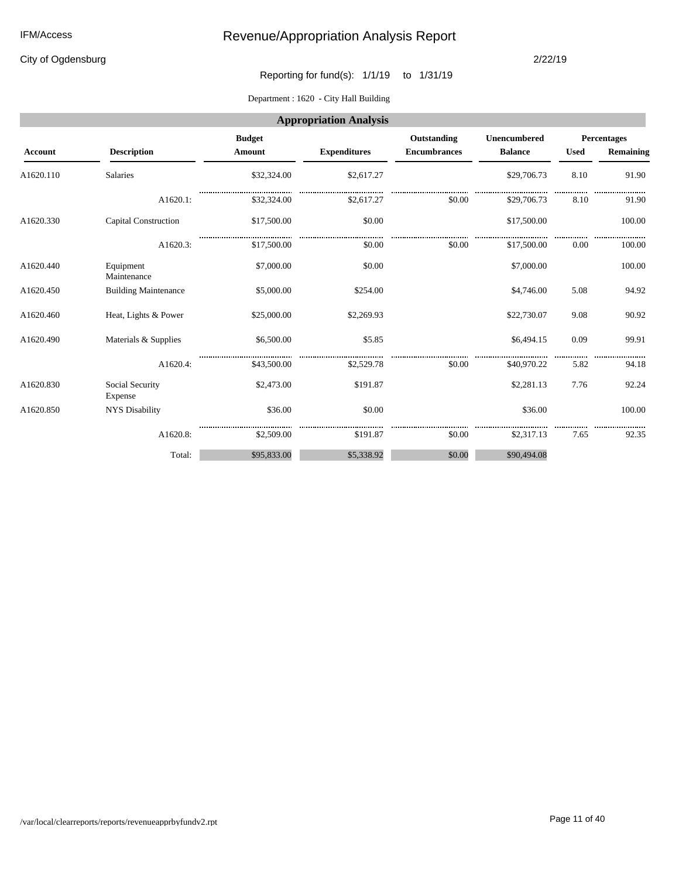City of Ogdensburg

#### 2/22/19

### Reporting for fund(s): 1/1/19 to 1/31/19

Department : 1620 **-** City Hall Building

|                | <b>Appropriation Analysis</b> |               |                     |                     |                |             |             |  |  |  |  |  |
|----------------|-------------------------------|---------------|---------------------|---------------------|----------------|-------------|-------------|--|--|--|--|--|
|                |                               | <b>Budget</b> |                     | Outstanding         | Unencumbered   |             | Percentages |  |  |  |  |  |
| <b>Account</b> | <b>Description</b>            | Amount        | <b>Expenditures</b> | <b>Encumbrances</b> | <b>Balance</b> | <b>Used</b> | Remaining   |  |  |  |  |  |
| A1620.110      | Salaries                      | \$32,324.00   | \$2,617.27          |                     | \$29,706.73    | 8.10        | 91.90       |  |  |  |  |  |
|                | A1620.1:                      | \$32,324.00   | \$2,617.27          | \$0.00              | \$29,706.73    | 8.10        | 91.90       |  |  |  |  |  |
| A1620.330      | <b>Capital Construction</b>   | \$17,500.00   | \$0.00              |                     | \$17,500.00    |             | 100.00      |  |  |  |  |  |
|                | A1620.3:                      | \$17,500.00   | \$0.00              | \$0.00              | \$17,500.00    | 0.00        | 100.00      |  |  |  |  |  |
| A1620.440      | Equipment<br>Maintenance      | \$7,000.00    | \$0.00              |                     | \$7,000.00     |             | 100.00      |  |  |  |  |  |
| A1620.450      | <b>Building Maintenance</b>   | \$5,000.00    | \$254.00            |                     | \$4,746.00     | 5.08        | 94.92       |  |  |  |  |  |
| A1620.460      | Heat, Lights & Power          | \$25,000.00   | \$2,269.93          |                     | \$22,730.07    | 9.08        | 90.92       |  |  |  |  |  |
| A1620.490      | Materials & Supplies          | \$6,500.00    | \$5.85              |                     | \$6,494.15     | 0.09        | 99.91       |  |  |  |  |  |
|                | A1620.4:                      | \$43,500.00   | \$2,529.78          | \$0.00              | \$40,970.22    | 5.82        | 94.18       |  |  |  |  |  |
| A1620.830      | Social Security<br>Expense    | \$2,473.00    | \$191.87            |                     | \$2,281.13     | 7.76        | 92.24       |  |  |  |  |  |
| A1620.850      | <b>NYS Disability</b>         | \$36.00       | \$0.00              |                     | \$36.00        |             | 100.00      |  |  |  |  |  |
|                | A1620.8:                      | \$2,509.00    | \$191.87            | \$0.00              | \$2,317.13     | 7.65        | 92.35       |  |  |  |  |  |
|                | Total:                        | \$95,833.00   | \$5,338.92          | \$0.00              | \$90,494.08    |             |             |  |  |  |  |  |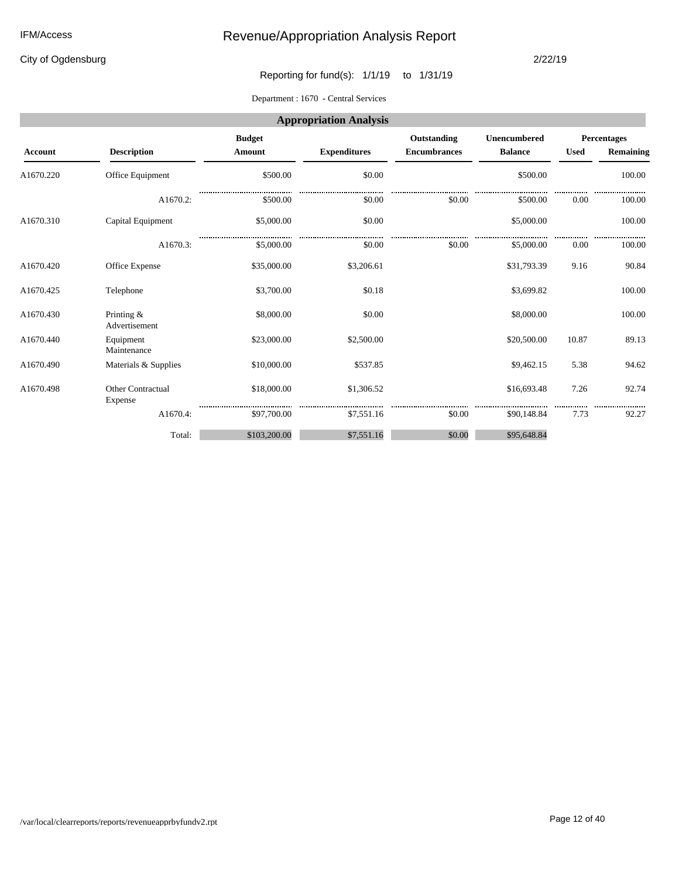City of Ogdensburg

#### 2/22/19

Reporting for fund(s): 1/1/19 to 1/31/19

Department : 1670 **-** Central Services

|           | <b>Appropriation Analysis</b>                                      |              |                     |                     |                |             |           |  |  |  |  |  |
|-----------|--------------------------------------------------------------------|--------------|---------------------|---------------------|----------------|-------------|-----------|--|--|--|--|--|
|           | <b>Budget</b><br>Outstanding<br>Unencumbered<br><b>Percentages</b> |              |                     |                     |                |             |           |  |  |  |  |  |
| Account   | <b>Description</b>                                                 | Amount       | <b>Expenditures</b> | <b>Encumbrances</b> | <b>Balance</b> | <b>Used</b> | Remaining |  |  |  |  |  |
| A1670.220 | Office Equipment                                                   | \$500.00     | \$0.00              |                     | \$500.00       |             | 100.00    |  |  |  |  |  |
|           | A1670.2:                                                           | \$500.00     | \$0.00              | \$0.00              | \$500.00       | 0.00        | 100.00    |  |  |  |  |  |
| A1670.310 | Capital Equipment                                                  | \$5,000.00   | \$0.00              |                     | \$5,000.00     |             | 100.00    |  |  |  |  |  |
|           | A1670.3:                                                           | \$5,000.00   | \$0.00              | \$0.00              | \$5,000.00     | 0.00        | 100.00    |  |  |  |  |  |
| A1670.420 | Office Expense                                                     | \$35,000.00  | \$3,206.61          |                     | \$31,793.39    | 9.16        | 90.84     |  |  |  |  |  |
| A1670.425 | Telephone                                                          | \$3,700.00   | \$0.18              |                     | \$3,699.82     |             | 100.00    |  |  |  |  |  |
| A1670.430 | Printing $&$<br>Advertisement                                      | \$8,000.00   | \$0.00              |                     | \$8,000.00     |             | 100.00    |  |  |  |  |  |
| A1670.440 | Equipment<br>Maintenance                                           | \$23,000.00  | \$2,500.00          |                     | \$20,500.00    | 10.87       | 89.13     |  |  |  |  |  |
| A1670.490 | Materials & Supplies                                               | \$10,000.00  | \$537.85            |                     | \$9,462.15     | 5.38        | 94.62     |  |  |  |  |  |
| A1670.498 | <b>Other Contractual</b><br>Expense                                | \$18,000.00  | \$1,306.52          |                     | \$16,693.48    | 7.26        | 92.74     |  |  |  |  |  |
|           | A1670.4:                                                           | \$97,700.00  | \$7,551.16          | \$0.00              | \$90,148.84    | 7.73        | <br>92.27 |  |  |  |  |  |
|           | Total:                                                             | \$103,200.00 | \$7,551.16          | \$0.00              | \$95,648.84    |             |           |  |  |  |  |  |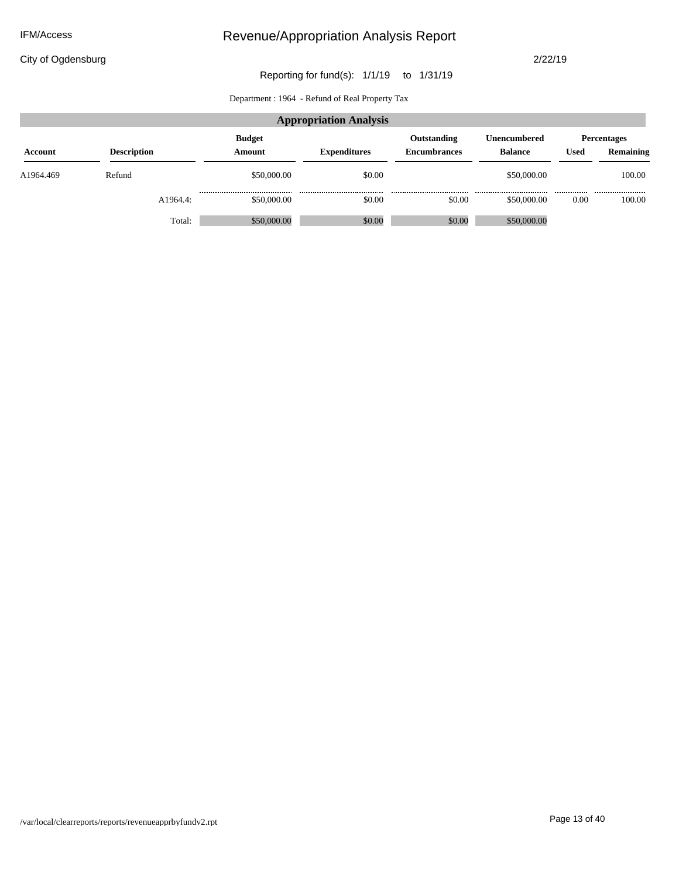City of Ogdensburg

2/22/19

### Reporting for fund(s): 1/1/19 to 1/31/19

Department : 1964 **-** Refund of Real Property Tax

| <b>Appropriation Analysis</b> |                    |                         |                     |                                    |                                       |             |                                 |  |  |  |
|-------------------------------|--------------------|-------------------------|---------------------|------------------------------------|---------------------------------------|-------------|---------------------------------|--|--|--|
| Account                       | <b>Description</b> | <b>Budget</b><br>Amount | <b>Expenditures</b> | Outstanding<br><b>Encumbrances</b> | <b>Unencumbered</b><br><b>Balance</b> | <b>Used</b> | <b>Percentages</b><br>Remaining |  |  |  |
| A1964.469                     | Refund             | \$50,000.00             | \$0.00              |                                    | \$50,000.00                           |             | 100.00                          |  |  |  |
|                               | A1964.4:           | \$50,000.00             | <br>\$0.00          | <br>\$0.00                         | <br>\$50,000.00                       | <br>0.00    | <br>100.00                      |  |  |  |
|                               | Total:             | \$50,000.00             | \$0.00              | \$0.00                             | \$50,000.00                           |             |                                 |  |  |  |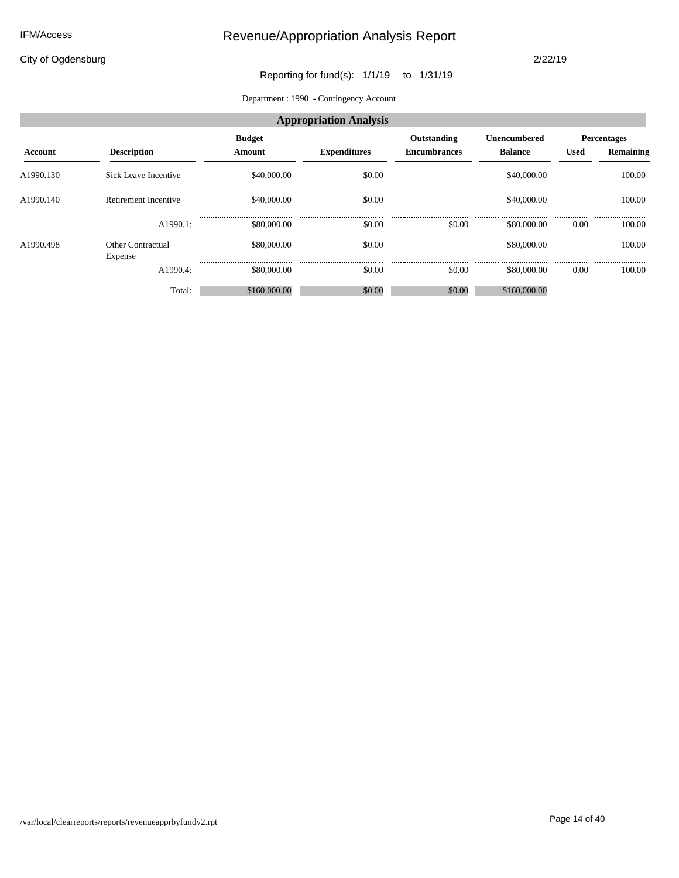City of Ogdensburg

#### 2/22/19

### Reporting for fund(s): 1/1/19 to 1/31/19

Department : 1990 **-** Contingency Account

|           | <b>Appropriation Analysis</b> |                         |                     |                                    |                                       |             |                                 |  |  |  |
|-----------|-------------------------------|-------------------------|---------------------|------------------------------------|---------------------------------------|-------------|---------------------------------|--|--|--|
| Account   | <b>Description</b>            | <b>Budget</b><br>Amount | <b>Expenditures</b> | Outstanding<br><b>Encumbrances</b> | <b>Unencumbered</b><br><b>Balance</b> | <b>Used</b> | <b>Percentages</b><br>Remaining |  |  |  |
| A1990.130 | Sick Leave Incentive          | \$40,000.00             | \$0.00              |                                    | \$40,000.00                           |             | 100.00                          |  |  |  |
| A1990.140 | Retirement Incentive          | \$40,000.00             | \$0.00              |                                    | \$40,000.00                           |             | 100.00                          |  |  |  |
|           | A1990.1:                      | <br>\$80,000.00         | \$0.00              | \$0.00                             | \$80,000.00                           | <br>0.00    | <br>100.00                      |  |  |  |
| A1990.498 | Other Contractual<br>Expense  | \$80,000.00             | \$0.00              |                                    | \$80,000.00                           |             | 100.00                          |  |  |  |
|           | A1990.4:                      | \$80,000.00             | \$0.00              | \$0.00                             | \$80,000.00                           | <br>0.00    | <br>100.00                      |  |  |  |
|           | Total:                        | \$160,000.00            | \$0.00              | \$0.00                             | \$160,000.00                          |             |                                 |  |  |  |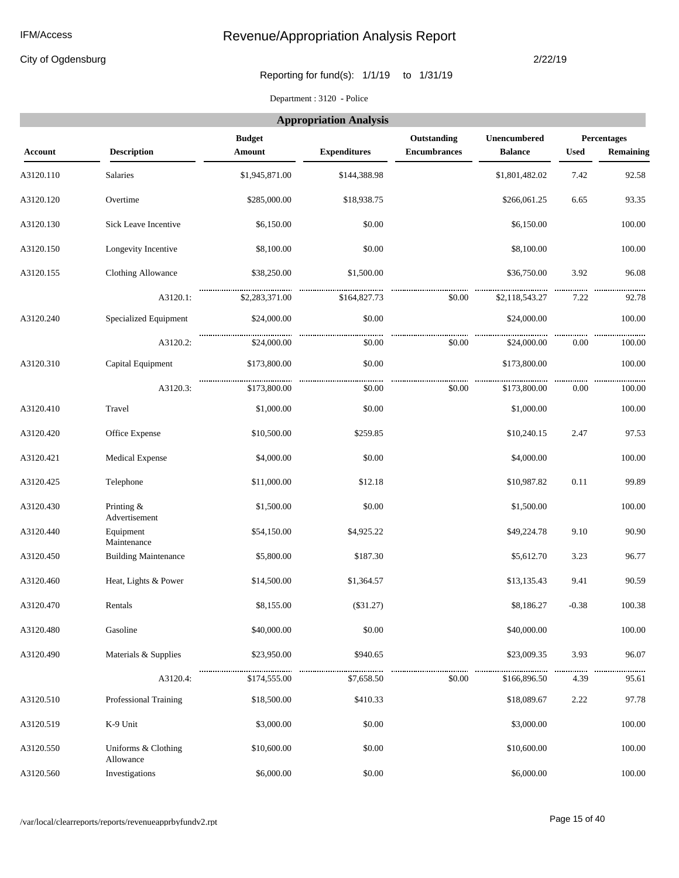City of Ogdensburg

2/22/19

Reporting for fund(s): 1/1/19 to 1/31/19

Department : 3120 **-** Police

|           | <b>Appropriation Analysis</b>    |                                |                     |                                    |                                |             |                          |  |  |  |
|-----------|----------------------------------|--------------------------------|---------------------|------------------------------------|--------------------------------|-------------|--------------------------|--|--|--|
| Account   | <b>Description</b>               | <b>Budget</b><br><b>Amount</b> | <b>Expenditures</b> | Outstanding<br><b>Encumbrances</b> | Unencumbered<br><b>Balance</b> | <b>Used</b> | Percentages<br>Remaining |  |  |  |
| A3120.110 | <b>Salaries</b>                  | \$1,945,871.00                 | \$144,388.98        |                                    | \$1,801,482.02                 | 7.42        | 92.58                    |  |  |  |
| A3120.120 | Overtime                         | \$285,000.00                   | \$18,938.75         |                                    | \$266,061.25                   | 6.65        | 93.35                    |  |  |  |
| A3120.130 | Sick Leave Incentive             | \$6,150.00                     | \$0.00              |                                    | \$6,150.00                     |             | 100.00                   |  |  |  |
| A3120.150 | Longevity Incentive              | \$8,100.00                     | \$0.00              |                                    | \$8,100.00                     |             | 100.00                   |  |  |  |
| A3120.155 | Clothing Allowance               | \$38,250.00                    | \$1,500.00          |                                    | \$36,750.00                    | 3.92        | 96.08                    |  |  |  |
|           | A3120.1:                         | \$2,283,371.00                 | \$164,827.73        | \$0.00                             | \$2,118,543.27                 | 7.22        | 92.78                    |  |  |  |
| A3120.240 | Specialized Equipment            | \$24,000.00                    | \$0.00              |                                    | \$24,000.00                    |             | 100.00                   |  |  |  |
|           | A3120.2:                         | \$24,000.00                    | \$0.00              | \$0.00                             | \$24,000.00                    | 0.00        | <br>100.00               |  |  |  |
| A3120.310 | Capital Equipment                | \$173,800.00                   | \$0.00              |                                    | \$173,800.00                   |             | 100.00                   |  |  |  |
|           | A3120.3:                         | \$173,800.00                   | \$0.00              | \$0.00                             | \$173,800.00                   | 0.00        | 100.00                   |  |  |  |
| A3120.410 | Travel                           | \$1,000.00                     | \$0.00              |                                    | \$1,000.00                     |             | 100.00                   |  |  |  |
| A3120.420 | Office Expense                   | \$10,500.00                    | \$259.85            |                                    | \$10,240.15                    | 2.47        | 97.53                    |  |  |  |
| A3120.421 | <b>Medical Expense</b>           | \$4,000.00                     | \$0.00              |                                    | \$4,000.00                     |             | 100.00                   |  |  |  |
| A3120.425 | Telephone                        | \$11,000.00                    | \$12.18             |                                    | \$10,987.82                    | 0.11        | 99.89                    |  |  |  |
| A3120.430 | Printing $&$<br>Advertisement    | \$1,500.00                     | \$0.00              |                                    | \$1,500.00                     |             | 100.00                   |  |  |  |
| A3120.440 | Equipment<br>Maintenance         | \$54,150.00                    | \$4,925.22          |                                    | \$49,224.78                    | 9.10        | 90.90                    |  |  |  |
| A3120.450 | <b>Building Maintenance</b>      | \$5,800.00                     | \$187.30            |                                    | \$5,612.70                     | 3.23        | 96.77                    |  |  |  |
| A3120.460 | Heat, Lights & Power             | \$14,500.00                    | \$1,364.57          |                                    | \$13,135.43                    | 9.41        | 90.59                    |  |  |  |
| A3120.470 | Rentals                          | \$8,155.00                     | (\$31.27)           |                                    | \$8,186.27                     | $-0.38$     | 100.38                   |  |  |  |
| A3120.480 | Gasoline                         | \$40,000.00                    | \$0.00              |                                    | \$40,000.00                    |             | 100.00                   |  |  |  |
| A3120.490 | Materials & Supplies             | \$23,950.00                    | \$940.65            |                                    | \$23,009.35                    | 3.93        | 96.07                    |  |  |  |
|           | A3120.4:                         | \$174,555.00                   | \$7,658.50          | \$0.00                             | \$166,896.50                   | 4.39        | <br>95.61                |  |  |  |
| A3120.510 | Professional Training            | \$18,500.00                    | \$410.33            |                                    | \$18,089.67                    | 2.22        | 97.78                    |  |  |  |
| A3120.519 | K-9 Unit                         | \$3,000.00                     | \$0.00              |                                    | \$3,000.00                     |             | 100.00                   |  |  |  |
| A3120.550 | Uniforms & Clothing<br>Allowance | \$10,600.00                    | \$0.00              |                                    | \$10,600.00                    |             | 100.00                   |  |  |  |
| A3120.560 | Investigations                   | \$6,000.00                     | \$0.00              |                                    | \$6,000.00                     |             | 100.00                   |  |  |  |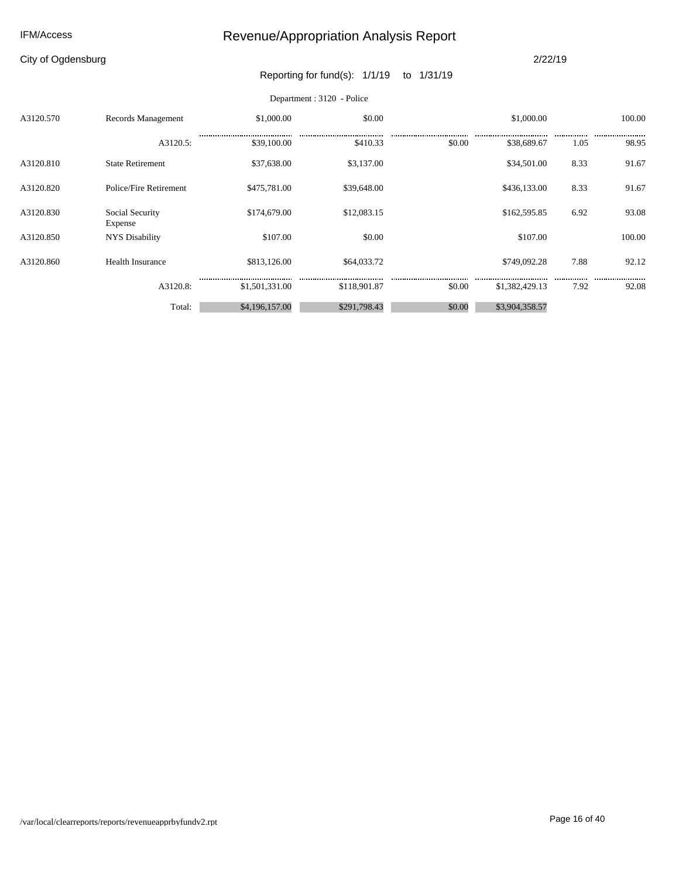City of Ogdensburg

#### 2/22/19

### Reporting for fund(s): 1/1/19 to 1/31/19

### Department : 3120 **-** Police

| A3120.570 | Records Management         | \$1,000.00     | \$0.00       |        | \$1,000.00     |          | 100.00    |
|-----------|----------------------------|----------------|--------------|--------|----------------|----------|-----------|
|           | A3120.5:                   | \$39,100.00    | \$410.33     | \$0.00 | \$38,689.67    | <br>1.05 | <br>98.95 |
| A3120.810 | <b>State Retirement</b>    | \$37,638.00    | \$3,137.00   |        | \$34,501.00    | 8.33     | 91.67     |
| A3120.820 | Police/Fire Retirement     | \$475,781.00   | \$39,648.00  |        | \$436,133.00   | 8.33     | 91.67     |
| A3120.830 | Social Security<br>Expense | \$174,679.00   | \$12,083.15  |        | \$162,595.85   | 6.92     | 93.08     |
| A3120.850 | <b>NYS Disability</b>      | \$107.00       | \$0.00       |        | \$107.00       |          | 100.00    |
| A3120.860 | <b>Health Insurance</b>    | \$813,126.00   | \$64,033.72  |        | \$749,092.28   | 7.88     | 92.12     |
|           | A3120.8:                   | \$1,501,331.00 | \$118,901.87 | \$0.00 | \$1,382,429.13 | <br>7.92 | <br>92.08 |
|           | Total:                     | \$4,196,157.00 | \$291,798.43 | \$0.00 | \$3,904,358.57 |          |           |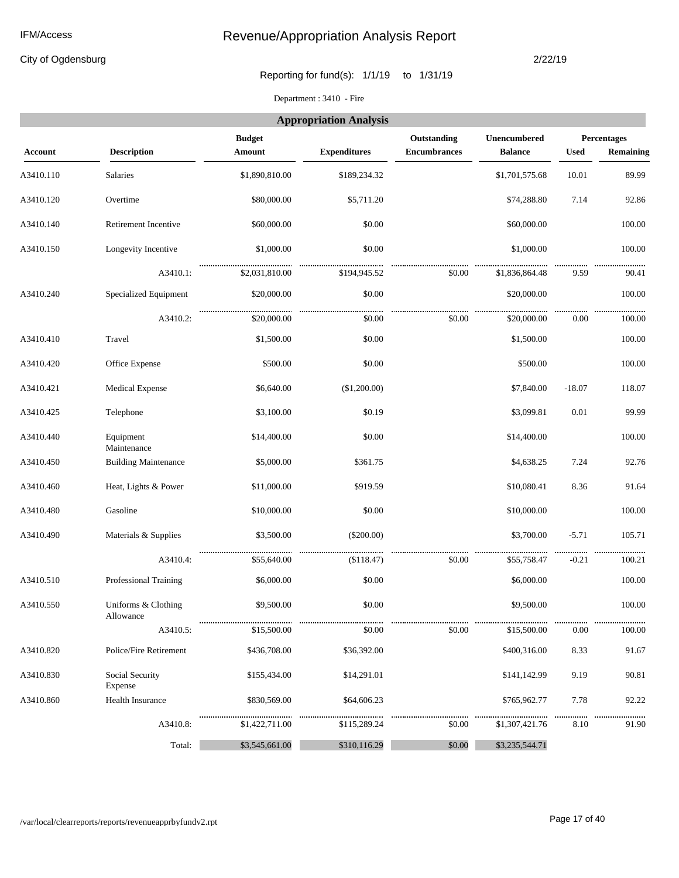#### IFM/Access

# Revenue/Appropriation Analysis Report

City of Ogdensburg

#### 2/22/19

Reporting for fund(s): 1/1/19 to 1/31/19

Department : 3410 **-** Fire

|                |                                  |                         | <b>Appropriation Analysis</b> |                                    |                                       |             |                                 |
|----------------|----------------------------------|-------------------------|-------------------------------|------------------------------------|---------------------------------------|-------------|---------------------------------|
| <b>Account</b> | <b>Description</b>               | <b>Budget</b><br>Amount | <b>Expenditures</b>           | Outstanding<br><b>Encumbrances</b> | <b>Unencumbered</b><br><b>Balance</b> | <b>Used</b> | Percentages<br><b>Remaining</b> |
| A3410.110      | <b>Salaries</b>                  | \$1,890,810.00          | \$189,234.32                  |                                    | \$1,701,575.68                        | 10.01       | 89.99                           |
| A3410.120      | Overtime                         | \$80,000.00             | \$5,711.20                    |                                    | \$74,288.80                           | 7.14        | 92.86                           |
| A3410.140      | Retirement Incentive             | \$60,000.00             | \$0.00                        |                                    | \$60,000.00                           |             | 100.00                          |
| A3410.150      | Longevity Incentive              | \$1,000.00              | \$0.00                        |                                    | \$1,000.00                            |             | 100.00                          |
|                | A3410.1:                         | \$2,031,810.00          | \$194,945.52                  | \$0.00                             | \$1,836,864.48                        | 9.59        | 90.41                           |
| A3410.240      | Specialized Equipment            | \$20,000.00             | \$0.00                        |                                    | \$20,000.00                           |             | 100.00                          |
|                | A3410.2:                         | \$20,000.00             | \$0.00                        | \$0.00                             | \$20,000.00                           | 0.00        | 100.00                          |
| A3410.410      | Travel                           | \$1,500.00              | \$0.00                        |                                    | \$1,500.00                            |             | 100.00                          |
| A3410.420      | Office Expense                   | \$500.00                | \$0.00                        |                                    | \$500.00                              |             | 100.00                          |
| A3410.421      | <b>Medical Expense</b>           | \$6,640.00              | (\$1,200.00)                  |                                    | \$7,840.00                            | $-18.07$    | 118.07                          |
| A3410.425      | Telephone                        | \$3,100.00              | \$0.19                        |                                    | \$3,099.81                            | 0.01        | 99.99                           |
| A3410.440      | Equipment<br>Maintenance         | \$14,400.00             | \$0.00                        |                                    | \$14,400.00                           |             | 100.00                          |
| A3410.450      | <b>Building Maintenance</b>      | \$5,000.00              | \$361.75                      |                                    | \$4,638.25                            | 7.24        | 92.76                           |
| A3410.460      | Heat, Lights & Power             | \$11,000.00             | \$919.59                      |                                    | \$10,080.41                           | 8.36        | 91.64                           |
| A3410.480      | Gasoline                         | \$10,000.00             | \$0.00                        |                                    | \$10,000.00                           |             | 100.00                          |
| A3410.490      | Materials & Supplies             | \$3,500.00              | $(\$200.00)$                  |                                    | \$3,700.00                            | $-5.71$     | 105.71                          |
|                | A3410.4:                         | \$55,640.00             | (\$118.47)                    | \$0.00                             | \$55,758.47                           | $-0.21$     | 100.21                          |
| A3410.510      | <b>Professional Training</b>     | \$6,000.00              | \$0.00                        |                                    | \$6,000.00                            |             | 100.00                          |
| A3410.550      | Uniforms & Clothing<br>Allowance | \$9,500.00              | \$0.00                        |                                    | \$9,500.00                            |             | 100.00                          |
|                | A3410.5:                         | \$15,500.00             | \$0.00                        | \$0.00                             | \$15,500.00                           | 0.00        | 100.00                          |
| A3410.820      | Police/Fire Retirement           | \$436,708.00            | \$36,392.00                   |                                    | \$400,316.00                          | 8.33        | 91.67                           |
| A3410.830      | Social Security<br>Expense       | \$155,434.00            | \$14,291.01                   |                                    | \$141,142.99                          | 9.19        | 90.81                           |
| A3410.860      | Health Insurance                 | \$830,569.00            | \$64,606.23                   |                                    | \$765,962.77                          | 7.78        | 92.22                           |
|                | A3410.8:                         | \$1,422,711.00          | \$115,289.24                  | \$0.00                             | \$1,307,421.76                        | 8.10        | 91.90                           |
|                | Total:                           | \$3,545,661.00          | \$310,116.29                  | \$0.00                             | \$3,235,544.71                        |             |                                 |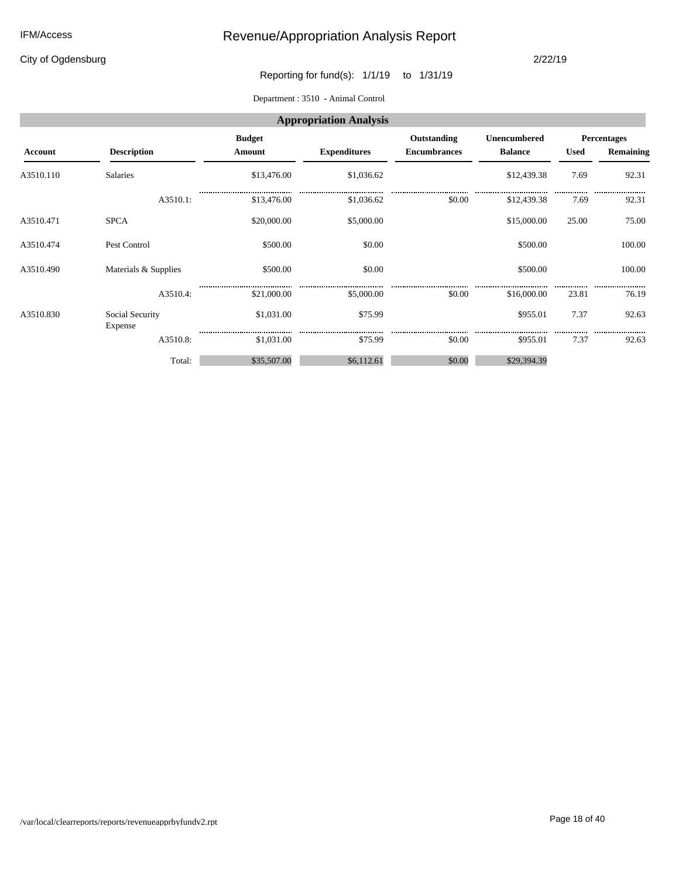City of Ogdensburg

#### 2/22/19

Reporting for fund(s): 1/1/19 to 1/31/19

Department : 3510 **-** Animal Control

|                                                                    | <b>Appropriation Analysis</b> |             |                     |                     |                |             |           |  |  |  |
|--------------------------------------------------------------------|-------------------------------|-------------|---------------------|---------------------|----------------|-------------|-----------|--|--|--|
| <b>Budget</b><br>Outstanding<br>Unencumbered<br><b>Percentages</b> |                               |             |                     |                     |                |             |           |  |  |  |
| Account                                                            | <b>Description</b>            | Amount      | <b>Expenditures</b> | <b>Encumbrances</b> | <b>Balance</b> | <b>Used</b> | Remaining |  |  |  |
| A3510.110                                                          | Salaries                      | \$13,476.00 | \$1,036.62          |                     | \$12,439.38    | 7.69        | 92.31     |  |  |  |
|                                                                    | A3510.1:                      | \$13,476.00 | \$1,036.62          | \$0.00              | \$12,439.38    | 7.69        | <br>92.31 |  |  |  |
| A3510.471                                                          | <b>SPCA</b>                   | \$20,000.00 | \$5,000.00          |                     | \$15,000.00    | 25.00       | 75.00     |  |  |  |
| A3510.474                                                          | Pest Control                  | \$500.00    | \$0.00              |                     | \$500.00       |             | 100.00    |  |  |  |
| A3510.490                                                          | Materials & Supplies          | \$500.00    | \$0.00              |                     | \$500.00       |             | 100.00    |  |  |  |
|                                                                    | A3510.4:                      | \$21,000.00 | \$5,000.00          | \$0.00              | \$16,000.00    | 23.81       | <br>76.19 |  |  |  |
| A3510.830                                                          | Social Security<br>Expense    | \$1,031.00  | \$75.99             |                     | \$955.01       | 7.37        | 92.63     |  |  |  |
|                                                                    | A3510.8:                      | \$1,031.00  | \$75.99             | \$0.00              | \$955.01       | 7.37        | 92.63     |  |  |  |
|                                                                    | Total:                        | \$35,507.00 | \$6,112.61          | \$0.00              | \$29,394.39    |             |           |  |  |  |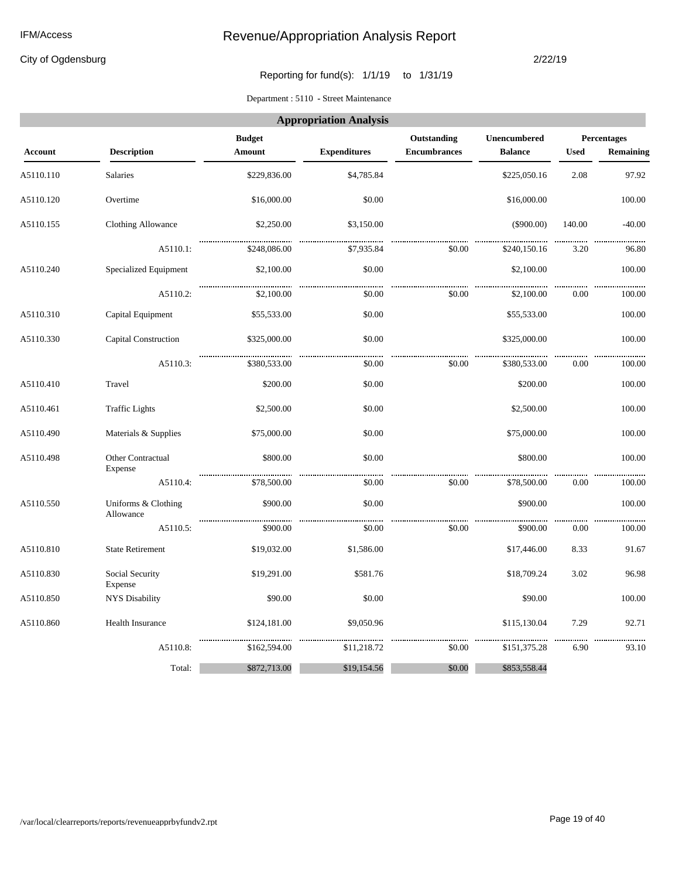City of Ogdensburg

#### 2/22/19

### Reporting for fund(s): 1/1/19 to 1/31/19

Department : 5110 **-** Street Maintenance

|                | <b>Appropriation Analysis</b>    |                         |                     |                                    |                                |             |                          |  |  |  |  |
|----------------|----------------------------------|-------------------------|---------------------|------------------------------------|--------------------------------|-------------|--------------------------|--|--|--|--|
| <b>Account</b> | <b>Description</b>               | <b>Budget</b><br>Amount | <b>Expenditures</b> | Outstanding<br><b>Encumbrances</b> | Unencumbered<br><b>Balance</b> | <b>Used</b> | Percentages<br>Remaining |  |  |  |  |
| A5110.110      | <b>Salaries</b>                  | \$229,836.00            | \$4,785.84          |                                    | \$225,050.16                   | 2.08        | 97.92                    |  |  |  |  |
| A5110.120      | Overtime                         | \$16,000.00             | \$0.00              |                                    | \$16,000.00                    |             | 100.00                   |  |  |  |  |
| A5110.155      | <b>Clothing Allowance</b>        | \$2,250.00              | \$3,150.00          |                                    | $(\$900.00)$                   | 140.00      | $-40.00$                 |  |  |  |  |
|                | A5110.1:                         | \$248,086.00            | \$7,935.84          | \$0.00                             | \$240,150.16                   | 3.20        | 96.80                    |  |  |  |  |
| A5110.240      | Specialized Equipment            | \$2,100.00              | \$0.00              |                                    | \$2,100.00                     |             | 100.00                   |  |  |  |  |
|                | A5110.2:                         | \$2,100.00              | \$0.00              | \$0.00                             | \$2,100.00                     | 0.00        | 100.00                   |  |  |  |  |
| A5110.310      | Capital Equipment                | \$55,533.00             | \$0.00              |                                    | \$55,533.00                    |             | 100.00                   |  |  |  |  |
| A5110.330      | Capital Construction             | \$325,000.00            | \$0.00              |                                    | \$325,000.00                   |             | 100.00                   |  |  |  |  |
|                | A5110.3:                         | \$380,533.00            | \$0.00              | \$0.00                             | \$380,533.00                   | 0.00        | 100.00                   |  |  |  |  |
| A5110.410      | Travel                           | \$200.00                | \$0.00              |                                    | \$200.00                       |             | 100.00                   |  |  |  |  |
| A5110.461      | <b>Traffic Lights</b>            | \$2,500.00              | \$0.00              |                                    | \$2,500.00                     |             | 100.00                   |  |  |  |  |
| A5110.490      | Materials & Supplies             | \$75,000.00             | \$0.00              |                                    | \$75,000.00                    |             | 100.00                   |  |  |  |  |
| A5110.498      | Other Contractual<br>Expense     | \$800.00                | \$0.00              |                                    | \$800.00                       |             | 100.00                   |  |  |  |  |
|                | A5110.4:                         | \$78,500.00             | \$0.00              | \$0.00                             | \$78,500.00                    | 0.00        | 100.00                   |  |  |  |  |
| A5110.550      | Uniforms & Clothing<br>Allowance | \$900.00                | \$0.00              |                                    | \$900.00                       |             | 100.00                   |  |  |  |  |
|                | A5110.5:                         | \$900.00                | \$0.00              | \$0.00                             | \$900.00                       | 0.00        | 100.00                   |  |  |  |  |
| A5110.810      | <b>State Retirement</b>          | \$19,032.00             | \$1,586.00          |                                    | \$17,446.00                    | 8.33        | 91.67                    |  |  |  |  |
| A5110.830      | Social Security<br>Expense       | \$19,291.00             | \$581.76            |                                    | \$18,709.24                    | 3.02        | 96.98                    |  |  |  |  |
| A5110.850      | <b>NYS Disability</b>            | \$90.00                 | \$0.00              |                                    | \$90.00                        |             | 100.00                   |  |  |  |  |
| A5110.860      | Health Insurance                 | \$124,181.00            | \$9,050.96          |                                    | \$115,130.04                   | 7.29        | 92.71                    |  |  |  |  |
|                | A5110.8:                         | \$162,594.00            | \$11,218.72         | \$0.00                             | \$151,375.28                   | 6.90        | 93.10                    |  |  |  |  |
|                | Total:                           | \$872,713.00            | \$19,154.56         | \$0.00                             | \$853,558.44                   |             |                          |  |  |  |  |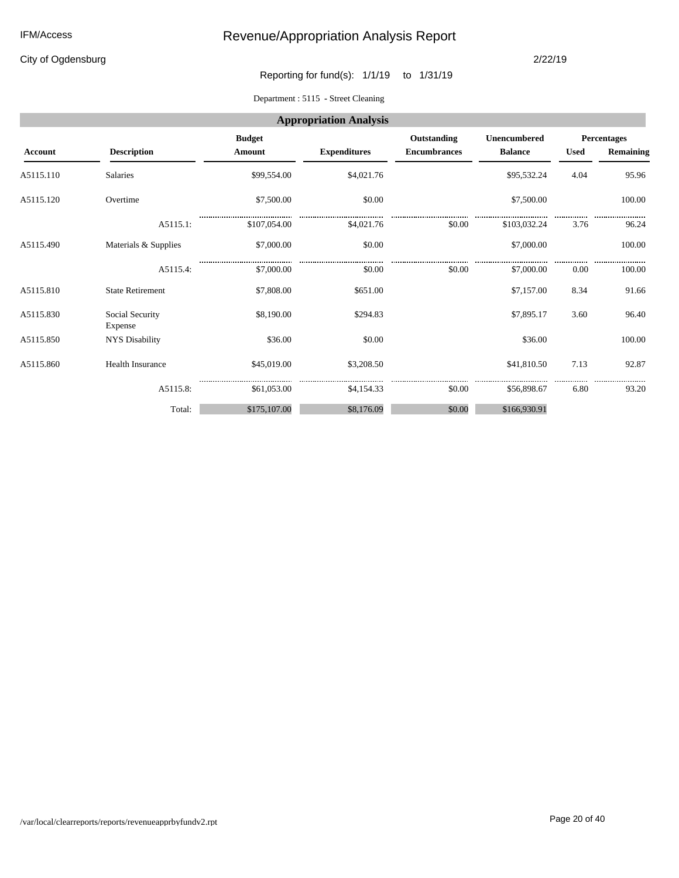City of Ogdensburg

#### 2/22/19

Reporting for fund(s): 1/1/19 to 1/31/19

#### Department : 5115 **-** Street Cleaning

|           | <b>Appropriation Analysis</b> |               |                     |                     |                     |             |             |  |  |  |  |
|-----------|-------------------------------|---------------|---------------------|---------------------|---------------------|-------------|-------------|--|--|--|--|
|           |                               | <b>Budget</b> |                     | Outstanding         | <b>Unencumbered</b> |             | Percentages |  |  |  |  |
| Account   | <b>Description</b>            | <b>Amount</b> | <b>Expenditures</b> | <b>Encumbrances</b> | <b>Balance</b>      | <b>Used</b> | Remaining   |  |  |  |  |
| A5115.110 | Salaries                      | \$99,554.00   | \$4,021.76          |                     | \$95,532.24         | 4.04        | 95.96       |  |  |  |  |
| A5115.120 | Overtime                      | \$7,500.00    | \$0.00              |                     | \$7,500.00          |             | 100.00      |  |  |  |  |
|           | A5115.1:                      | \$107,054.00  | \$4,021.76          | \$0.00              | \$103,032.24        | 3.76        | 96.24       |  |  |  |  |
| A5115.490 | Materials & Supplies          | \$7,000.00    | \$0.00              |                     | \$7,000.00          |             | 100.00      |  |  |  |  |
|           | A5115.4:                      | \$7,000.00    | \$0.00              | \$0.00              | \$7,000.00          | 0.00        | 100.00      |  |  |  |  |
| A5115.810 | <b>State Retirement</b>       | \$7,808.00    | \$651.00            |                     | \$7,157.00          | 8.34        | 91.66       |  |  |  |  |
| A5115.830 | Social Security<br>Expense    | \$8,190.00    | \$294.83            |                     | \$7,895.17          | 3.60        | 96.40       |  |  |  |  |
| A5115.850 | <b>NYS Disability</b>         | \$36.00       | \$0.00              |                     | \$36.00             |             | 100.00      |  |  |  |  |
| A5115.860 | <b>Health Insurance</b>       | \$45,019.00   | \$3,208.50          |                     | \$41,810.50         | 7.13        | 92.87       |  |  |  |  |
|           | A5115.8:                      | \$61,053.00   | \$4,154.33          | \$0.00              | \$56,898.67         | 6.80        | 93.20       |  |  |  |  |
|           | Total:                        | \$175,107.00  | \$8,176.09          | \$0.00              | \$166,930.91        |             |             |  |  |  |  |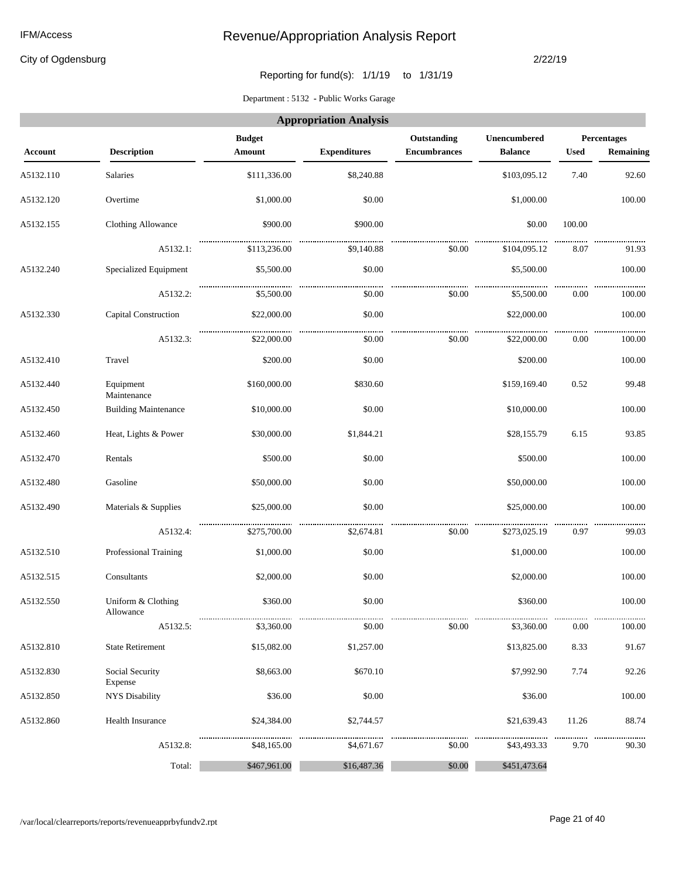City of Ogdensburg

#### 2/22/19

### Reporting for fund(s): 1/1/19 to 1/31/19

Department : 5132 **-** Public Works Garage

|                | <b>Appropriation Analysis</b> |                         |                     |                                    |                                |             |                          |  |  |  |  |
|----------------|-------------------------------|-------------------------|---------------------|------------------------------------|--------------------------------|-------------|--------------------------|--|--|--|--|
| <b>Account</b> | <b>Description</b>            | <b>Budget</b><br>Amount | <b>Expenditures</b> | Outstanding<br><b>Encumbrances</b> | Unencumbered<br><b>Balance</b> | <b>Used</b> | Percentages<br>Remaining |  |  |  |  |
| A5132.110      | Salaries                      | \$111,336.00            | \$8,240.88          |                                    | \$103,095.12                   | 7.40        | 92.60                    |  |  |  |  |
| A5132.120      | Overtime                      | \$1,000.00              | \$0.00              |                                    | \$1,000.00                     |             | 100.00                   |  |  |  |  |
| A5132.155      | <b>Clothing Allowance</b>     | \$900.00                | \$900.00            |                                    | \$0.00                         | 100.00      |                          |  |  |  |  |
|                | A5132.1:                      | \$113,236.00            | \$9,140.88          | \$0.00                             | \$104,095.12                   | 8.07        | 91.93                    |  |  |  |  |
| A5132.240      | Specialized Equipment         | \$5,500.00              | \$0.00              |                                    | \$5,500.00                     |             | 100.00                   |  |  |  |  |
|                | A5132.2:                      | \$5,500.00              | \$0.00              | \$0.00                             | \$5,500.00                     | 0.00        | <br>100.00               |  |  |  |  |
| A5132.330      | Capital Construction          | \$22,000.00             | \$0.00              |                                    | \$22,000.00                    |             | 100.00                   |  |  |  |  |
|                | A5132.3:                      | \$22,000.00             | \$0.00              | \$0.00                             | \$22,000.00                    | 0.00        | 100.00                   |  |  |  |  |
| A5132.410      | Travel                        | \$200.00                | \$0.00              |                                    | \$200.00                       |             | 100.00                   |  |  |  |  |
| A5132.440      | Equipment<br>Maintenance      | \$160,000.00            | \$830.60            |                                    | \$159,169.40                   | 0.52        | 99.48                    |  |  |  |  |
| A5132.450      | <b>Building Maintenance</b>   | \$10,000.00             | \$0.00              |                                    | \$10,000.00                    |             | 100.00                   |  |  |  |  |
| A5132.460      | Heat, Lights & Power          | \$30,000.00             | \$1,844.21          |                                    | \$28,155.79                    | 6.15        | 93.85                    |  |  |  |  |
| A5132.470      | Rentals                       | \$500.00                | \$0.00              |                                    | \$500.00                       |             | 100.00                   |  |  |  |  |
| A5132.480      | Gasoline                      | \$50,000.00             | \$0.00              |                                    | \$50,000.00                    |             | 100.00                   |  |  |  |  |
| A5132.490      | Materials & Supplies          | \$25,000.00             | \$0.00              |                                    | \$25,000.00                    |             | 100.00                   |  |  |  |  |
|                | A5132.4:                      | \$275,700.00            | \$2,674.81          | \$0.00                             | \$273,025.19                   | 0.97        | 99.03                    |  |  |  |  |
| A5132.510      | Professional Training         | \$1,000.00              | \$0.00              |                                    | \$1,000.00                     |             | 100.00                   |  |  |  |  |
| A5132.515      | Consultants                   | \$2,000.00              | \$0.00              |                                    | \$2,000.00                     |             | 100.00                   |  |  |  |  |
| A5132.550      | Uniform & Clothing            | \$360.00                | \$0.00              |                                    | \$360.00                       |             | 100.00                   |  |  |  |  |
|                | Allowance<br>A5132.5:         | \$3,360.00              | \$0.00              | \$0.00                             | <br>\$3,360.00                 | <br>0.00    | <br>100.00               |  |  |  |  |
| A5132.810      | <b>State Retirement</b>       | \$15,082.00             | \$1,257.00          |                                    | \$13,825.00                    | 8.33        | 91.67                    |  |  |  |  |
| A5132.830      | Social Security<br>Expense    | \$8,663.00              | \$670.10            |                                    | \$7,992.90                     | 7.74        | 92.26                    |  |  |  |  |
| A5132.850      | <b>NYS Disability</b>         | \$36.00                 | \$0.00              |                                    | \$36.00                        |             | 100.00                   |  |  |  |  |
| A5132.860      | Health Insurance              | \$24,384.00             | \$2,744.57          |                                    | \$21,639.43                    | 11.26       | 88.74                    |  |  |  |  |
|                | A5132.8:                      | \$48,165.00             | \$4,671.67          | \$0.00                             | \$43,493.33                    | 9.70        | 90.30                    |  |  |  |  |
|                | Total:                        | \$467,961.00            | \$16,487.36         | \$0.00                             | \$451,473.64                   |             |                          |  |  |  |  |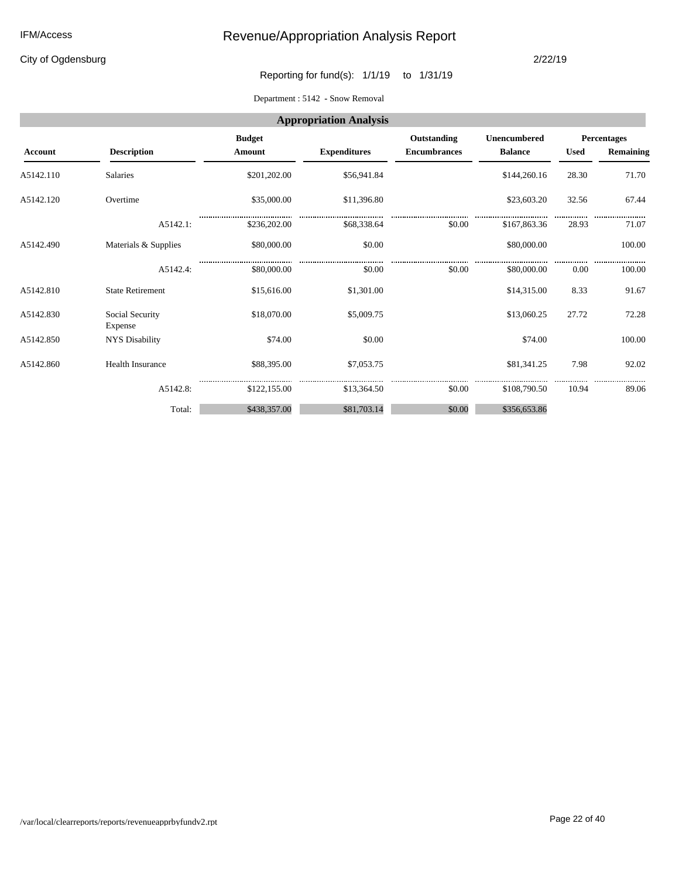City of Ogdensburg

#### 2/22/19

Reporting for fund(s): 1/1/19 to 1/31/19

Department : 5142 **-** Snow Removal

|                | <b>Appropriation Analysis</b> |               |                     |                     |                     |             |                  |  |  |  |  |
|----------------|-------------------------------|---------------|---------------------|---------------------|---------------------|-------------|------------------|--|--|--|--|
|                |                               | <b>Budget</b> |                     | Outstanding         | <b>Unencumbered</b> |             | Percentages      |  |  |  |  |
| <b>Account</b> | <b>Description</b>            | Amount        | <b>Expenditures</b> | <b>Encumbrances</b> | <b>Balance</b>      | <b>Used</b> | <b>Remaining</b> |  |  |  |  |
| A5142.110      | <b>Salaries</b>               | \$201,202.00  | \$56,941.84         |                     | \$144,260.16        | 28.30       | 71.70            |  |  |  |  |
| A5142.120      | Overtime                      | \$35,000.00   | \$11,396.80         |                     | \$23,603.20         | 32.56       | 67.44            |  |  |  |  |
|                | A5142.1:                      | \$236,202.00  | \$68,338.64         | \$0.00              | \$167,863.36        | 28.93       | <br>71.07        |  |  |  |  |
| A5142.490      | Materials & Supplies          | \$80,000.00   | \$0.00              |                     | \$80,000.00         |             | 100.00           |  |  |  |  |
|                | A5142.4:                      | \$80,000.00   | \$0.00              | \$0.00              | \$80,000.00         | 0.00        | 100.00           |  |  |  |  |
| A5142.810      | <b>State Retirement</b>       | \$15,616.00   | \$1,301.00          |                     | \$14,315.00         | 8.33        | 91.67            |  |  |  |  |
| A5142.830      | Social Security<br>Expense    | \$18,070.00   | \$5,009.75          |                     | \$13,060.25         | 27.72       | 72.28            |  |  |  |  |
| A5142.850      | <b>NYS Disability</b>         | \$74.00       | \$0.00              |                     | \$74.00             |             | 100.00           |  |  |  |  |
| A5142.860      | <b>Health Insurance</b>       | \$88,395.00   | \$7,053.75          |                     | \$81,341.25         | 7.98        | 92.02            |  |  |  |  |
|                | A5142.8:                      | \$122,155.00  | \$13,364.50         | \$0.00              | \$108,790.50        | 10.94       | 89.06            |  |  |  |  |
|                | Total:                        | \$438,357.00  | \$81,703.14         | \$0.00              | \$356,653.86        |             |                  |  |  |  |  |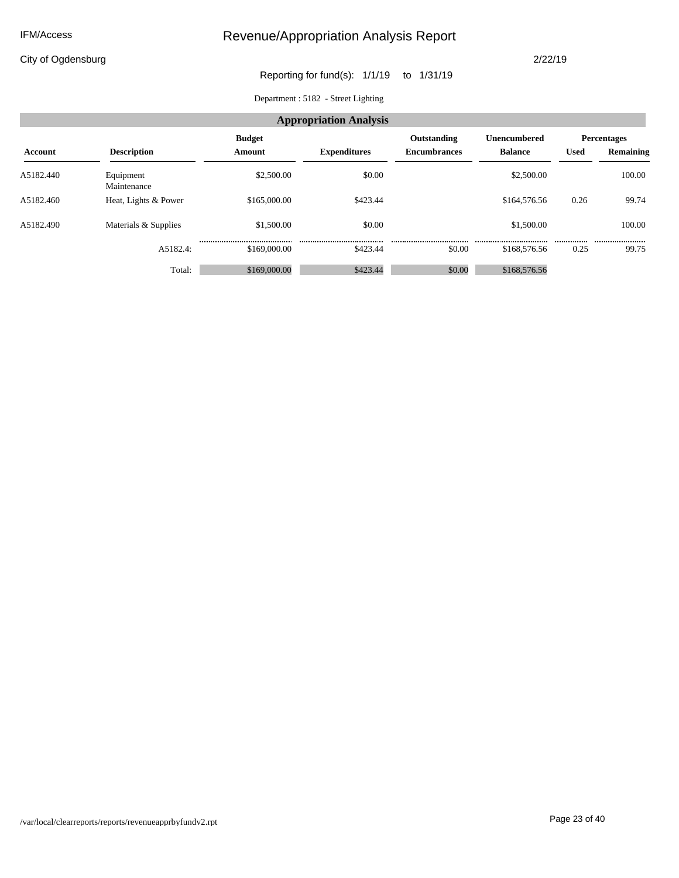#### IFM/Access

# Revenue/Appropriation Analysis Report

City of Ogdensburg

#### 2/22/19

Reporting for fund(s): 1/1/19 to 1/31/19

Department : 5182 **-** Street Lighting

|           | <b>Appropriation Analysis</b> |                         |                     |                                    |                                       |             |                                 |  |  |  |  |
|-----------|-------------------------------|-------------------------|---------------------|------------------------------------|---------------------------------------|-------------|---------------------------------|--|--|--|--|
| Account   | <b>Description</b>            | <b>Budget</b><br>Amount | <b>Expenditures</b> | Outstanding<br><b>Encumbrances</b> | <b>Unencumbered</b><br><b>Balance</b> | <b>Used</b> | <b>Percentages</b><br>Remaining |  |  |  |  |
| A5182.440 | Equipment<br>Maintenance      | \$2,500.00              | \$0.00              |                                    | \$2,500.00                            |             | 100.00                          |  |  |  |  |
| A5182.460 | Heat, Lights & Power          | \$165,000.00            | \$423.44            |                                    | \$164,576.56                          | 0.26        | 99.74                           |  |  |  |  |
| A5182.490 | Materials & Supplies          | \$1,500.00              | \$0.00              |                                    | \$1,500.00                            |             | 100.00                          |  |  |  |  |
|           | A5182.4:                      | \$169,000.00            | <br>\$423.44        | \$0.00                             | \$168,576.56                          | <br>0.25    | <br>99.75                       |  |  |  |  |
|           | Total:                        | \$169,000.00            | \$423.44            | \$0.00                             | \$168,576.56                          |             |                                 |  |  |  |  |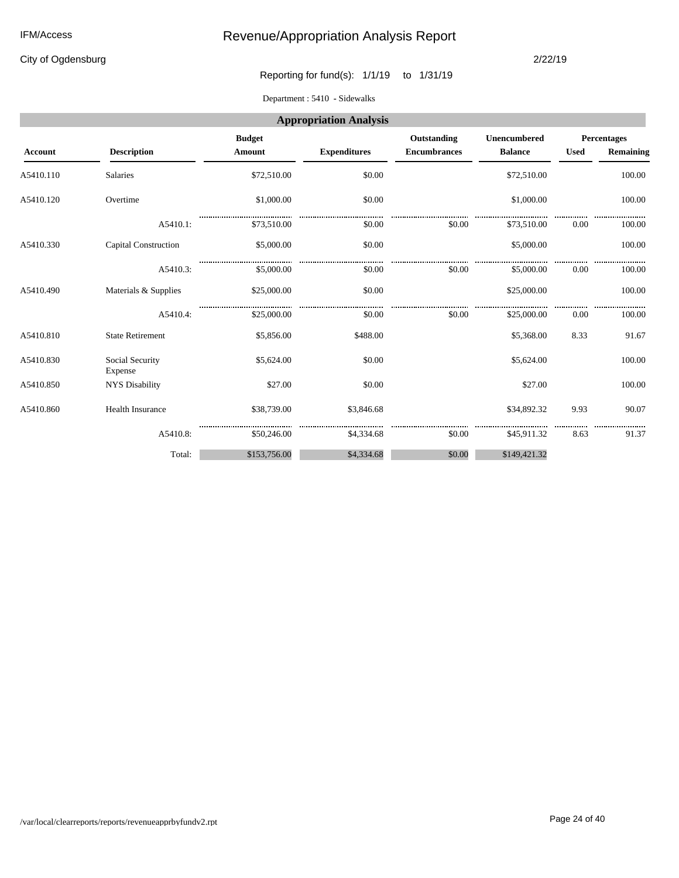#### IFM/Access

# Revenue/Appropriation Analysis Report

City of Ogdensburg

#### 2/22/19

Reporting for fund(s): 1/1/19 to 1/31/19

Department : 5410 **-** Sidewalks

|           | <b>Appropriation Analysis</b> |                         |                     |                                    |                                |             |                                 |  |  |  |  |  |
|-----------|-------------------------------|-------------------------|---------------------|------------------------------------|--------------------------------|-------------|---------------------------------|--|--|--|--|--|
| Account   | <b>Description</b>            | <b>Budget</b><br>Amount | <b>Expenditures</b> | Outstanding<br><b>Encumbrances</b> | Unencumbered<br><b>Balance</b> | <b>Used</b> | <b>Percentages</b><br>Remaining |  |  |  |  |  |
| A5410.110 | <b>Salaries</b>               | \$72,510.00             | \$0.00              |                                    | \$72,510.00                    |             | 100.00                          |  |  |  |  |  |
| A5410.120 | Overtime                      | \$1,000.00              | \$0.00              |                                    | \$1,000.00                     |             | 100.00                          |  |  |  |  |  |
|           | A5410.1:                      | \$73,510.00             | \$0.00              | \$0.00                             | \$73,510.00                    | 0.00        | 100.00                          |  |  |  |  |  |
| A5410.330 | <b>Capital Construction</b>   | \$5,000.00              | \$0.00              |                                    | \$5,000.00                     |             | 100.00                          |  |  |  |  |  |
|           | A5410.3:                      | \$5,000.00              | \$0.00              | \$0.00                             | \$5,000.00                     | 0.00        | 100.00                          |  |  |  |  |  |
| A5410.490 | Materials & Supplies          | \$25,000.00             | \$0.00              |                                    | \$25,000.00                    |             | 100.00                          |  |  |  |  |  |
|           | A5410.4:                      | \$25,000.00             | \$0.00              | \$0.00                             | \$25,000.00                    | 0.00        | 100.00                          |  |  |  |  |  |
| A5410.810 | <b>State Retirement</b>       | \$5,856.00              | \$488.00            |                                    | \$5,368.00                     | 8.33        | 91.67                           |  |  |  |  |  |
| A5410.830 | Social Security<br>Expense    | \$5,624.00              | \$0.00              |                                    | \$5,624.00                     |             | 100.00                          |  |  |  |  |  |
| A5410.850 | <b>NYS Disability</b>         | \$27.00                 | \$0.00              |                                    | \$27.00                        |             | 100.00                          |  |  |  |  |  |
| A5410.860 | <b>Health Insurance</b>       | \$38,739.00             | \$3,846.68          |                                    | \$34,892.32                    | 9.93        | 90.07                           |  |  |  |  |  |
|           | A5410.8:                      | \$50,246.00             | \$4,334.68          | \$0.00                             | \$45,911.32                    | 8.63        | 91.37                           |  |  |  |  |  |
|           | Total:                        | \$153,756.00            | \$4,334.68          | \$0.00                             | \$149,421.32                   |             |                                 |  |  |  |  |  |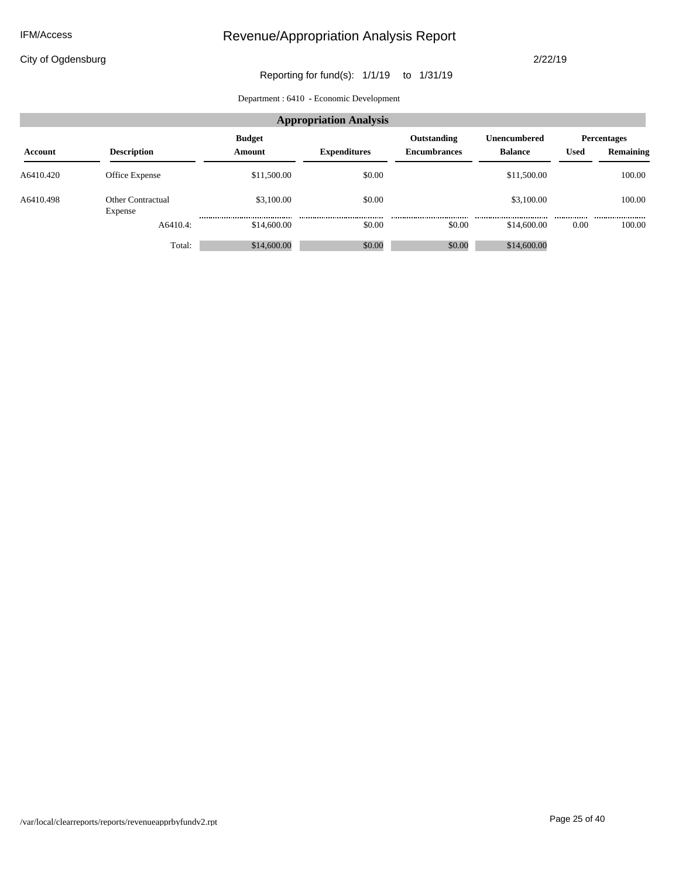City of Ogdensburg

2/22/19

### Reporting for fund(s): 1/1/19 to 1/31/19

Department : 6410 **-** Economic Development

|           | <b>Appropriation Analysis</b>       |                         |                     |                                    |                                |             |                                 |  |  |  |  |
|-----------|-------------------------------------|-------------------------|---------------------|------------------------------------|--------------------------------|-------------|---------------------------------|--|--|--|--|
| Account   | <b>Description</b>                  | <b>Budget</b><br>Amount | <b>Expenditures</b> | Outstanding<br><b>Encumbrances</b> | Unencumbered<br><b>Balance</b> | <b>Used</b> | <b>Percentages</b><br>Remaining |  |  |  |  |
| A6410.420 | Office Expense                      | \$11,500.00             | \$0.00              |                                    | \$11,500.00                    |             | 100.00                          |  |  |  |  |
| A6410.498 | <b>Other Contractual</b><br>Expense | \$3,100.00              | \$0.00              |                                    | \$3,100.00                     |             | 100.00                          |  |  |  |  |
|           | A6410.4:                            | \$14,600.00             | <br>\$0.00          | <br>\$0.00                         | <br>\$14,600.00                | <br>0.00    | <br>100.00                      |  |  |  |  |
|           | Total:                              | \$14,600.00             | \$0.00              | \$0.00                             | \$14,600.00                    |             |                                 |  |  |  |  |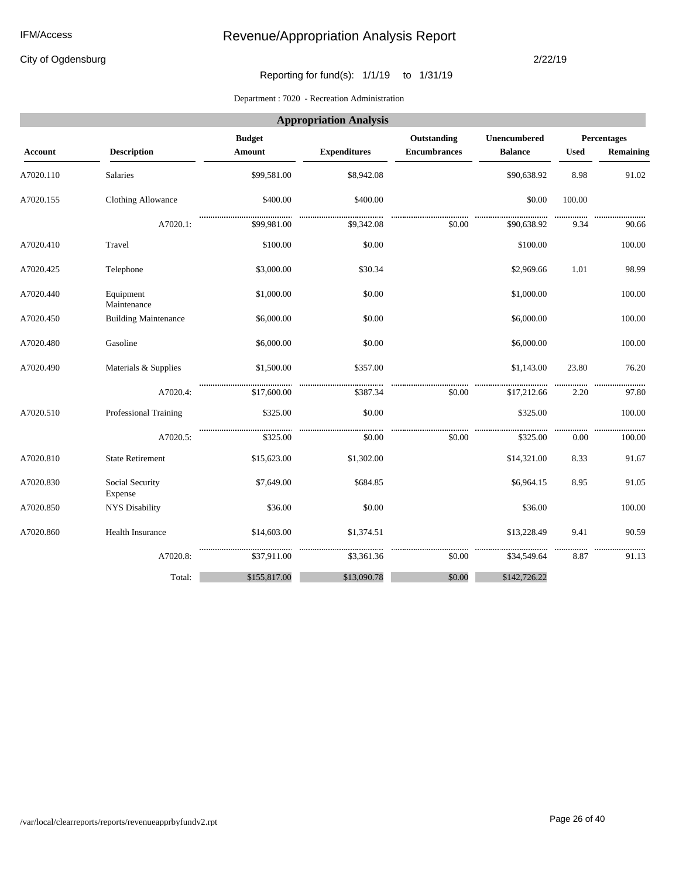City of Ogdensburg

#### 2/22/19

### Reporting for fund(s): 1/1/19 to 1/31/19

Department : 7020 **-** Recreation Administration

|                                                                    | <b>Appropriation Analysis</b> |              |                     |                     |                |             |           |  |  |  |  |
|--------------------------------------------------------------------|-------------------------------|--------------|---------------------|---------------------|----------------|-------------|-----------|--|--|--|--|
| Outstanding<br><b>Budget</b><br>Unencumbered<br><b>Percentages</b> |                               |              |                     |                     |                |             |           |  |  |  |  |
| <b>Account</b>                                                     | <b>Description</b>            | Amount       | <b>Expenditures</b> | <b>Encumbrances</b> | <b>Balance</b> | <b>Used</b> | Remaining |  |  |  |  |
| A7020.110                                                          | <b>Salaries</b>               | \$99,581.00  | \$8,942.08          |                     | \$90,638.92    | 8.98        | 91.02     |  |  |  |  |
| A7020.155                                                          | <b>Clothing Allowance</b>     | \$400.00     | \$400.00            |                     | \$0.00         | 100.00      |           |  |  |  |  |
|                                                                    | A7020.1:                      | \$99,981.00  | \$9,342.08          | \$0.00              | \$90,638.92    | 9.34        | 90.66     |  |  |  |  |
| A7020.410                                                          | Travel                        | \$100.00     | \$0.00              |                     | \$100.00       |             | 100.00    |  |  |  |  |
| A7020.425                                                          | Telephone                     | \$3,000.00   | \$30.34             |                     | \$2,969.66     | 1.01        | 98.99     |  |  |  |  |
| A7020.440                                                          | Equipment<br>Maintenance      | \$1,000.00   | \$0.00              |                     | \$1,000.00     |             | 100.00    |  |  |  |  |
| A7020.450                                                          | <b>Building Maintenance</b>   | \$6,000.00   | \$0.00              |                     | \$6,000.00     |             | 100.00    |  |  |  |  |
| A7020.480                                                          | Gasoline                      | \$6,000.00   | \$0.00              |                     | \$6,000.00     |             | 100.00    |  |  |  |  |
| A7020.490                                                          | Materials & Supplies          | \$1,500.00   | \$357.00            |                     | \$1,143.00     | 23.80       | 76.20     |  |  |  |  |
|                                                                    | A7020.4:                      | \$17,600.00  | \$387.34            | \$0.00              | \$17,212.66    | 2.20        | 97.80     |  |  |  |  |
| A7020.510                                                          | Professional Training         | \$325.00     | \$0.00              |                     | \$325.00       |             | 100.00    |  |  |  |  |
|                                                                    | A7020.5:                      | \$325.00     | \$0.00              | \$0.00              | \$325.00       | 0.00        | 100.00    |  |  |  |  |
| A7020.810                                                          | <b>State Retirement</b>       | \$15,623.00  | \$1,302.00          |                     | \$14,321.00    | 8.33        | 91.67     |  |  |  |  |
| A7020.830                                                          | Social Security<br>Expense    | \$7,649.00   | \$684.85            |                     | \$6,964.15     | 8.95        | 91.05     |  |  |  |  |
| A7020.850                                                          | <b>NYS Disability</b>         | \$36.00      | \$0.00              |                     | \$36.00        |             | 100.00    |  |  |  |  |
| A7020.860                                                          | Health Insurance              | \$14,603.00  | \$1,374.51          |                     | \$13,228.49    | 9.41        | 90.59     |  |  |  |  |
|                                                                    | A7020.8:                      | \$37,911.00  | \$3,361.36          | \$0.00              | \$34,549.64    | 8.87        | 91.13     |  |  |  |  |
|                                                                    | Total:                        | \$155,817.00 | \$13,090.78         | \$0.00              | \$142,726.22   |             |           |  |  |  |  |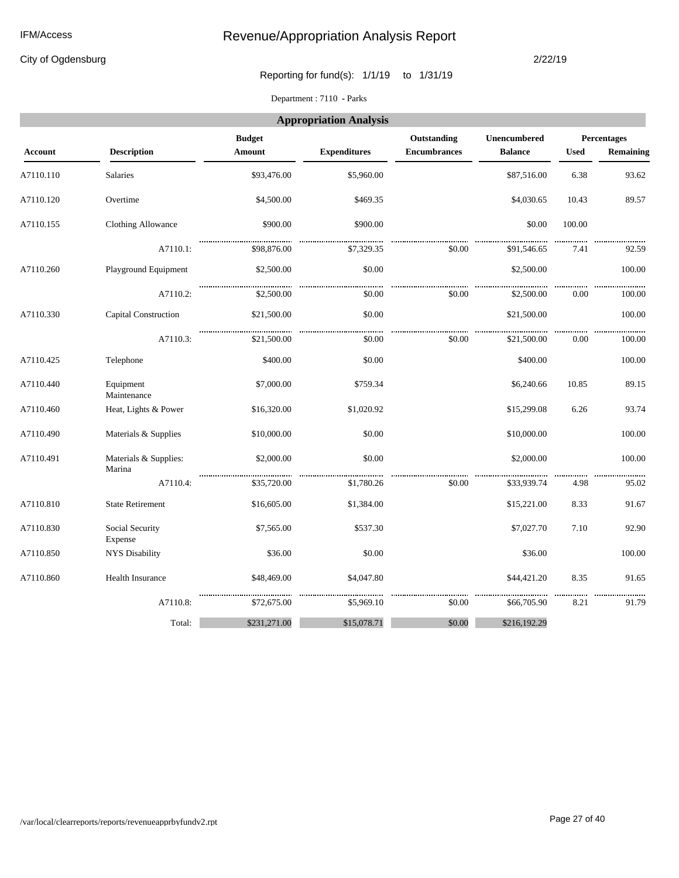#### IFM/Access

# Revenue/Appropriation Analysis Report

City of Ogdensburg

#### 2/22/19

Reporting for fund(s): 1/1/19 to 1/31/19

Department : 7110 **-** Parks

| <b>Appropriation Analysis</b> |                                 |                         |                     |                                    |                                |             |                                 |  |  |  |
|-------------------------------|---------------------------------|-------------------------|---------------------|------------------------------------|--------------------------------|-------------|---------------------------------|--|--|--|
| Account                       | <b>Description</b>              | <b>Budget</b><br>Amount | <b>Expenditures</b> | Outstanding<br><b>Encumbrances</b> | Unencumbered<br><b>Balance</b> | <b>Used</b> | Percentages<br><b>Remaining</b> |  |  |  |
|                               |                                 |                         |                     |                                    |                                |             |                                 |  |  |  |
| A7110.110                     | <b>Salaries</b>                 | \$93,476.00             | \$5,960.00          |                                    | \$87,516.00                    | 6.38        | 93.62                           |  |  |  |
| A7110.120                     | Overtime                        | \$4,500.00              | \$469.35            |                                    | \$4,030.65                     | 10.43       | 89.57                           |  |  |  |
| A7110.155                     | Clothing Allowance              | \$900.00                | \$900.00            |                                    | \$0.00                         | 100.00      |                                 |  |  |  |
|                               | A7110.1:                        | \$98,876.00             | \$7,329.35          | \$0.00                             | \$91,546.65                    | 7.41        | 92.59                           |  |  |  |
| A7110.260                     | Playground Equipment            | \$2,500.00              | \$0.00              |                                    | \$2,500.00                     |             | 100.00                          |  |  |  |
|                               | A7110.2:                        | \$2,500.00              | \$0.00              | \$0.00                             | \$2,500.00                     | 0.00        | 100.00                          |  |  |  |
| A7110.330                     | Capital Construction            | \$21,500.00             | \$0.00              |                                    | \$21,500.00                    |             | 100.00                          |  |  |  |
|                               | A7110.3:                        | \$21,500.00             | \$0.00              | \$0.00                             | \$21,500.00                    | 0.00        | <br>100.00                      |  |  |  |
| A7110.425                     | Telephone                       | \$400.00                | \$0.00              |                                    | \$400.00                       |             | 100.00                          |  |  |  |
| A7110.440                     | Equipment<br>Maintenance        | \$7,000.00              | \$759.34            |                                    | \$6,240.66                     | 10.85       | 89.15                           |  |  |  |
| A7110.460                     | Heat, Lights & Power            | \$16,320.00             | \$1,020.92          |                                    | \$15,299.08                    | 6.26        | 93.74                           |  |  |  |
| A7110.490                     | Materials & Supplies            | \$10,000.00             | \$0.00              |                                    | \$10,000.00                    |             | 100.00                          |  |  |  |
| A7110.491                     | Materials & Supplies:<br>Marina | \$2,000.00              | \$0.00              |                                    | \$2,000.00                     |             | 100.00                          |  |  |  |
|                               | A7110.4:                        | \$35,720.00             | \$1,780.26          | \$0.00                             | \$33,939.74                    | 4.98        | 95.02                           |  |  |  |
| A7110.810                     | <b>State Retirement</b>         | \$16,605.00             | \$1,384.00          |                                    | \$15,221.00                    | 8.33        | 91.67                           |  |  |  |
| A7110.830                     | Social Security<br>Expense      | \$7,565.00              | \$537.30            |                                    | \$7,027.70                     | 7.10        | 92.90                           |  |  |  |
| A7110.850                     | <b>NYS Disability</b>           | \$36.00                 | \$0.00              |                                    | \$36.00                        |             | 100.00                          |  |  |  |
| A7110.860                     | <b>Health Insurance</b>         | \$48,469.00             | \$4,047.80          |                                    | \$44,421.20                    | 8.35        | 91.65                           |  |  |  |
|                               | A7110.8:                        | \$72,675.00             | \$5,969.10          | \$0.00                             | \$66,705.90                    | 8.21        | 91.79                           |  |  |  |
|                               | Total:                          | \$231,271.00            | \$15,078.71         | \$0.00                             | \$216,192.29                   |             |                                 |  |  |  |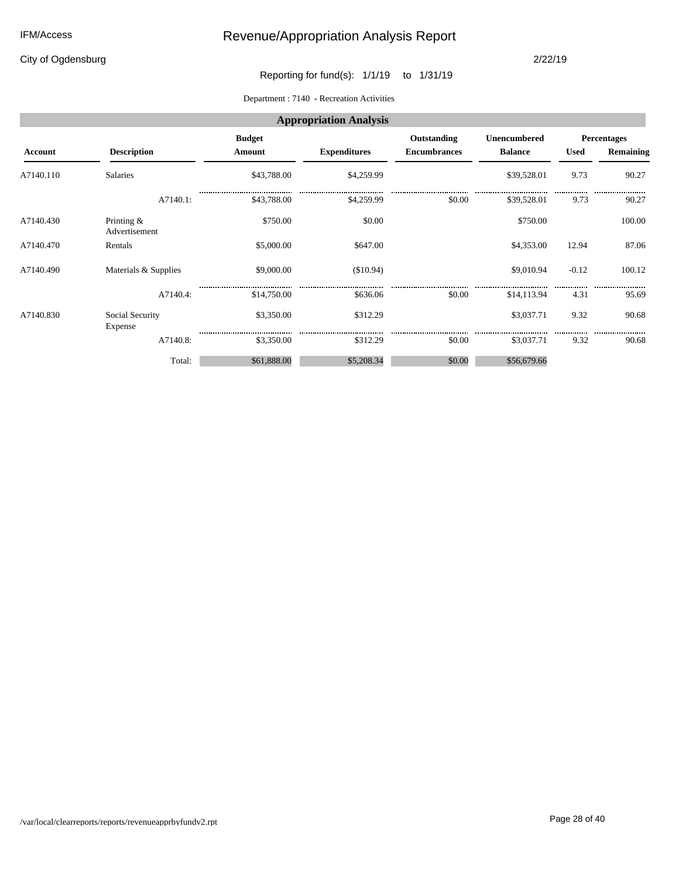City of Ogdensburg

#### 2/22/19

### Reporting for fund(s): 1/1/19 to 1/31/19

Department : 7140 **-** Recreation Activities

|           | <b>Appropriation Analysis</b>  |               |                     |                     |                |                    |           |  |  |  |  |
|-----------|--------------------------------|---------------|---------------------|---------------------|----------------|--------------------|-----------|--|--|--|--|
|           |                                | <b>Budget</b> |                     | Outstanding         | Unencumbered   | <b>Percentages</b> |           |  |  |  |  |
| Account   | <b>Description</b>             | Amount        | <b>Expenditures</b> | <b>Encumbrances</b> | <b>Balance</b> | <b>Used</b>        | Remaining |  |  |  |  |
| A7140.110 | <b>Salaries</b>                | \$43,788.00   | \$4,259.99          |                     | \$39,528.01    | 9.73               | 90.27     |  |  |  |  |
|           | A7140.1:                       | \$43,788.00   | \$4,259.99          | \$0.00              | \$39,528.01    | 9.73               | <br>90.27 |  |  |  |  |
| A7140.430 | Printing $\&$<br>Advertisement | \$750.00      | \$0.00              |                     | \$750.00       |                    | 100.00    |  |  |  |  |
| A7140.470 | Rentals                        | \$5,000.00    | \$647.00            |                     | \$4,353.00     | 12.94              | 87.06     |  |  |  |  |
| A7140.490 | Materials & Supplies           | \$9,000.00    | (\$10.94)           |                     | \$9,010.94     | $-0.12$            | 100.12    |  |  |  |  |
|           | A7140.4:                       | \$14,750.00   | <br>\$636.06        | \$0.00              | \$14,113.94    | .<br>4.31          | <br>95.69 |  |  |  |  |
| A7140.830 | Social Security<br>Expense     | \$3,350.00    | \$312.29            |                     | \$3,037.71     | 9.32               | 90.68     |  |  |  |  |
|           | A7140.8:                       | \$3,350.00    | <br>\$312.29        | <br>\$0.00          | \$3,037.71     | 9.32               | <br>90.68 |  |  |  |  |
|           | Total:                         | \$61,888.00   | \$5,208.34          | \$0.00              | \$56,679.66    |                    |           |  |  |  |  |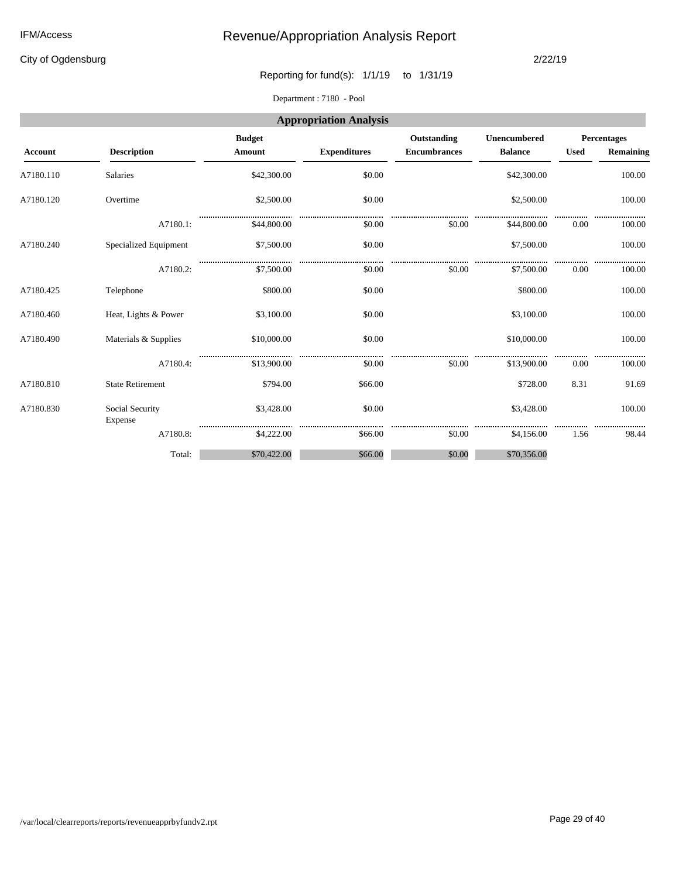#### IFM/Access

# Revenue/Appropriation Analysis Report

City of Ogdensburg

#### 2/22/19

### Reporting for fund(s): 1/1/19 to 1/31/19

Department : 7180 **-** Pool

|                | <b>Appropriation Analysis</b> |                         |                     |                                    |                                |             |                          |  |  |  |  |
|----------------|-------------------------------|-------------------------|---------------------|------------------------------------|--------------------------------|-------------|--------------------------|--|--|--|--|
| <b>Account</b> | <b>Description</b>            | <b>Budget</b><br>Amount | <b>Expenditures</b> | Outstanding<br><b>Encumbrances</b> | Unencumbered<br><b>Balance</b> | <b>Used</b> | Percentages<br>Remaining |  |  |  |  |
| A7180.110      | <b>Salaries</b>               | \$42,300.00             | \$0.00              |                                    | \$42,300.00                    |             | 100.00                   |  |  |  |  |
| A7180.120      | Overtime                      | \$2,500.00              | \$0.00              |                                    | \$2,500.00                     |             | 100.00                   |  |  |  |  |
|                | A7180.1:                      | \$44,800.00             | \$0.00              | \$0.00                             | \$44,800.00                    | 0.00        | 100.00                   |  |  |  |  |
| A7180.240      | Specialized Equipment         | \$7,500.00              | \$0.00              |                                    | \$7,500.00                     |             | 100.00                   |  |  |  |  |
|                | A7180.2:                      | \$7,500.00              | \$0.00              | \$0.00                             | \$7,500.00                     | 0.00        | 100.00                   |  |  |  |  |
| A7180.425      | Telephone                     | \$800.00                | \$0.00              |                                    | \$800.00                       |             | 100.00                   |  |  |  |  |
| A7180.460      | Heat, Lights & Power          | \$3,100.00              | \$0.00              |                                    | \$3,100.00                     |             | 100.00                   |  |  |  |  |
| A7180.490      | Materials & Supplies          | \$10,000.00             | \$0.00              |                                    | \$10,000.00                    |             | 100.00                   |  |  |  |  |
|                | A7180.4:                      | \$13,900.00             | \$0.00              | \$0.00                             | \$13,900.00                    | 0.00        | 100.00                   |  |  |  |  |
| A7180.810      | <b>State Retirement</b>       | \$794.00                | \$66.00             |                                    | \$728.00                       | 8.31        | 91.69                    |  |  |  |  |
| A7180.830      | Social Security<br>Expense    | \$3,428.00              | \$0.00              |                                    | \$3,428.00                     |             | 100.00                   |  |  |  |  |
|                | A7180.8:                      | \$4,222.00              | \$66.00             | \$0.00                             | \$4,156.00                     | 1.56        | 98.44                    |  |  |  |  |
|                | Total:                        | \$70,422.00             | \$66.00             | \$0.00                             | \$70,356.00                    |             |                          |  |  |  |  |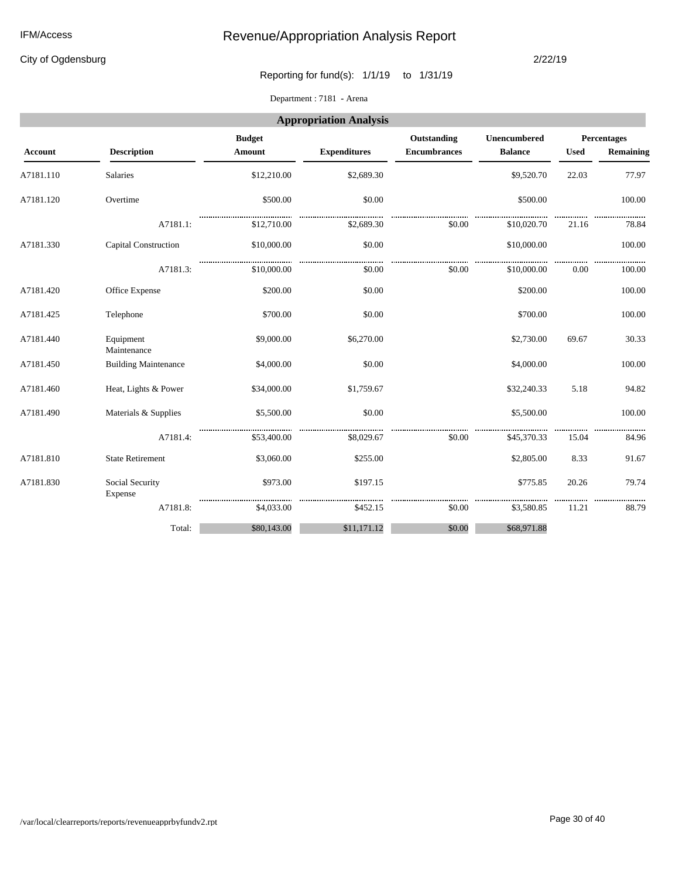#### IFM/Access

# Revenue/Appropriation Analysis Report

City of Ogdensburg

#### 2/22/19

Reporting for fund(s): 1/1/19 to 1/31/19

Department : 7181 **-** Arena

|                | <b>Appropriation Analysis</b> |                         |                     |                                    |                                |             |                          |  |  |  |  |
|----------------|-------------------------------|-------------------------|---------------------|------------------------------------|--------------------------------|-------------|--------------------------|--|--|--|--|
| <b>Account</b> | <b>Description</b>            | <b>Budget</b><br>Amount | <b>Expenditures</b> | Outstanding<br><b>Encumbrances</b> | Unencumbered<br><b>Balance</b> | <b>Used</b> | Percentages<br>Remaining |  |  |  |  |
| A7181.110      | <b>Salaries</b>               | \$12,210.00             | \$2,689.30          |                                    | \$9,520.70                     | 22.03       | 77.97                    |  |  |  |  |
| A7181.120      | Overtime                      | \$500.00                | \$0.00              |                                    | \$500.00                       |             | 100.00                   |  |  |  |  |
|                | A7181.1:                      | \$12,710.00             | \$2,689.30          | \$0.00                             | \$10,020.70                    | 21.16       | 78.84                    |  |  |  |  |
| A7181.330      | <b>Capital Construction</b>   | \$10,000.00             | \$0.00              |                                    | \$10,000.00                    |             | 100.00                   |  |  |  |  |
|                | A7181.3:                      | \$10,000.00             | \$0.00              | \$0.00                             | \$10,000.00                    | 0.00        | 100.00                   |  |  |  |  |
| A7181.420      | Office Expense                | \$200.00                | \$0.00              |                                    | \$200.00                       |             | 100.00                   |  |  |  |  |
| A7181.425      | Telephone                     | \$700.00                | \$0.00              |                                    | \$700.00                       |             | 100.00                   |  |  |  |  |
| A7181.440      | Equipment<br>Maintenance      | \$9,000.00              | \$6,270.00          |                                    | \$2,730.00                     | 69.67       | 30.33                    |  |  |  |  |
| A7181.450      | <b>Building Maintenance</b>   | \$4,000.00              | \$0.00              |                                    | \$4,000.00                     |             | 100.00                   |  |  |  |  |
| A7181.460      | Heat, Lights & Power          | \$34,000.00             | \$1,759.67          |                                    | \$32,240.33                    | 5.18        | 94.82                    |  |  |  |  |
| A7181.490      | Materials & Supplies          | \$5,500.00              | \$0.00              |                                    | \$5,500.00                     |             | 100.00                   |  |  |  |  |
|                | A7181.4:                      | \$53,400.00             | \$8,029.67          | \$0.00                             | \$45,370.33                    | 15.04       | 84.96                    |  |  |  |  |
| A7181.810      | <b>State Retirement</b>       | \$3,060.00              | \$255.00            |                                    | \$2,805.00                     | 8.33        | 91.67                    |  |  |  |  |
| A7181.830      | Social Security<br>Expense    | \$973.00                | \$197.15            |                                    | \$775.85                       | 20.26       | 79.74                    |  |  |  |  |
|                | A7181.8:                      | \$4,033.00              | \$452.15            | \$0.00                             | \$3,580.85                     | 11.21       | 88.79                    |  |  |  |  |
|                | Total:                        | \$80,143.00             | \$11,171.12         | \$0.00                             | \$68,971.88                    |             |                          |  |  |  |  |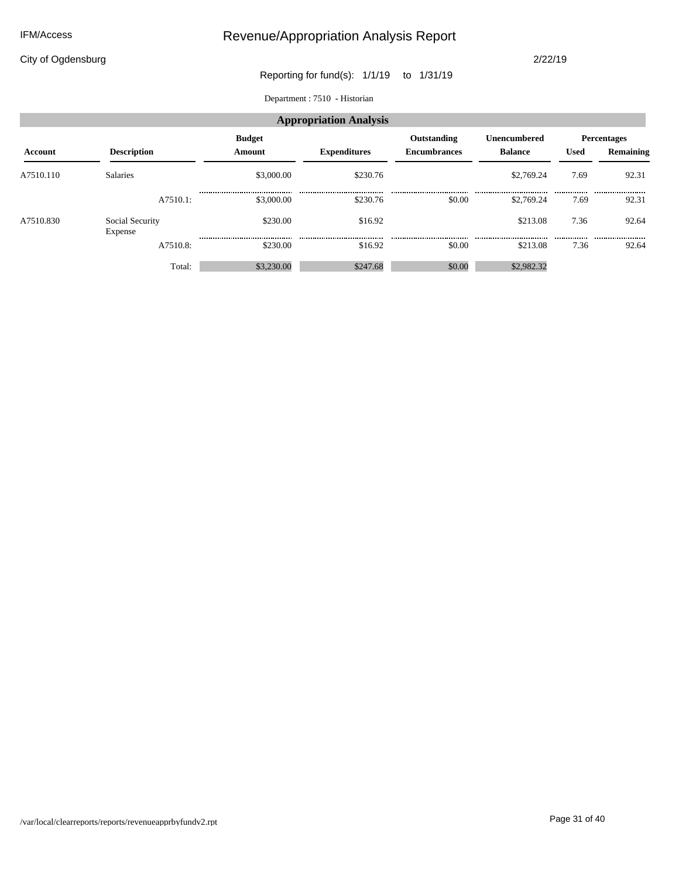City of Ogdensburg

2/22/19

### Reporting for fund(s): 1/1/19 to 1/31/19

Department : 7510 **-** Historian

| <b>Appropriation Analysis</b> |                            |               |                     |                     |                     |             |                    |  |  |  |
|-------------------------------|----------------------------|---------------|---------------------|---------------------|---------------------|-------------|--------------------|--|--|--|
|                               |                            | <b>Budget</b> |                     | Outstanding         | <b>Unencumbered</b> |             | <b>Percentages</b> |  |  |  |
| Account                       | <b>Description</b>         | Amount        | <b>Expenditures</b> | <b>Encumbrances</b> | <b>Balance</b>      | <b>Used</b> | Remaining          |  |  |  |
| A7510.110                     | <b>Salaries</b>            | \$3,000.00    | \$230.76            |                     | \$2,769.24          | 7.69        | 92.31              |  |  |  |
|                               | A7510.1:                   | \$3,000.00    | \$230.76            | \$0.00              | \$2,769.24          | <br>7.69    | <br>92.31          |  |  |  |
| A7510.830                     | Social Security<br>Expense | \$230.00      | \$16.92             |                     | \$213.08            | 7.36        | 92.64              |  |  |  |
|                               | A7510.8:                   | \$230.00      | <br>\$16.92         | <br>\$0.00          | <br>\$213.08        | <br>7.36    | <br>92.64          |  |  |  |
|                               | Total:                     | \$3,230,00    | \$247.68            | \$0.00              | \$2,982.32          |             |                    |  |  |  |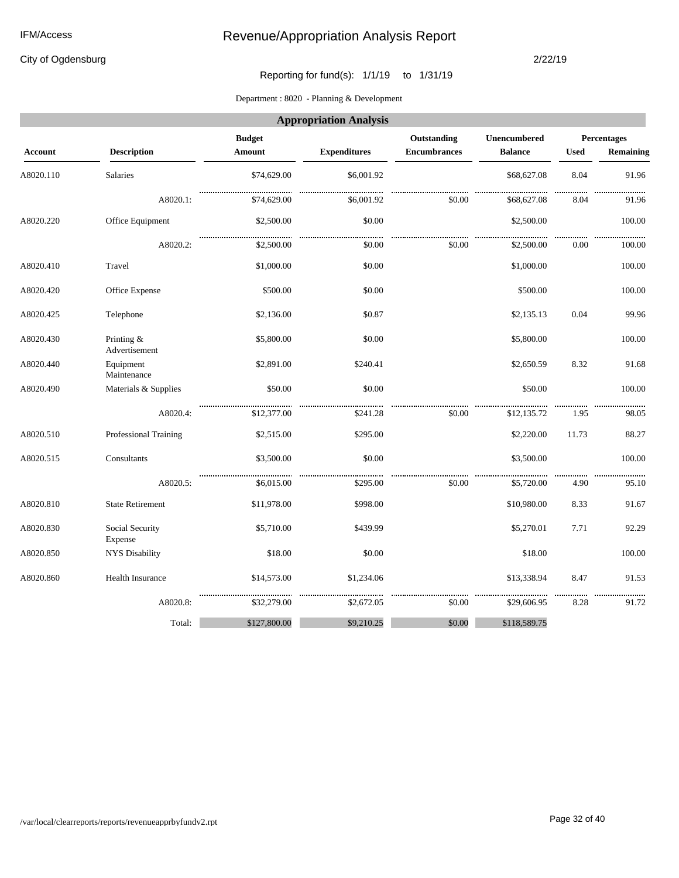City of Ogdensburg

#### 2/22/19

### Reporting for fund(s): 1/1/19 to 1/31/19

Department : 8020 **-** Planning & Development

|                | <b>Appropriation Analysis</b> |               |                     |                     |                |                    |                  |  |  |  |  |
|----------------|-------------------------------|---------------|---------------------|---------------------|----------------|--------------------|------------------|--|--|--|--|
|                |                               | <b>Budget</b> |                     | Outstanding         | Unencumbered   | <b>Percentages</b> |                  |  |  |  |  |
| <b>Account</b> | <b>Description</b>            | Amount        | <b>Expenditures</b> | <b>Encumbrances</b> | <b>Balance</b> | <b>Used</b>        | <b>Remaining</b> |  |  |  |  |
| A8020.110      | <b>Salaries</b>               | \$74,629.00   | \$6,001.92          |                     | \$68,627.08    | 8.04               | 91.96            |  |  |  |  |
|                | A8020.1:                      | \$74,629.00   | \$6,001.92          | \$0.00              | \$68,627.08    | 8.04               | <br>91.96        |  |  |  |  |
| A8020.220      | Office Equipment              | \$2,500.00    | \$0.00              |                     | \$2,500.00     |                    | 100.00           |  |  |  |  |
|                | A8020.2:                      | \$2,500.00    | \$0.00              | \$0.00              | \$2,500.00     | 0.00               | 100.00           |  |  |  |  |
| A8020.410      | Travel                        | \$1,000.00    | \$0.00              |                     | \$1,000.00     |                    | 100.00           |  |  |  |  |
| A8020.420      | Office Expense                | \$500.00      | \$0.00              |                     | \$500.00       |                    | 100.00           |  |  |  |  |
| A8020.425      | Telephone                     | \$2,136.00    | \$0.87              |                     | \$2,135.13     | 0.04               | 99.96            |  |  |  |  |
| A8020.430      | Printing &<br>Advertisement   | \$5,800.00    | \$0.00              |                     | \$5,800.00     |                    | 100.00           |  |  |  |  |
| A8020.440      | Equipment<br>Maintenance      | \$2,891.00    | \$240.41            |                     | \$2,650.59     | 8.32               | 91.68            |  |  |  |  |
| A8020.490      | Materials & Supplies          | \$50.00       | \$0.00              |                     | \$50.00        |                    | 100.00           |  |  |  |  |
|                | A8020.4:                      | \$12,377.00   | \$241.28            | \$0.00              | \$12,135.72    | 1.95               | 98.05            |  |  |  |  |
| A8020.510      | <b>Professional Training</b>  | \$2,515.00    | \$295.00            |                     | \$2,220.00     | 11.73              | 88.27            |  |  |  |  |
| A8020.515      | Consultants                   | \$3,500.00    | \$0.00              |                     | \$3,500.00     |                    | 100.00           |  |  |  |  |
|                | A8020.5:                      | \$6,015.00    | \$295.00            | \$0.00              | \$5,720.00     | 4.90               | 95.10            |  |  |  |  |
| A8020.810      | <b>State Retirement</b>       | \$11,978.00   | \$998.00            |                     | \$10,980.00    | 8.33               | 91.67            |  |  |  |  |
| A8020.830      | Social Security<br>Expense    | \$5,710.00    | \$439.99            |                     | \$5,270.01     | 7.71               | 92.29            |  |  |  |  |
| A8020.850      | <b>NYS Disability</b>         | \$18.00       | \$0.00              |                     | \$18.00        |                    | 100.00           |  |  |  |  |
| A8020.860      | Health Insurance              | \$14,573.00   | \$1,234.06          |                     | \$13,338.94    | 8.47               | 91.53            |  |  |  |  |
|                | A8020.8:                      | \$32,279.00   | \$2,672.05          | \$0.00              | \$29,606.95    | 8.28               | 91.72            |  |  |  |  |
|                | Total:                        | \$127,800.00  | \$9,210.25          | \$0.00              | \$118,589.75   |                    |                  |  |  |  |  |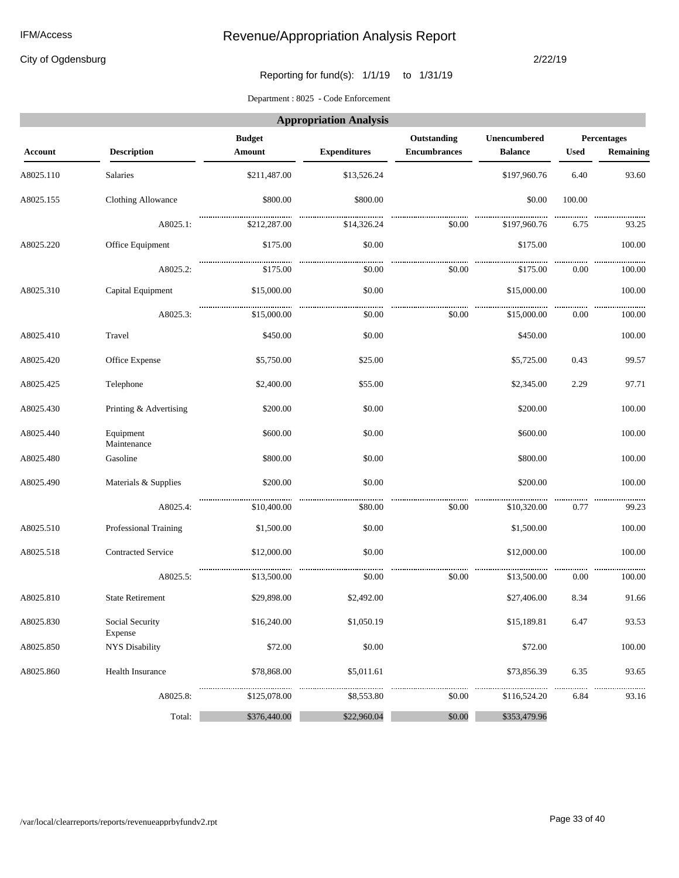City of Ogdensburg

#### 2/22/19

### Reporting for fund(s): 1/1/19 to 1/31/19

Department : 8025 **-** Code Enforcement

|           | <b>Appropriation Analysis</b> |                         |                     |                                    |                                |             |                          |  |  |  |  |
|-----------|-------------------------------|-------------------------|---------------------|------------------------------------|--------------------------------|-------------|--------------------------|--|--|--|--|
| Account   | <b>Description</b>            | <b>Budget</b><br>Amount | <b>Expenditures</b> | Outstanding<br><b>Encumbrances</b> | Unencumbered<br><b>Balance</b> | <b>Used</b> | Percentages<br>Remaining |  |  |  |  |
| A8025.110 | Salaries                      | \$211,487.00            | \$13,526.24         |                                    | \$197,960.76                   | 6.40        | 93.60                    |  |  |  |  |
| A8025.155 | <b>Clothing Allowance</b>     | \$800.00                | \$800.00            |                                    | \$0.00                         | 100.00      |                          |  |  |  |  |
|           | A8025.1:                      | \$212,287.00            | \$14,326.24         | \$0.00                             | \$197,960.76                   | 6.75        | 93.25                    |  |  |  |  |
| A8025.220 | Office Equipment              | \$175.00                | \$0.00              |                                    | \$175.00                       |             | 100.00                   |  |  |  |  |
|           | A8025.2:                      | \$175.00                | \$0.00              | \$0.00                             | \$175.00                       | 0.00        | 100.00                   |  |  |  |  |
| A8025.310 | Capital Equipment             | \$15,000.00             | \$0.00              |                                    | \$15,000.00                    |             | 100.00                   |  |  |  |  |
|           | A8025.3:                      | \$15,000.00             | \$0.00              | \$0.00                             | \$15,000.00                    | 0.00        | 100.00                   |  |  |  |  |
| A8025.410 | Travel                        | \$450.00                | \$0.00              |                                    | \$450.00                       |             | 100.00                   |  |  |  |  |
| A8025.420 | Office Expense                | \$5,750.00              | \$25.00             |                                    | \$5,725.00                     | 0.43        | 99.57                    |  |  |  |  |
| A8025.425 | Telephone                     | \$2,400.00              | \$55.00             |                                    | \$2,345.00                     | 2.29        | 97.71                    |  |  |  |  |
| A8025.430 | Printing & Advertising        | \$200.00                | \$0.00              |                                    | \$200.00                       |             | 100.00                   |  |  |  |  |
| A8025.440 | Equipment<br>Maintenance      | \$600.00                | \$0.00              |                                    | \$600.00                       |             | 100.00                   |  |  |  |  |
| A8025.480 | Gasoline                      | \$800.00                | \$0.00              |                                    | \$800.00                       |             | 100.00                   |  |  |  |  |
| A8025.490 | Materials & Supplies          | \$200.00                | \$0.00              |                                    | \$200.00                       |             | 100.00                   |  |  |  |  |
|           | A8025.4:                      | \$10,400.00             | \$80.00             | \$0.00                             | \$10,320.00                    | 0.77        | 99.23                    |  |  |  |  |
| A8025.510 | Professional Training         | \$1,500.00              | \$0.00              |                                    | \$1,500.00                     |             | 100.00                   |  |  |  |  |
| A8025.518 | <b>Contracted Service</b>     | \$12,000.00             | \$0.00              |                                    | \$12,000.00                    |             | 100.00                   |  |  |  |  |
|           | A8025.5:                      | \$13,500.00             | \$0.00              | \$0.00                             | \$13,500.00                    | 0.00        | 100.00                   |  |  |  |  |
| A8025.810 | <b>State Retirement</b>       | \$29,898.00             | \$2,492.00          |                                    | \$27,406.00                    | 8.34        | 91.66                    |  |  |  |  |
| A8025.830 | Social Security<br>Expense    | \$16,240.00             | \$1,050.19          |                                    | \$15,189.81                    | 6.47        | 93.53                    |  |  |  |  |
| A8025.850 | <b>NYS Disability</b>         | \$72.00                 | \$0.00              |                                    | \$72.00                        |             | 100.00                   |  |  |  |  |
| A8025.860 | Health Insurance              | \$78,868.00             | \$5,011.61          |                                    | \$73,856.39                    | 6.35        | 93.65                    |  |  |  |  |
|           | A8025.8:                      | \$125,078.00            | \$8,553.80          | \$0.00                             | \$116,524.20                   | 6.84        | 93.16                    |  |  |  |  |
|           | Total:                        | \$376,440.00            | \$22,960.04         | \$0.00                             | \$353,479.96                   |             |                          |  |  |  |  |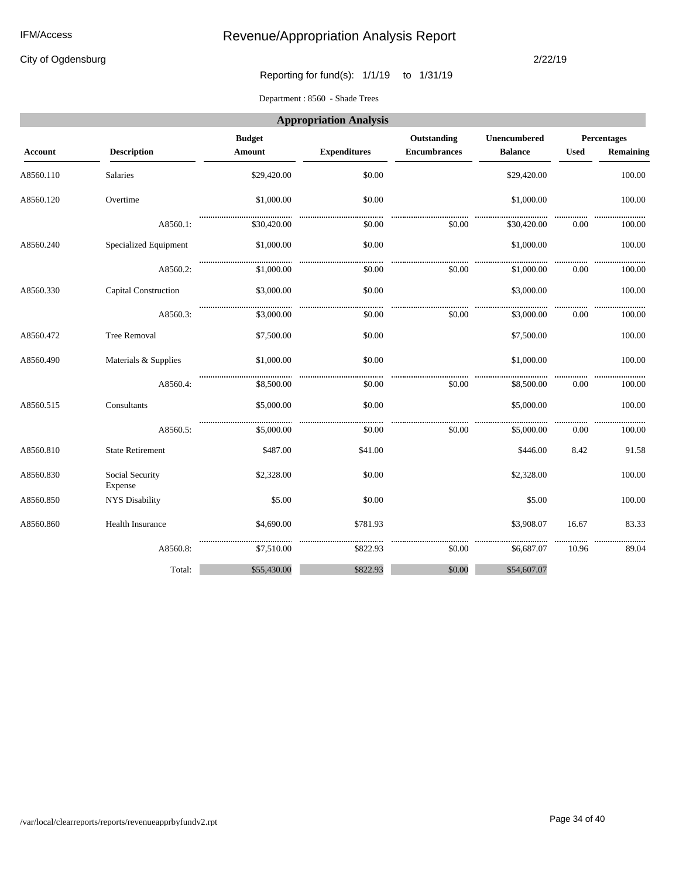#### IFM/Access

# Revenue/Appropriation Analysis Report

City of Ogdensburg

#### 2/22/19

Reporting for fund(s): 1/1/19 to 1/31/19

Department : 8560 **-** Shade Trees

|                | <b>Appropriation Analysis</b> |                                |                     |                                    |                                |             |                          |  |  |  |  |
|----------------|-------------------------------|--------------------------------|---------------------|------------------------------------|--------------------------------|-------------|--------------------------|--|--|--|--|
| <b>Account</b> | <b>Description</b>            | <b>Budget</b><br><b>Amount</b> | <b>Expenditures</b> | Outstanding<br><b>Encumbrances</b> | Unencumbered<br><b>Balance</b> | <b>Used</b> | Percentages<br>Remaining |  |  |  |  |
| A8560.110      | Salaries                      | \$29,420.00                    | \$0.00              |                                    | \$29,420.00                    |             | 100.00                   |  |  |  |  |
| A8560.120      | Overtime                      | \$1,000.00                     | \$0.00              |                                    | \$1,000.00                     |             | 100.00                   |  |  |  |  |
|                | A8560.1:                      | \$30,420.00                    | \$0.00              | \$0.00                             | \$30,420.00                    | 0.00        | 100.00                   |  |  |  |  |
| A8560.240      | Specialized Equipment         | \$1,000.00                     | \$0.00              |                                    | \$1,000.00                     |             | 100.00                   |  |  |  |  |
|                | A8560.2:                      | \$1,000.00                     | \$0.00              | \$0.00                             | \$1,000.00                     | 0.00        | 100.00                   |  |  |  |  |
| A8560.330      | Capital Construction          | \$3,000.00                     | \$0.00              |                                    | \$3,000.00                     |             | 100.00                   |  |  |  |  |
|                | A8560.3:                      | \$3,000.00                     | \$0.00              | \$0.00                             | \$3,000.00                     | 0.00        | 100.00                   |  |  |  |  |
| A8560.472      | <b>Tree Removal</b>           | \$7,500.00                     | \$0.00              |                                    | \$7,500.00                     |             | 100.00                   |  |  |  |  |
| A8560.490      | Materials & Supplies          | \$1,000.00                     | \$0.00              |                                    | \$1,000.00                     |             | 100.00                   |  |  |  |  |
|                | A8560.4:                      | \$8,500.00                     | \$0.00              | \$0.00                             | \$8,500.00                     | 0.00        | 100.00                   |  |  |  |  |
| A8560.515      | Consultants                   | \$5,000.00                     | \$0.00              |                                    | \$5,000.00                     |             | 100.00                   |  |  |  |  |
|                | A8560.5:                      | \$5,000.00                     | \$0.00              | \$0.00                             | \$5,000.00                     | 0.00        | 100.00                   |  |  |  |  |
| A8560.810      | <b>State Retirement</b>       | \$487.00                       | \$41.00             |                                    | \$446.00                       | 8.42        | 91.58                    |  |  |  |  |
| A8560.830      | Social Security<br>Expense    | \$2,328.00                     | \$0.00              |                                    | \$2,328.00                     |             | 100.00                   |  |  |  |  |
| A8560.850      | <b>NYS Disability</b>         | \$5.00                         | \$0.00              |                                    | \$5.00                         |             | 100.00                   |  |  |  |  |
| A8560.860      | Health Insurance              | \$4,690.00                     | \$781.93            |                                    | \$3,908.07                     | 16.67       | 83.33                    |  |  |  |  |
|                | A8560.8:                      | \$7,510.00                     | \$822.93            | \$0.00                             | \$6,687.07                     | 10.96       | 89.04                    |  |  |  |  |
|                | Total:                        | \$55,430.00                    | \$822.93            | \$0.00                             | \$54,607.07                    |             |                          |  |  |  |  |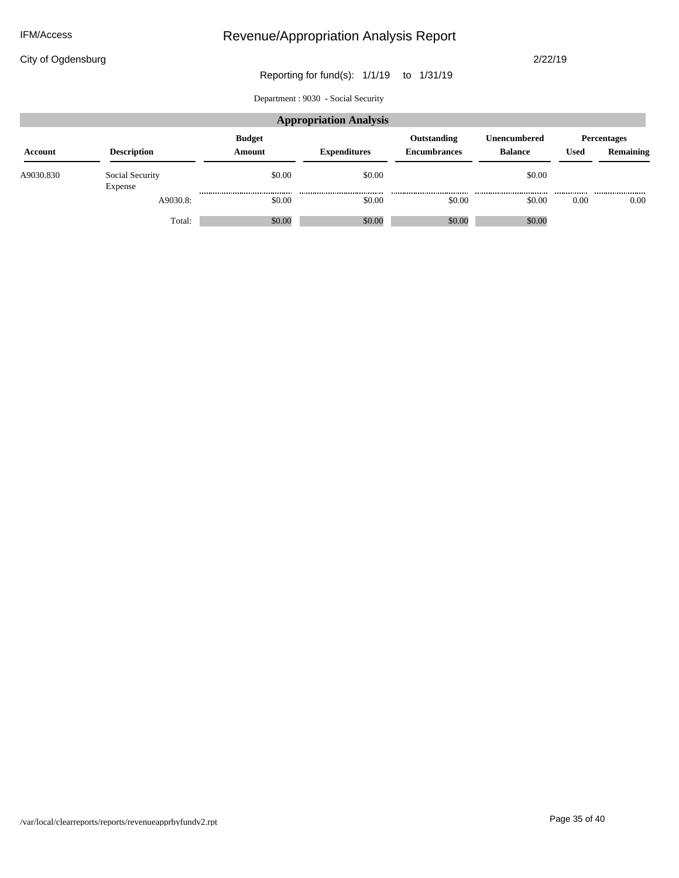City of Ogdensburg

2/22/19

Reporting for fund(s): 1/1/19 to 1/31/19

Department : 9030 **-** Social Security

|           |                            |                         | <b>Appropriation Analysis</b> |                                    |                                |             |                                 |
|-----------|----------------------------|-------------------------|-------------------------------|------------------------------------|--------------------------------|-------------|---------------------------------|
| Account   | <b>Description</b>         | <b>Budget</b><br>Amount | <b>Expenditures</b>           | Outstanding<br><b>Encumbrances</b> | Unencumbered<br><b>Balance</b> | <b>Used</b> | <b>Percentages</b><br>Remaining |
| A9030.830 | Social Security<br>Expense | \$0.00                  | \$0.00                        |                                    | \$0.00                         |             |                                 |
|           | A9030.8:                   | \$0.00                  | \$0.00                        | <br>\$0.00                         | <br>\$0.00                     | <br>0.00    | <br>0.00                        |
|           | Total:                     | \$0.00                  | \$0.00                        | \$0.00                             | \$0.00                         |             |                                 |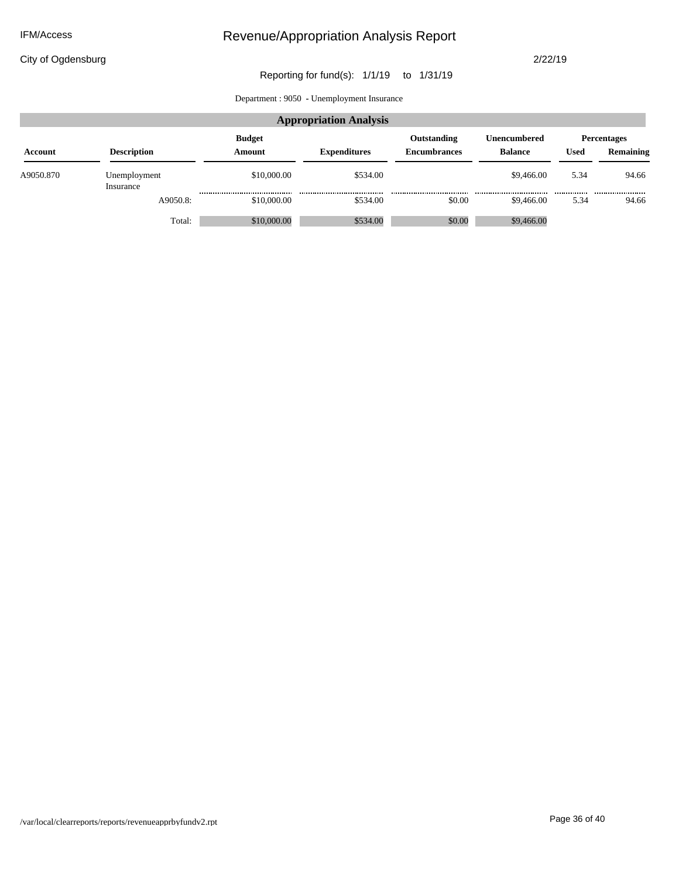City of Ogdensburg

2/22/19

### Reporting for fund(s): 1/1/19 to 1/31/19

Department : 9050 **-** Unemployment Insurance

|           |                           |                         | <b>Appropriation Analysis</b> |                                    |                                       |             |                                 |
|-----------|---------------------------|-------------------------|-------------------------------|------------------------------------|---------------------------------------|-------------|---------------------------------|
| Account   | <b>Description</b>        | <b>Budget</b><br>Amount | <b>Expenditures</b>           | Outstanding<br><b>Encumbrances</b> | <b>Unencumbered</b><br><b>Balance</b> | <b>Used</b> | <b>Percentages</b><br>Remaining |
| A9050.870 | Unemployment<br>Insurance | \$10,000.00             | \$534.00                      |                                    | \$9,466.00                            | 5.34        | 94.66                           |
|           | A9050.8:                  | \$10,000.00             | \$534.00                      | <br>\$0.00                         | <br>\$9,466.00                        | <br>5.34    | <br>94.66                       |
|           | Total:                    | \$10,000.00             | \$534.00                      | \$0.00                             | \$9,466.00                            |             |                                 |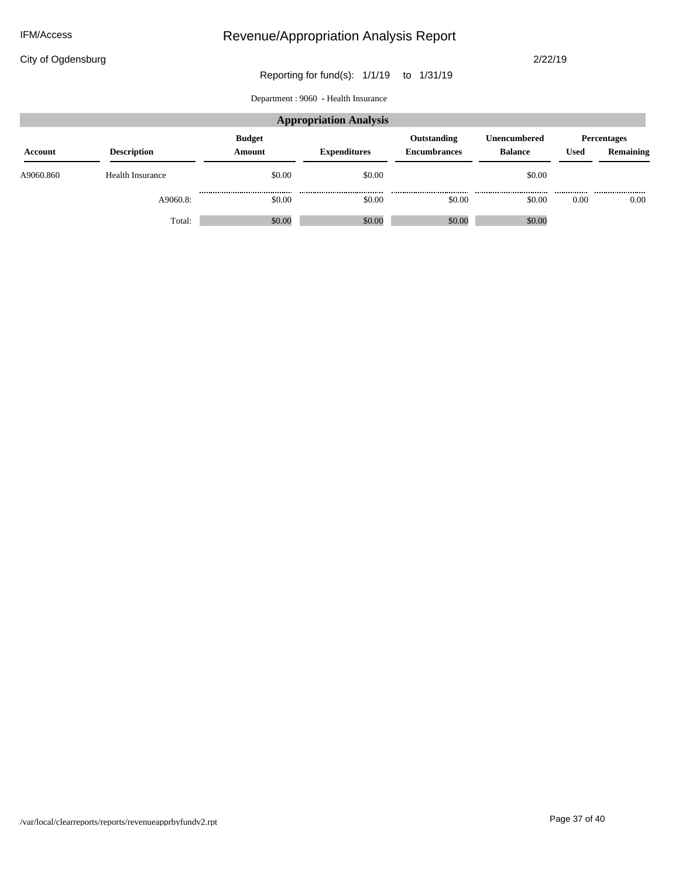City of Ogdensburg

2/22/19

### Reporting for fund(s): 1/1/19 to 1/31/19

Department : 9060 **-** Health Insurance

|           | <b>Appropriation Analysis</b> |                         |                     |                                    |                                |          |                                 |  |  |  |  |
|-----------|-------------------------------|-------------------------|---------------------|------------------------------------|--------------------------------|----------|---------------------------------|--|--|--|--|
| Account   | <b>Description</b>            | <b>Budget</b><br>Amount | <b>Expenditures</b> | Outstanding<br><b>Encumbrances</b> | Unencumbered<br><b>Balance</b> | Used     | <b>Percentages</b><br>Remaining |  |  |  |  |
| A9060.860 | <b>Health Insurance</b>       | \$0.00                  | \$0.00              |                                    | \$0.00                         |          |                                 |  |  |  |  |
|           | A9060.8:                      | \$0.00                  | <br>\$0.00          | <br>\$0.00                         | <br>\$0.00                     | <br>0.00 | <br>0.00                        |  |  |  |  |
|           | Total:                        | \$0.00                  | \$0.00              | \$0.00                             | \$0.00                         |          |                                 |  |  |  |  |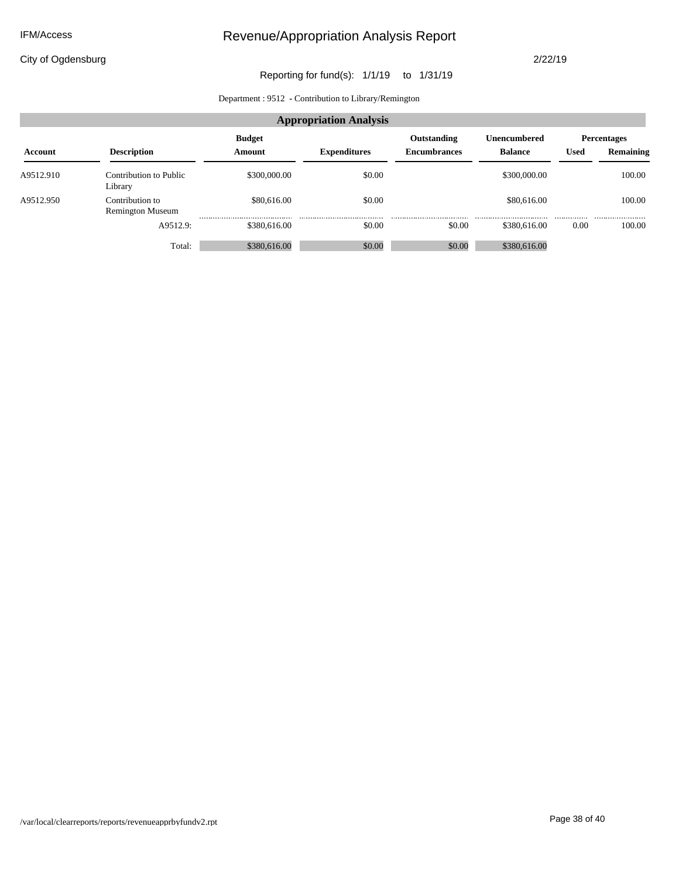City of Ogdensburg

2/22/19

### Reporting for fund(s): 1/1/19 to 1/31/19

Department : 9512 **-** Contribution to Library/Remington

|           | <b>Appropriation Analysis</b>       |                         |                     |                                           |                                                  |             |                                 |  |  |  |  |
|-----------|-------------------------------------|-------------------------|---------------------|-------------------------------------------|--------------------------------------------------|-------------|---------------------------------|--|--|--|--|
| Account   | <b>Description</b>                  | <b>Budget</b><br>Amount | <b>Expenditures</b> | <b>Outstanding</b><br><b>Encumbrances</b> | Unencumbered<br><b>Balance</b>                   | <b>Used</b> | <b>Percentages</b><br>Remaining |  |  |  |  |
| A9512.910 | Contribution to Public<br>Library   | \$300,000.00            | \$0.00              |                                           | \$300,000.00                                     |             | 100.00                          |  |  |  |  |
| A9512.950 | Contribution to<br>Remington Museum | \$80,616.00             | \$0.00              |                                           | \$80,616.00<br>,,,,,,,,,,,,,,,,,,,,,,,,,,,,,,,,, |             | 100.00<br>                      |  |  |  |  |
|           | A9512.9:                            | \$380,616.00            | \$0.00              | \$0.00                                    | \$380,616.00                                     | 0.00        | 100.00                          |  |  |  |  |
|           | Total:                              | \$380,616.00            | \$0.00              | \$0.00                                    | \$380,616.00                                     |             |                                 |  |  |  |  |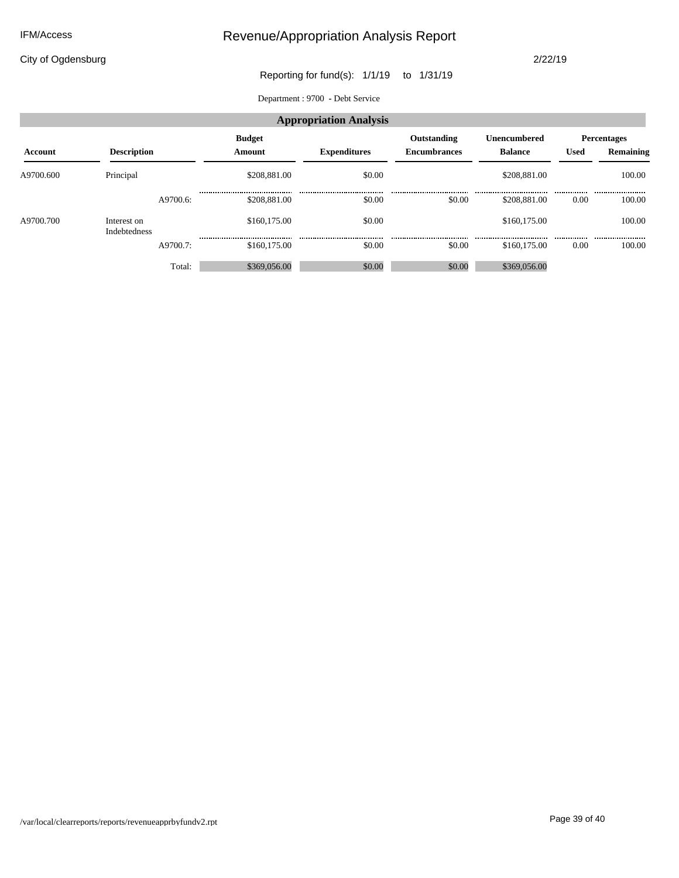City of Ogdensburg

2/22/19

Reporting for fund(s): 1/1/19 to 1/31/19

Department : 9700 **-** Debt Service

|           | <b>Appropriation Analysis</b> |          |                         |                     |                                    |                                       |             |                                 |  |  |  |
|-----------|-------------------------------|----------|-------------------------|---------------------|------------------------------------|---------------------------------------|-------------|---------------------------------|--|--|--|
| Account   | <b>Description</b>            |          | <b>Budget</b><br>Amount | <b>Expenditures</b> | Outstanding<br><b>Encumbrances</b> | <b>Unencumbered</b><br><b>Balance</b> | <b>Used</b> | <b>Percentages</b><br>Remaining |  |  |  |
| A9700.600 | Principal                     |          | \$208,881.00            | \$0.00              |                                    | \$208,881.00                          |             | 100.00                          |  |  |  |
|           |                               | A9700.6: | \$208,881.00            | \$0.00              | \$0.00                             | \$208,881.00                          | <br>0.00    | <br>100.00                      |  |  |  |
| A9700.700 | Interest on<br>Indebtedness   |          | \$160,175.00            | \$0.00              |                                    | \$160,175,00                          |             | 100.00                          |  |  |  |
|           |                               | A9700.7: | \$160,175,00            | <br>\$0.00          | <br>\$0.00                         | <br>\$160,175.00                      | <br>0.00    | <br>100.00                      |  |  |  |
|           |                               | Total:   | \$369,056.00            | \$0.00              | \$0.00                             | \$369,056.00                          |             |                                 |  |  |  |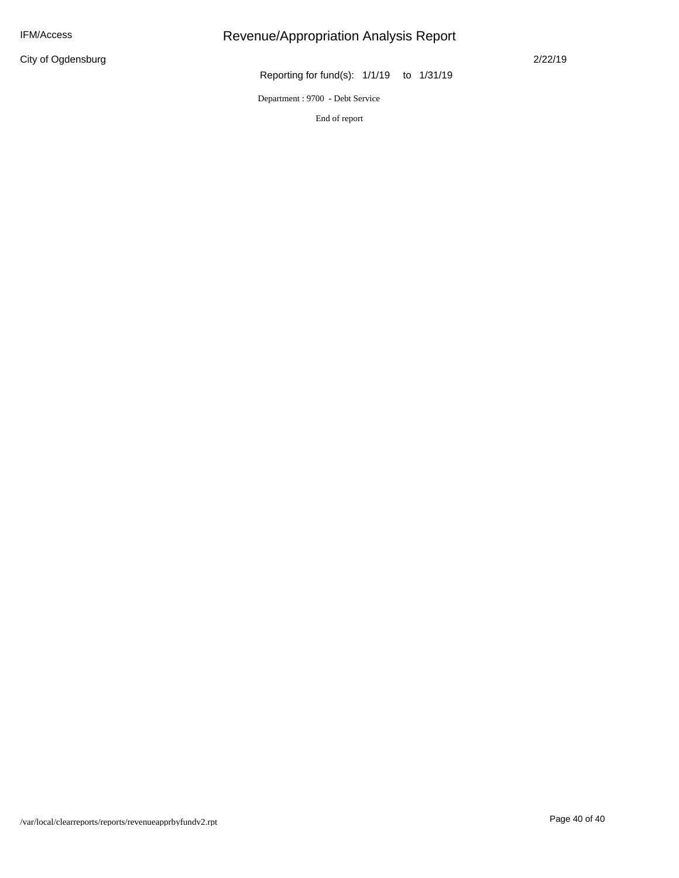City of Ogdensburg

# Revenue/Appropriation Analysis Report

2/22/19

Reporting for fund(s): 1/1/19 to 1/31/19

Department : 9700 **-** Debt Service

End of report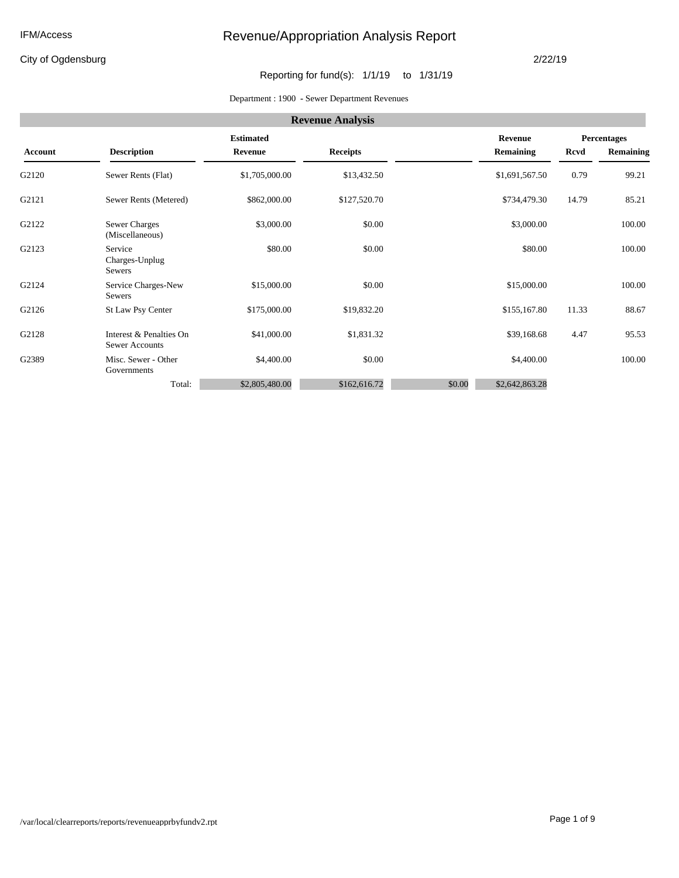City of Ogdensburg

#### 2/22/19

### Reporting for fund(s): 1/1/19 to 1/31/19

#### Department : 1900 **-** Sewer Department Revenues

|         | <b>Revenue Analysis</b>                          |                  |                 |        |                |             |             |  |  |  |  |  |
|---------|--------------------------------------------------|------------------|-----------------|--------|----------------|-------------|-------------|--|--|--|--|--|
|         |                                                  | <b>Estimated</b> |                 |        | Revenue        |             | Percentages |  |  |  |  |  |
| Account | <b>Description</b>                               | Revenue          | <b>Receipts</b> |        | Remaining      | <b>Rcvd</b> | Remaining   |  |  |  |  |  |
| G2120   | Sewer Rents (Flat)                               | \$1,705,000.00   | \$13,432.50     |        | \$1,691,567.50 | 0.79        | 99.21       |  |  |  |  |  |
| G2121   | Sewer Rents (Metered)                            | \$862,000.00     | \$127,520.70    |        | \$734,479.30   | 14.79       | 85.21       |  |  |  |  |  |
| G2122   | <b>Sewer Charges</b><br>(Miscellaneous)          | \$3,000.00       | \$0.00          |        | \$3,000.00     |             | 100.00      |  |  |  |  |  |
| G2123   | Service<br>Charges-Unplug<br>Sewers              | \$80.00          | \$0.00          |        | \$80.00        |             | 100.00      |  |  |  |  |  |
| G2124   | Service Charges-New<br>Sewers                    | \$15,000.00      | \$0.00          |        | \$15,000.00    |             | 100.00      |  |  |  |  |  |
| G2126   | St Law Psy Center                                | \$175,000.00     | \$19,832.20     |        | \$155,167.80   | 11.33       | 88.67       |  |  |  |  |  |
| G2128   | Interest & Penalties On<br><b>Sewer Accounts</b> | \$41,000.00      | \$1,831.32      |        | \$39,168.68    | 4.47        | 95.53       |  |  |  |  |  |
| G2389   | Misc. Sewer - Other<br>Governments               | \$4,400.00       | \$0.00          |        | \$4,400.00     |             | 100.00      |  |  |  |  |  |
|         | Total:                                           | \$2,805,480.00   | \$162,616.72    | \$0.00 | \$2,642,863.28 |             |             |  |  |  |  |  |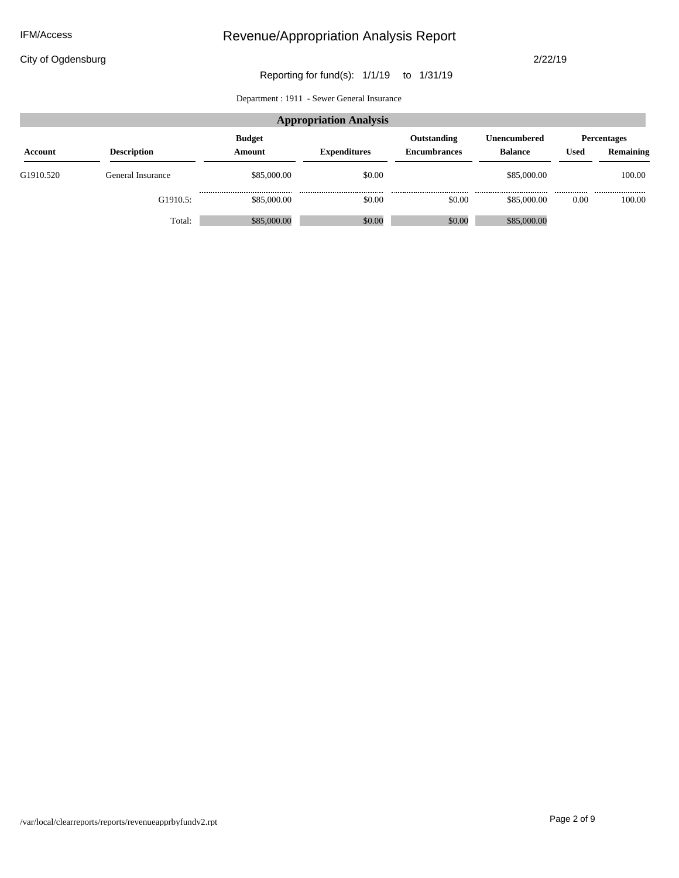City of Ogdensburg

2/22/19

### Reporting for fund(s): 1/1/19 to 1/31/19

Department : 1911 **-** Sewer General Insurance

|           |                    |                         | <b>Appropriation Analysis</b> |                                    |                                |             |                                 |
|-----------|--------------------|-------------------------|-------------------------------|------------------------------------|--------------------------------|-------------|---------------------------------|
| Account   | <b>Description</b> | <b>Budget</b><br>Amount | <b>Expenditures</b>           | Outstanding<br><b>Encumbrances</b> | Unencumbered<br><b>Balance</b> | <b>Used</b> | <b>Percentages</b><br>Remaining |
| G1910.520 | General Insurance  | \$85,000.00             | \$0.00                        |                                    | \$85,000.00                    |             | 100.00                          |
|           | G1910.5:           | \$85,000.00             | <br>\$0.00                    | <br>\$0.00                         | <br>\$85,000.00                | <br>0.00    | <br>100.00                      |
|           | Total:             | \$85,000.00             | \$0.00                        | \$0.00                             | \$85,000.00                    |             |                                 |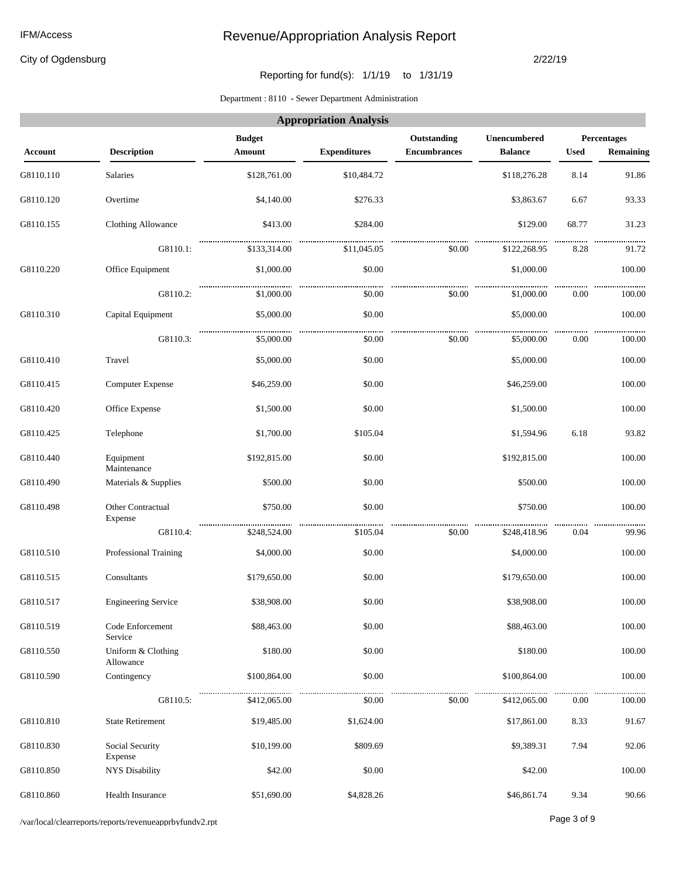City of Ogdensburg

#### 2/22/19

### Reporting for fund(s): 1/1/19 to 1/31/19

#### Department : 8110 **-** Sewer Department Administration

| <b>Appropriation Analysis</b> |                                 |                         |                     |                                    |                                |             |                          |  |  |
|-------------------------------|---------------------------------|-------------------------|---------------------|------------------------------------|--------------------------------|-------------|--------------------------|--|--|
| Account                       | <b>Description</b>              | <b>Budget</b><br>Amount | <b>Expenditures</b> | Outstanding<br><b>Encumbrances</b> | Unencumbered<br><b>Balance</b> | <b>Used</b> | Percentages<br>Remaining |  |  |
| G8110.110                     | Salaries                        | \$128,761.00            | \$10,484.72         |                                    | \$118,276.28                   | 8.14        | 91.86                    |  |  |
| G8110.120                     | Overtime                        | \$4,140.00              | \$276.33            |                                    | \$3,863.67                     | 6.67        | 93.33                    |  |  |
| G8110.155                     | Clothing Allowance              | \$413.00                | \$284.00            |                                    | \$129.00                       | 68.77       | 31.23                    |  |  |
|                               | G8110.1:                        | \$133,314.00            | \$11,045.05         | \$0.00                             | \$122,268.95                   | 8.28        | 91.72                    |  |  |
| G8110.220                     | Office Equipment                | \$1,000.00              | \$0.00              |                                    | \$1,000.00                     |             | 100.00                   |  |  |
|                               | G8110.2:                        | <br>\$1,000.00          | .<br>\$0.00         | \$0.00                             | \$1,000.00                     | 0.00        | <br>100.00               |  |  |
| G8110.310                     | Capital Equipment               | \$5,000.00              | \$0.00              |                                    | \$5,000.00                     |             | 100.00                   |  |  |
|                               | G8110.3:                        | \$5,000.00              | \$0.00              | \$0.00                             | \$5,000.00                     | 0.00        | 100.00                   |  |  |
| G8110.410                     | Travel                          | \$5,000.00              | \$0.00              |                                    | \$5,000.00                     |             | 100.00                   |  |  |
| G8110.415                     | <b>Computer Expense</b>         | \$46,259.00             | \$0.00              |                                    | \$46,259.00                    |             | 100.00                   |  |  |
| G8110.420                     | Office Expense                  | \$1,500.00              | \$0.00              |                                    | \$1,500.00                     |             | 100.00                   |  |  |
| G8110.425                     | Telephone                       | \$1,700.00              | \$105.04            |                                    | \$1,594.96                     | 6.18        | 93.82                    |  |  |
| G8110.440                     | Equipment<br>Maintenance        | \$192,815.00            | \$0.00              |                                    | \$192,815.00                   |             | 100.00                   |  |  |
| G8110.490                     | Materials & Supplies            | \$500.00                | \$0.00              |                                    | \$500.00                       |             | 100.00                   |  |  |
| G8110.498                     | Other Contractual<br>Expense    | \$750.00                | \$0.00              |                                    | \$750.00                       |             | 100.00                   |  |  |
|                               | G8110.4:                        | \$248,524.00            | \$105.04            | \$0.00                             | \$248,418.96                   | 0.04        | 99.96                    |  |  |
| G8110.510                     | Professional Training           | \$4,000.00              | \$0.00              |                                    | \$4,000.00                     |             | 100.00                   |  |  |
| G8110.515                     | Consultants                     | \$179,650.00            | \$0.00              |                                    | \$179,650.00                   |             | 100.00                   |  |  |
| G8110.517                     | <b>Engineering Service</b>      | \$38,908.00             | \$0.00              |                                    | \$38,908.00                    |             | 100.00                   |  |  |
| G8110.519                     | Code Enforcement<br>Service     | \$88,463.00             | \$0.00              |                                    | \$88,463.00                    |             | 100.00                   |  |  |
| G8110.550                     | Uniform & Clothing<br>Allowance | \$180.00                | \$0.00              |                                    | \$180.00                       |             | 100.00                   |  |  |
| G8110.590                     | Contingency                     | \$100,864.00            | \$0.00              |                                    | \$100,864.00                   |             | 100.00                   |  |  |
|                               | G8110.5:                        | \$412,065.00            | \$0.00              | \$0.00                             | \$412,065.00                   | 0.00        | .<br>100.00              |  |  |
| G8110.810                     | <b>State Retirement</b>         | \$19,485.00             | \$1,624.00          |                                    | \$17,861.00                    | 8.33        | 91.67                    |  |  |
| G8110.830                     | Social Security<br>Expense      | \$10,199.00             | \$809.69            |                                    | \$9,389.31                     | 7.94        | 92.06                    |  |  |
| G8110.850                     | NYS Disability                  | \$42.00                 | \$0.00              |                                    | \$42.00                        |             | 100.00                   |  |  |
| G8110.860                     | Health Insurance                | \$51,690.00             | \$4,828.26          |                                    | \$46,861.74                    | 9.34        | 90.66                    |  |  |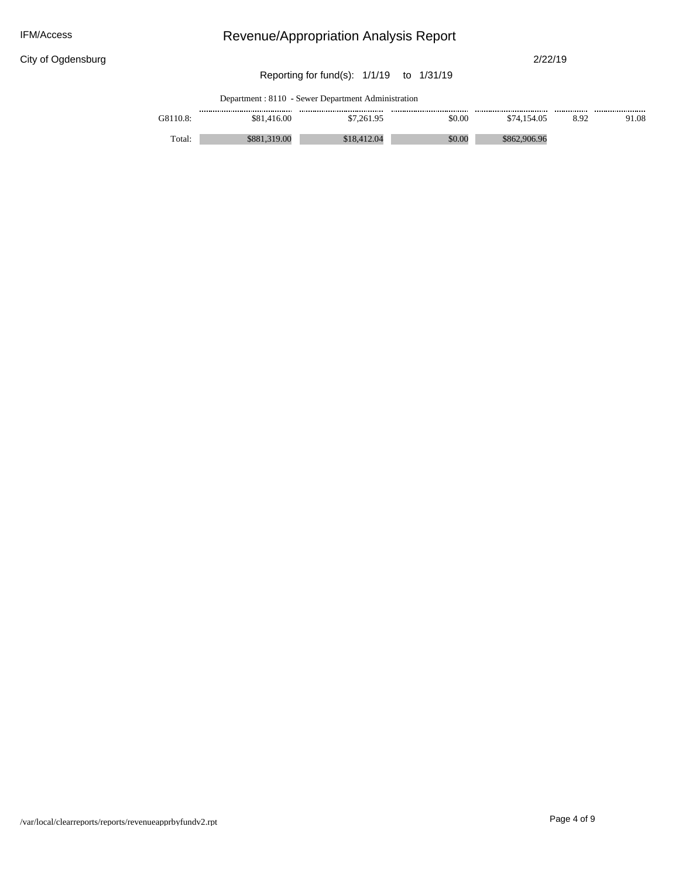City of Ogdensburg

2/22/19

### Reporting for fund(s): 1/1/19 to 1/31/19

Department : 8110 **-** Sewer Department Administration

| G8110.8: | 5.00<br>DÖ. | 1.261.95 | <br>\$0.00 |                   | <br><br>1.08 |
|----------|-------------|----------|------------|-------------------|--------------|
| Total:   | .vu         |          | \$0.00     | .906.96<br>\$862. |              |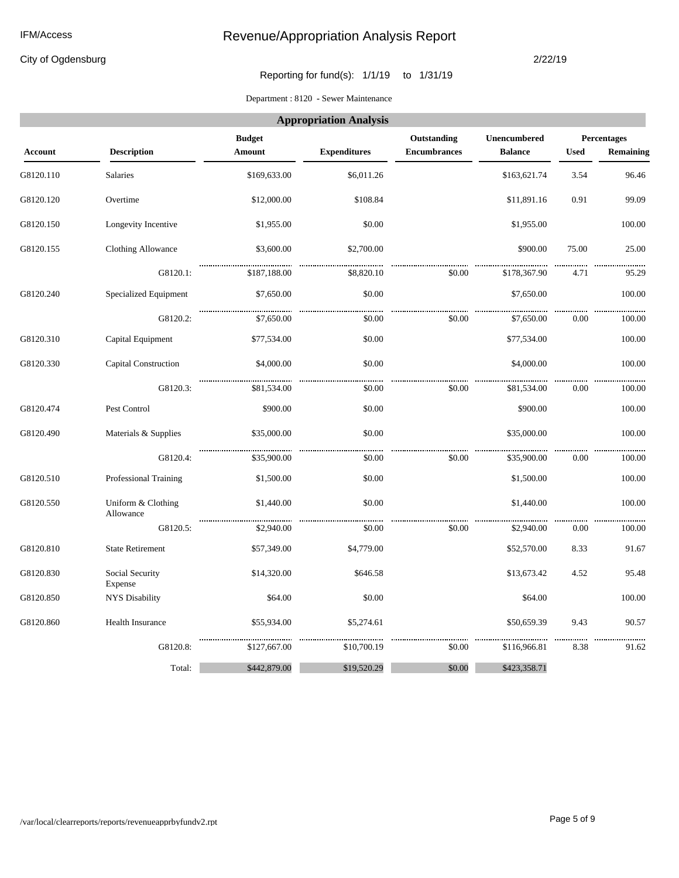City of Ogdensburg

#### 2/22/19

### Reporting for fund(s): 1/1/19 to 1/31/19

Department : 8120 **-** Sewer Maintenance

| <b>Appropriation Analysis</b> |                                 |                         |                     |                                    |                                |             |                                 |  |  |  |
|-------------------------------|---------------------------------|-------------------------|---------------------|------------------------------------|--------------------------------|-------------|---------------------------------|--|--|--|
| <b>Account</b>                | <b>Description</b>              | <b>Budget</b><br>Amount | <b>Expenditures</b> | Outstanding<br><b>Encumbrances</b> | Unencumbered<br><b>Balance</b> | <b>Used</b> | <b>Percentages</b><br>Remaining |  |  |  |
| G8120.110                     | Salaries                        | \$169,633.00            | \$6,011.26          |                                    | \$163,621.74                   | 3.54        | 96.46                           |  |  |  |
| G8120.120                     | Overtime                        | \$12,000.00             | \$108.84            |                                    | \$11,891.16                    | 0.91        | 99.09                           |  |  |  |
| G8120.150                     | Longevity Incentive             | \$1,955.00              | \$0.00              |                                    | \$1,955.00                     |             | 100.00                          |  |  |  |
| G8120.155                     | <b>Clothing Allowance</b>       | \$3,600.00              | \$2,700.00          |                                    | \$900.00                       | 75.00       | 25.00                           |  |  |  |
|                               | G8120.1:                        | \$187,188.00            | \$8,820.10          | \$0.00                             | \$178,367.90                   | 4.71        | 95.29                           |  |  |  |
| G8120.240                     | Specialized Equipment           | \$7,650.00              | \$0.00              |                                    | \$7,650.00                     |             | 100.00                          |  |  |  |
|                               | G8120.2:                        | \$7,650.00              | \$0.00              | \$0.00                             | \$7,650.00                     | 0.00        | 100.00                          |  |  |  |
| G8120.310                     | Capital Equipment               | \$77,534.00             | \$0.00              |                                    | \$77,534.00                    |             | 100.00                          |  |  |  |
| G8120.330                     | Capital Construction            | \$4,000.00              | \$0.00              |                                    | \$4,000.00                     |             | 100.00                          |  |  |  |
|                               | G8120.3:                        | \$81,534.00             | \$0.00              | \$0.00                             | \$81,534.00                    | 0.00        | 100.00                          |  |  |  |
| G8120.474                     | Pest Control                    | \$900.00                | \$0.00              |                                    | \$900.00                       |             | 100.00                          |  |  |  |
| G8120.490                     | Materials & Supplies            | \$35,000.00             | \$0.00              |                                    | \$35,000.00                    |             | 100.00                          |  |  |  |
|                               | G8120.4:                        | \$35,900.00             | \$0.00              | \$0.00                             | \$35,900.00                    | 0.00        | 100.00                          |  |  |  |
| G8120.510                     | Professional Training           | \$1,500.00              | \$0.00              |                                    | \$1,500.00                     |             | 100.00                          |  |  |  |
| G8120.550                     | Uniform & Clothing<br>Allowance | \$1,440.00              | \$0.00              |                                    | \$1,440.00                     |             | 100.00                          |  |  |  |
|                               | G8120.5:                        | \$2,940.00              | \$0.00              | \$0.00                             | \$2,940.00                     | 0.00        | 100.00                          |  |  |  |
| G8120.810                     | <b>State Retirement</b>         | \$57,349.00             | \$4,779.00          |                                    | \$52,570.00                    | 8.33        | 91.67                           |  |  |  |
| G8120.830                     | Social Security<br>Expense      | \$14,320.00             | \$646.58            |                                    | \$13,673.42                    | 4.52        | 95.48                           |  |  |  |
| G8120.850                     | <b>NYS Disability</b>           | \$64.00                 | \$0.00              |                                    | \$64.00                        |             | 100.00                          |  |  |  |
| G8120.860                     | <b>Health Insurance</b>         | \$55,934.00             | \$5,274.61          |                                    | \$50,659.39                    | 9.43        | 90.57                           |  |  |  |
|                               | G8120.8:                        | \$127,667.00            | \$10,700.19         | \$0.00                             | \$116,966.81                   | 8.38        | 91.62                           |  |  |  |
|                               | Total:                          | \$442,879.00            | \$19,520.29         | \$0.00                             | \$423,358.71                   |             |                                 |  |  |  |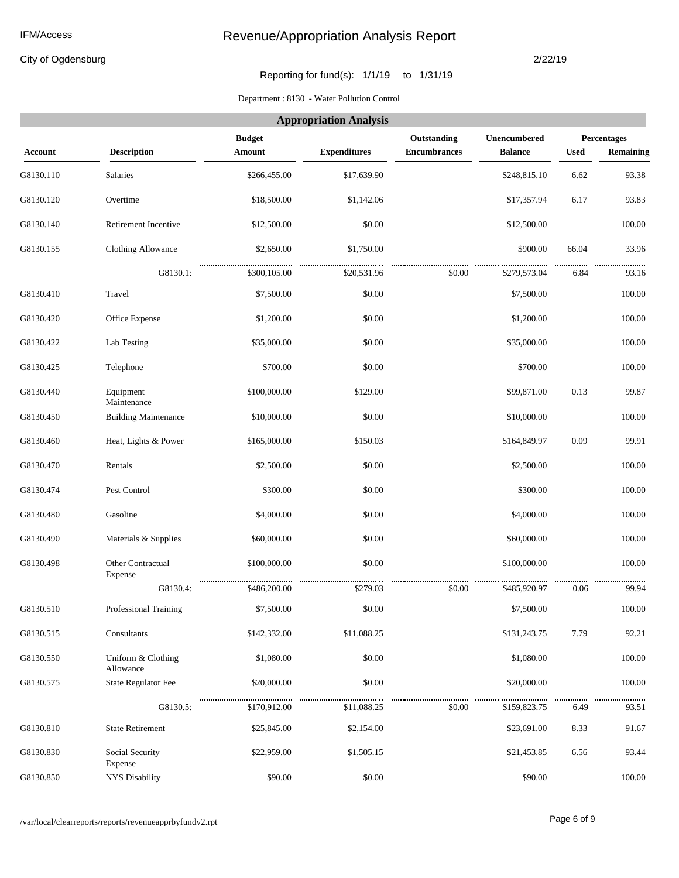City of Ogdensburg

#### 2/22/19

### Reporting for fund(s): 1/1/19 to 1/31/19

Department : 8130 **-** Water Pollution Control

|           | <b>Appropriation Analysis</b>   |                         |                     |                                    |                                |             |                                 |  |  |  |  |
|-----------|---------------------------------|-------------------------|---------------------|------------------------------------|--------------------------------|-------------|---------------------------------|--|--|--|--|
| Account   | <b>Description</b>              | <b>Budget</b><br>Amount | <b>Expenditures</b> | Outstanding<br><b>Encumbrances</b> | Unencumbered<br><b>Balance</b> | <b>Used</b> | <b>Percentages</b><br>Remaining |  |  |  |  |
| G8130.110 | <b>Salaries</b>                 | \$266,455.00            | \$17,639.90         |                                    | \$248,815.10                   | 6.62        | 93.38                           |  |  |  |  |
| G8130.120 | Overtime                        | \$18,500.00             | \$1,142.06          |                                    | \$17,357.94                    | 6.17        | 93.83                           |  |  |  |  |
| G8130.140 | Retirement Incentive            | \$12,500.00             | \$0.00              |                                    | \$12,500.00                    |             | 100.00                          |  |  |  |  |
| G8130.155 | Clothing Allowance              | \$2,650.00              | \$1,750.00          |                                    | \$900.00                       | 66.04       | 33.96                           |  |  |  |  |
|           | G8130.1:                        | \$300,105.00            | \$20,531.96         | \$0.00                             | \$279,573.04                   | 6.84        | 93.16                           |  |  |  |  |
| G8130.410 | Travel                          | \$7,500.00              | \$0.00              |                                    | \$7,500.00                     |             | 100.00                          |  |  |  |  |
| G8130.420 | Office Expense                  | \$1,200.00              | \$0.00              |                                    | \$1,200.00                     |             | 100.00                          |  |  |  |  |
| G8130.422 | Lab Testing                     | \$35,000.00             | \$0.00              |                                    | \$35,000.00                    |             | 100.00                          |  |  |  |  |
| G8130.425 | Telephone                       | \$700.00                | \$0.00              |                                    | \$700.00                       |             | 100.00                          |  |  |  |  |
| G8130.440 | Equipment<br>Maintenance        | \$100,000.00            | \$129.00            |                                    | \$99,871.00                    | 0.13        | 99.87                           |  |  |  |  |
| G8130.450 | <b>Building Maintenance</b>     | \$10,000.00             | \$0.00              |                                    | \$10,000.00                    |             | 100.00                          |  |  |  |  |
| G8130.460 | Heat, Lights & Power            | \$165,000.00            | \$150.03            |                                    | \$164,849.97                   | 0.09        | 99.91                           |  |  |  |  |
| G8130.470 | Rentals                         | \$2,500.00              | \$0.00              |                                    | \$2,500.00                     |             | 100.00                          |  |  |  |  |
| G8130.474 | Pest Control                    | \$300.00                | \$0.00              |                                    | \$300.00                       |             | 100.00                          |  |  |  |  |
| G8130.480 | Gasoline                        | \$4,000.00              | \$0.00              |                                    | \$4,000.00                     |             | 100.00                          |  |  |  |  |
| G8130.490 | Materials & Supplies            | \$60,000.00             | \$0.00              |                                    | \$60,000.00                    |             | 100.00                          |  |  |  |  |
| G8130.498 | Other Contractual<br>Expense    | \$100,000.00            | \$0.00              |                                    | \$100,000.00                   |             | 100.00                          |  |  |  |  |
|           | G8130.4:                        | \$486,200.00            | \$279.03            | \$0.00                             | \$485,920.97                   | 0.06        | 99.94                           |  |  |  |  |
| G8130.510 | Professional Training           | \$7,500.00              | \$0.00              |                                    | \$7,500.00                     |             | 100.00                          |  |  |  |  |
| G8130.515 | Consultants                     | \$142,332.00            | \$11,088.25         |                                    | \$131,243.75                   | 7.79        | 92.21                           |  |  |  |  |
| G8130.550 | Uniform & Clothing<br>Allowance | \$1,080.00              | \$0.00              |                                    | \$1,080.00                     |             | 100.00                          |  |  |  |  |
| G8130.575 | State Regulator Fee             | \$20,000.00             | \$0.00              |                                    | \$20,000.00                    |             | 100.00                          |  |  |  |  |
|           | G8130.5:                        | \$170,912.00            | \$11,088.25         | \$0.00                             | \$159,823.75                   | <br>6.49    | <br>93.51                       |  |  |  |  |
| G8130.810 | <b>State Retirement</b>         | \$25,845.00             | \$2,154.00          |                                    | \$23,691.00                    | 8.33        | 91.67                           |  |  |  |  |
| G8130.830 | Social Security<br>Expense      | \$22,959.00             | \$1,505.15          |                                    | \$21,453.85                    | 6.56        | 93.44                           |  |  |  |  |
| G8130.850 | <b>NYS Disability</b>           | \$90.00                 | \$0.00              |                                    | \$90.00                        |             | 100.00                          |  |  |  |  |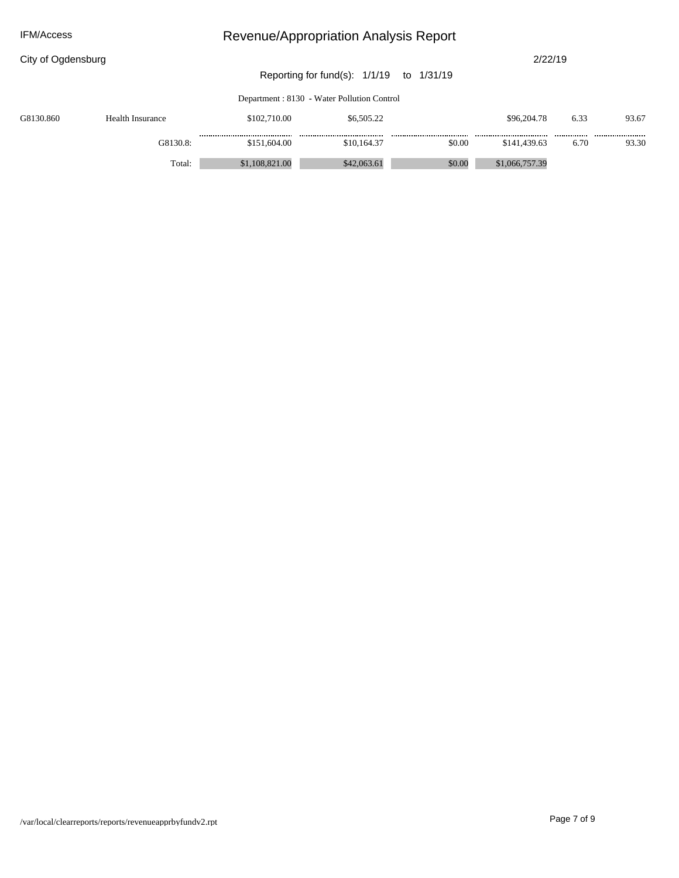| <b>IFM/Access</b>             |                          | Revenue/Appropriation Analysis Report      |            |                |          |           |
|-------------------------------|--------------------------|--------------------------------------------|------------|----------------|----------|-----------|
| City of Ogdensburg            |                          |                                            |            | 2/22/19        |          |           |
|                               |                          | Reporting for fund(s): 1/1/19              | to 1/31/19 |                |          |           |
|                               |                          | Department: 8130 - Water Pollution Control |            |                |          |           |
| G8130.860<br>Health Insurance | \$102,710.00             | \$6,505.22                                 |            | \$96,204.78    | 6.33     | 93.67     |
| G8130.8:                      | \$151,604.00             | \$10,164.37                                | \$0.00     | \$141,439.63   | <br>6.70 | <br>93.30 |
|                               | \$1,108,821.00<br>Total: | \$42,063.61                                | \$0.00     | \$1,066,757.39 |          |           |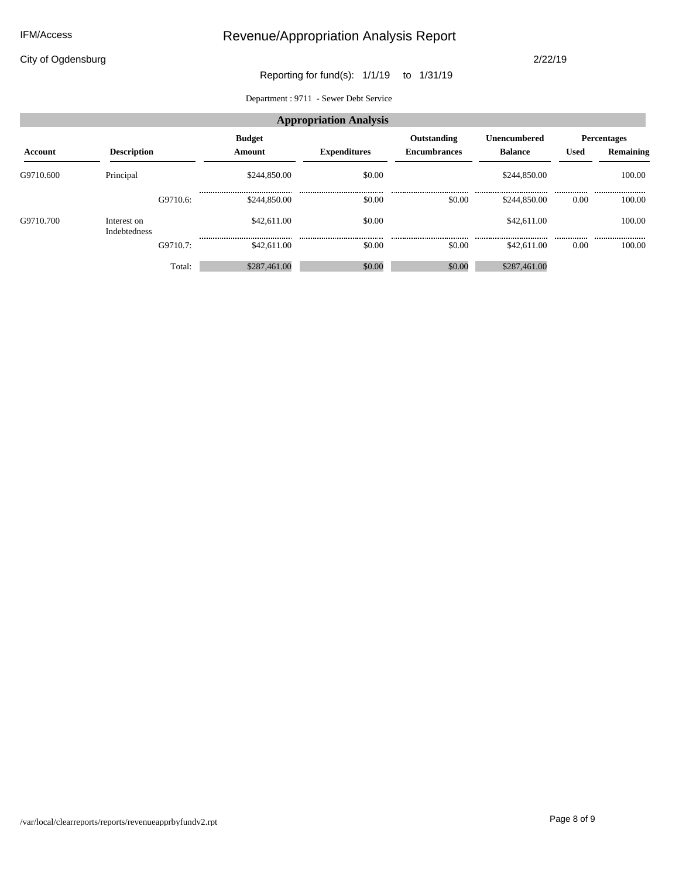City of Ogdensburg

2/22/19

### Reporting for fund(s): 1/1/19 to 1/31/19

Department : 9711 **-** Sewer Debt Service

| <b>Appropriation Analysis</b> |                             |          |                         |                     |                                    |                                                     |             |                                 |  |  |
|-------------------------------|-----------------------------|----------|-------------------------|---------------------|------------------------------------|-----------------------------------------------------|-------------|---------------------------------|--|--|
| Account                       | <b>Description</b>          |          | <b>Budget</b><br>Amount | <b>Expenditures</b> | Outstanding<br><b>Encumbrances</b> | <b>Unencumbered</b><br><b>Balance</b>               | <b>Used</b> | <b>Percentages</b><br>Remaining |  |  |
| G9710.600                     | Principal                   |          | \$244,850.00            | \$0.00              |                                    | \$244,850.00                                        |             | 100.00                          |  |  |
|                               |                             | G9710.6: | \$244,850.00            | <br>\$0.00          | <br>\$0.00                         | ,,,,,,,,,,,,,,,,,,,,,,,,,,,,,,,,,,,<br>\$244,850.00 | <br>0.00    | <br>100.00                      |  |  |
| G9710.700                     | Interest on<br>Indebtedness |          | \$42,611.00             | \$0.00              |                                    | \$42,611.00                                         |             | 100.00                          |  |  |
|                               |                             | G9710.7: | \$42,611.00             | <br>\$0.00          | \$0.00                             | <br>\$42,611.00                                     | <br>0.00    | <br>100.00                      |  |  |
|                               |                             | Total:   | \$287,461.00            | \$0.00              | \$0.00                             | \$287,461.00                                        |             |                                 |  |  |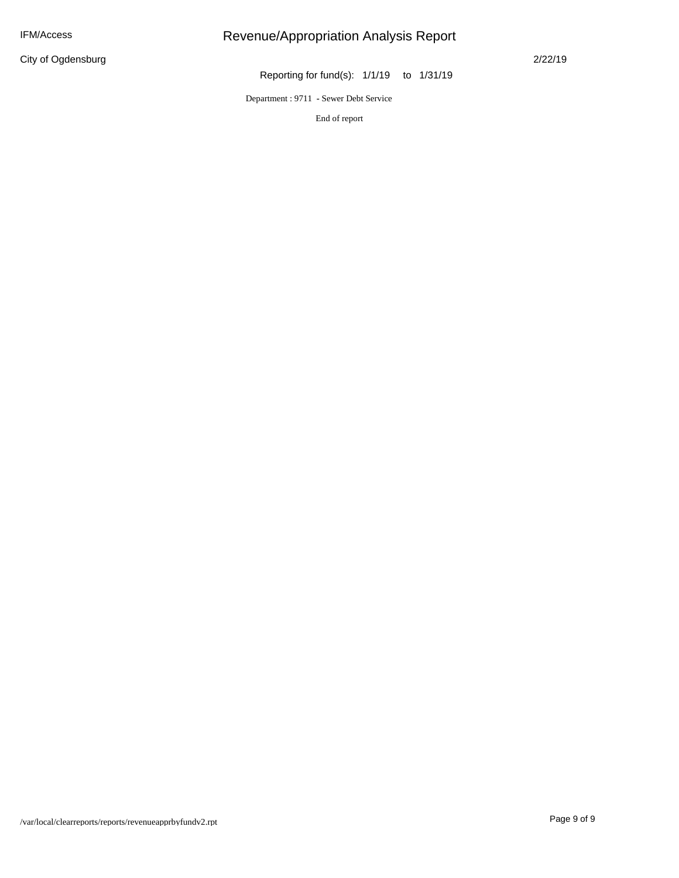City of Ogdensburg

# Revenue/Appropriation Analysis Report

2/22/19

Reporting for fund(s): 1/1/19 to 1/31/19

Department : 9711 **-** Sewer Debt Service

End of report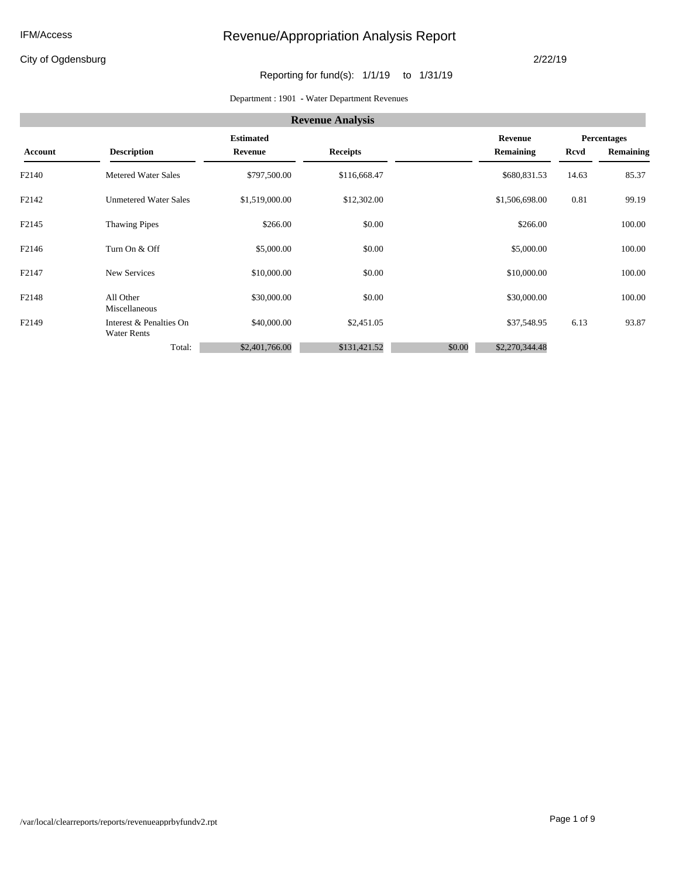City of Ogdensburg

#### 2/22/19

### Reporting for fund(s): 1/1/19 to 1/31/19

#### Department : 1901 **-** Water Department Revenues

| <b>Revenue Analysis</b>        |                                               |                |                 |        |                    |             |           |  |  |  |
|--------------------------------|-----------------------------------------------|----------------|-----------------|--------|--------------------|-------------|-----------|--|--|--|
|                                |                                               |                | Revenue         |        | <b>Percentages</b> |             |           |  |  |  |
| Account                        | <b>Description</b>                            | Revenue        | <b>Receipts</b> |        | Remaining          | <b>Rcvd</b> | Remaining |  |  |  |
| F <sub>2140</sub>              | Metered Water Sales                           | \$797,500.00   | \$116,668.47    |        | \$680,831.53       | 14.63       | 85.37     |  |  |  |
| F <sub>2</sub> 14 <sub>2</sub> | <b>Unmetered Water Sales</b>                  | \$1,519,000.00 | \$12,302.00     |        | \$1,506,698.00     | 0.81        | 99.19     |  |  |  |
| F <sub>2145</sub>              | Thawing Pipes                                 | \$266.00       | \$0.00          |        | \$266.00           |             | 100.00    |  |  |  |
| F <sub>2146</sub>              | Turn On & Off                                 | \$5,000.00     | \$0.00          |        | \$5,000.00         |             | 100.00    |  |  |  |
| F <sub>2147</sub>              | New Services                                  | \$10,000.00    | \$0.00          |        | \$10,000.00        |             | 100.00    |  |  |  |
| F2148                          | All Other<br>Miscellaneous                    | \$30,000.00    | \$0.00          |        | \$30,000.00        |             | 100.00    |  |  |  |
| F <sub>2149</sub>              | Interest & Penalties On<br><b>Water Rents</b> | \$40,000.00    | \$2,451.05      |        | \$37,548.95        | 6.13        | 93.87     |  |  |  |
|                                | Total:                                        | \$2,401,766.00 | \$131,421.52    | \$0.00 | \$2,270,344.48     |             |           |  |  |  |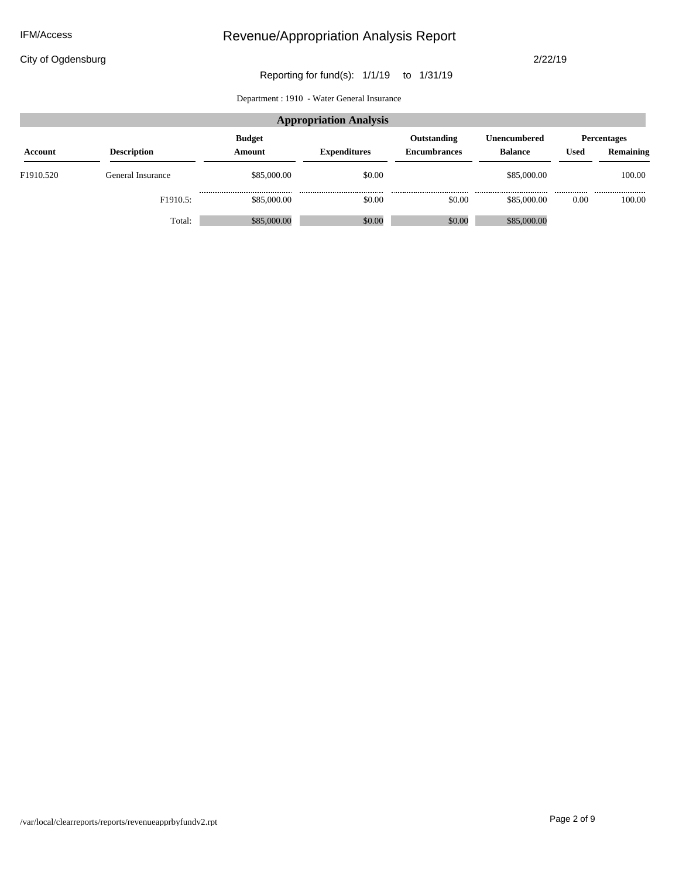City of Ogdensburg

2/22/19

### Reporting for fund(s): 1/1/19 to 1/31/19

Department : 1910 **-** Water General Insurance

| <b>Appropriation Analysis</b> |                    |                         |                     |                                    |                                |          |                                 |  |  |  |
|-------------------------------|--------------------|-------------------------|---------------------|------------------------------------|--------------------------------|----------|---------------------------------|--|--|--|
| Account                       | <b>Description</b> | <b>Budget</b><br>Amount | <b>Expenditures</b> | Outstanding<br><b>Encumbrances</b> | Unencumbered<br><b>Balance</b> | Used     | <b>Percentages</b><br>Remaining |  |  |  |
| F <sub>1910.520</sub>         | General Insurance  | \$85,000.00             | \$0.00              |                                    | \$85,000.00                    |          | 100.00                          |  |  |  |
|                               | F1910.5:           | \$85,000.00             | \$0.00              | <br>\$0.00                         | <br>\$85,000.00                | <br>0.00 | <br>100.00                      |  |  |  |
|                               | Total:             | \$85,000.00             | \$0.00              | \$0.00                             | \$85,000.00                    |          |                                 |  |  |  |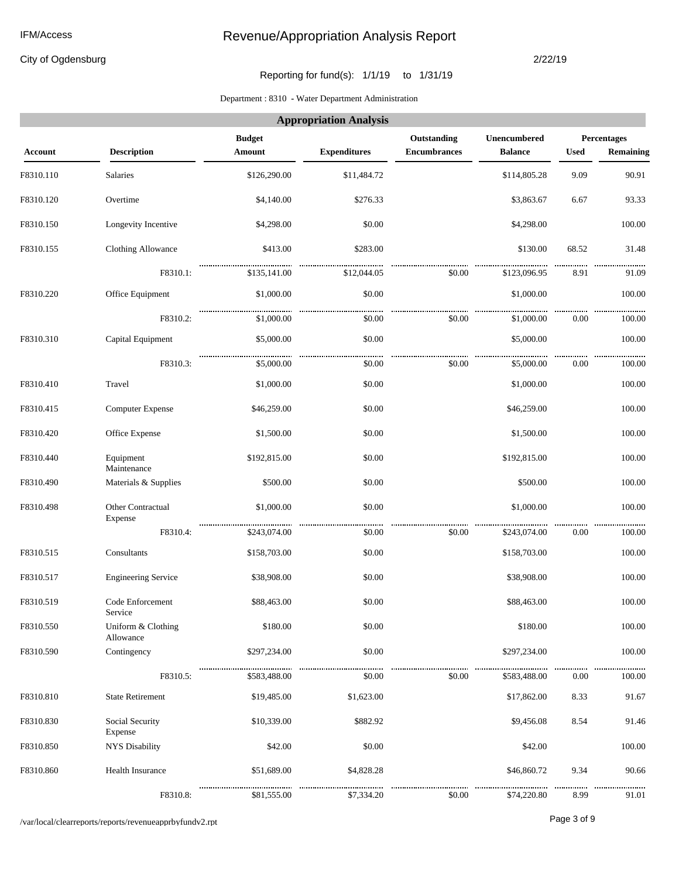City of Ogdensburg

#### 2/22/19

### Reporting for fund(s): 1/1/19 to 1/31/19

#### Department : 8310 **-** Water Department Administration

| <b>Appropriation Analysis</b> |                                 |                         |                     |                                    |                                |             |                          |  |  |  |
|-------------------------------|---------------------------------|-------------------------|---------------------|------------------------------------|--------------------------------|-------------|--------------------------|--|--|--|
| <b>Account</b>                | <b>Description</b>              | <b>Budget</b><br>Amount | <b>Expenditures</b> | Outstanding<br><b>Encumbrances</b> | Unencumbered<br><b>Balance</b> | <b>Used</b> | Percentages<br>Remaining |  |  |  |
| F8310.110                     | Salaries                        | \$126,290.00            | \$11,484.72         |                                    | \$114,805.28                   | 9.09        | 90.91                    |  |  |  |
| F8310.120                     | Overtime                        | \$4,140.00              | \$276.33            |                                    | \$3,863.67                     | 6.67        | 93.33                    |  |  |  |
| F8310.150                     | Longevity Incentive             | \$4,298.00              | \$0.00              |                                    | \$4,298.00                     |             | 100.00                   |  |  |  |
| F8310.155                     | Clothing Allowance              | \$413.00                | \$283.00            |                                    | \$130.00                       | 68.52       | 31.48                    |  |  |  |
|                               | F8310.1:                        | \$135,141.00            | \$12,044.05         | \$0.00                             | \$123,096.95                   | 8.91        | 91.09                    |  |  |  |
| F8310.220                     | Office Equipment                | \$1,000.00              | \$0.00              |                                    | \$1,000.00                     |             | 100.00                   |  |  |  |
|                               | F8310.2:                        | \$1,000.00              | \$0.00              | \$0.00                             | \$1,000.00                     | 0.00        | <br>100.00               |  |  |  |
| F8310.310                     | Capital Equipment               | \$5,000.00              | \$0.00              |                                    | \$5,000.00                     |             | 100.00                   |  |  |  |
|                               | F8310.3:                        | \$5,000.00              | \$0.00              | \$0.00                             | \$5,000.00                     | 0.00        | 100.00                   |  |  |  |
| F8310.410                     | Travel                          | \$1,000.00              | \$0.00              |                                    | \$1,000.00                     |             | 100.00                   |  |  |  |
| F8310.415                     | <b>Computer Expense</b>         | \$46,259.00             | \$0.00              |                                    | \$46,259.00                    |             | 100.00                   |  |  |  |
| F8310.420                     | Office Expense                  | \$1,500.00              | \$0.00              |                                    | \$1,500.00                     |             | 100.00                   |  |  |  |
| F8310.440                     | Equipment<br>Maintenance        | \$192,815.00            | \$0.00              |                                    | \$192,815.00                   |             | 100.00                   |  |  |  |
| F8310.490                     | Materials & Supplies            | \$500.00                | \$0.00              |                                    | \$500.00                       |             | 100.00                   |  |  |  |
| F8310.498                     | Other Contractual<br>Expense    | \$1,000.00              | \$0.00              |                                    | \$1,000.00                     |             | 100.00                   |  |  |  |
|                               | F8310.4:                        | \$243,074.00            | \$0.00              | \$0.00                             | \$243,074.00                   | 0.00        | 100.00                   |  |  |  |
| F8310.515                     | Consultants                     | \$158,703.00            | \$0.00              |                                    | \$158,703.00                   |             | 100.00                   |  |  |  |
| F8310.517                     | <b>Engineering Service</b>      | \$38,908.00             | \$0.00              |                                    | \$38,908.00                    |             | 100.00                   |  |  |  |
| F8310.519                     | Code Enforcement<br>Service     | \$88,463.00             | \$0.00              |                                    | \$88,463.00                    |             | 100.00                   |  |  |  |
| F8310.550                     | Uniform & Clothing<br>Allowance | \$180.00                | \$0.00              |                                    | \$180.00                       |             | 100.00                   |  |  |  |
| F8310.590                     | Contingency                     | \$297,234.00            | \$0.00              |                                    | \$297,234.00                   |             | 100.00                   |  |  |  |
|                               | F8310.5:                        | \$583,488.00            | \$0.00              | \$0.00                             | \$583,488.00                   | 0.00        | 100.00                   |  |  |  |
| F8310.810                     | <b>State Retirement</b>         | \$19,485.00             | \$1,623.00          |                                    | \$17,862.00                    | 8.33        | 91.67                    |  |  |  |
| F8310.830                     | Social Security<br>Expense      | \$10,339.00             | \$882.92            |                                    | \$9,456.08                     | 8.54        | 91.46                    |  |  |  |
| F8310.850                     | <b>NYS Disability</b>           | \$42.00                 | \$0.00              |                                    | \$42.00                        |             | 100.00                   |  |  |  |
| F8310.860                     | Health Insurance                | \$51,689.00             | \$4,828.28          |                                    | \$46,860.72                    | 9.34        | 90.66                    |  |  |  |
|                               | F8310.8:                        | \$81,555.00             | \$7,334.20          | \$0.00                             | \$74,220.80                    | 8.99        | 91.01                    |  |  |  |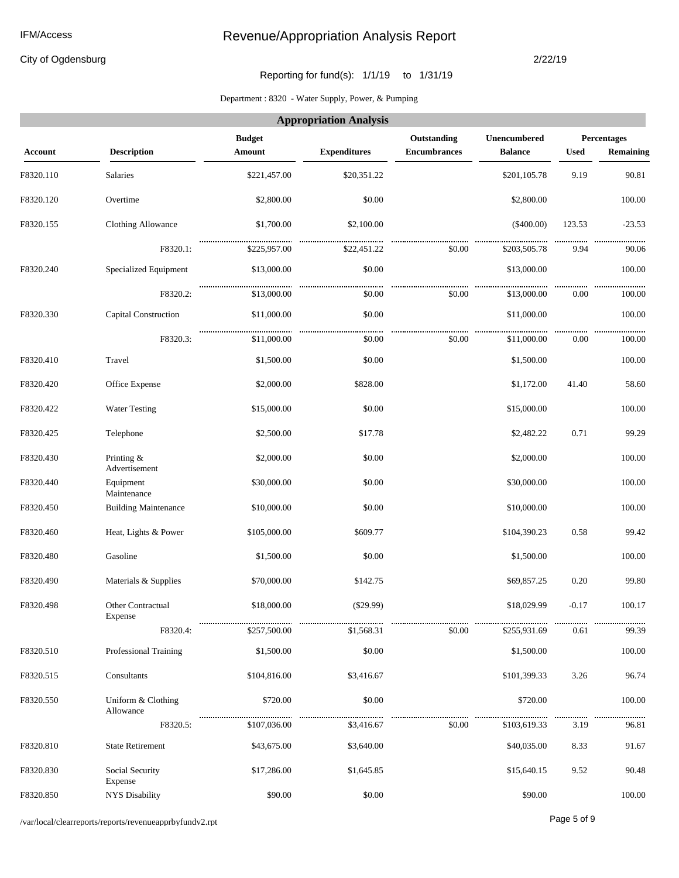City of Ogdensburg

#### 2/22/19

### Reporting for fund(s): 1/1/19 to 1/31/19

#### Department : 8320 **-** Water Supply, Power, & Pumping

|                |                                 |                         | <b>Appropriation Analysis</b> |                                    |                                |             |                          |
|----------------|---------------------------------|-------------------------|-------------------------------|------------------------------------|--------------------------------|-------------|--------------------------|
| <b>Account</b> | <b>Description</b>              | <b>Budget</b><br>Amount | <b>Expenditures</b>           | Outstanding<br><b>Encumbrances</b> | Unencumbered<br><b>Balance</b> | <b>Used</b> | Percentages<br>Remaining |
| F8320.110      | <b>Salaries</b>                 | \$221,457.00            | \$20,351.22                   |                                    | \$201,105.78                   | 9.19        | 90.81                    |
| F8320.120      | Overtime                        | \$2,800.00              | \$0.00                        |                                    | \$2,800.00                     |             | 100.00                   |
| F8320.155      | <b>Clothing Allowance</b>       | \$1,700.00              | \$2,100.00                    |                                    | $(\$400.00)$                   | 123.53      | $-23.53$                 |
|                | F8320.1:                        | \$225,957.00            | \$22,451.22                   | \$0.00                             | \$203,505.78                   | 9.94        | 90.06                    |
| F8320.240      | Specialized Equipment           | \$13,000.00             | \$0.00                        |                                    | \$13,000.00                    |             | 100.00                   |
|                | F8320.2:                        | \$13,000.00             | \$0.00                        | \$0.00                             | \$13,000.00                    | 0.00        | 100.00                   |
| F8320.330      | Capital Construction            | \$11,000.00             | \$0.00                        |                                    | \$11,000.00                    |             | 100.00                   |
|                | F8320.3:                        | \$11,000.00             | \$0.00                        | \$0.00                             | \$11,000.00                    | 0.00        | 100.00                   |
| F8320.410      | Travel                          | \$1,500.00              | \$0.00                        |                                    | \$1,500.00                     |             | 100.00                   |
| F8320.420      | Office Expense                  | \$2,000.00              | \$828.00                      |                                    | \$1,172.00                     | 41.40       | 58.60                    |
| F8320.422      | <b>Water Testing</b>            | \$15,000.00             | \$0.00                        |                                    | \$15,000.00                    |             | 100.00                   |
| F8320.425      | Telephone                       | \$2,500.00              | \$17.78                       |                                    | \$2,482.22                     | 0.71        | 99.29                    |
| F8320.430      | Printing $&$<br>Advertisement   | \$2,000.00              | \$0.00                        |                                    | \$2,000.00                     |             | 100.00                   |
| F8320.440      | Equipment<br>Maintenance        | \$30,000.00             | \$0.00                        |                                    | \$30,000.00                    |             | 100.00                   |
| F8320.450      | <b>Building Maintenance</b>     | \$10,000.00             | \$0.00                        |                                    | \$10,000.00                    |             | 100.00                   |
| F8320.460      | Heat, Lights & Power            | \$105,000.00            | \$609.77                      |                                    | \$104,390.23                   | 0.58        | 99.42                    |
| F8320.480      | Gasoline                        | \$1,500.00              | \$0.00                        |                                    | \$1,500.00                     |             | 100.00                   |
| F8320.490      | Materials & Supplies            | \$70,000.00             | \$142.75                      |                                    | \$69,857.25                    | 0.20        | 99.80                    |
| F8320.498      | Other Contractual<br>Expense    | \$18,000.00             | $(\$29.99)$                   |                                    | \$18,029.99                    | $-0.17$     | 100.17                   |
|                | F8320.4:                        | \$257,500.00            | \$1,568.31                    | \$0.00                             | \$255,931.69                   | 0.61        | 99.39                    |
| F8320.510      | Professional Training           | \$1,500.00              | \$0.00                        |                                    | \$1,500.00                     |             | 100.00                   |
| F8320.515      | Consultants                     | \$104,816.00            | \$3,416.67                    |                                    | \$101,399.33                   | 3.26        | 96.74                    |
| F8320.550      | Uniform & Clothing<br>Allowance | \$720.00                | \$0.00                        |                                    | \$720.00                       |             | 100.00                   |
|                | F8320.5:                        | \$107,036.00            | \$3,416.67                    | \$0.00                             | \$103,619.33                   | 3.19        | <br>96.81                |
| F8320.810      | <b>State Retirement</b>         | \$43,675.00             | \$3,640.00                    |                                    | \$40,035.00                    | 8.33        | 91.67                    |
| F8320.830      | Social Security<br>Expense      | \$17,286.00             | \$1,645.85                    |                                    | \$15,640.15                    | 9.52        | 90.48                    |
| F8320.850      | <b>NYS Disability</b>           | \$90.00                 | \$0.00                        |                                    | \$90.00                        |             | 100.00                   |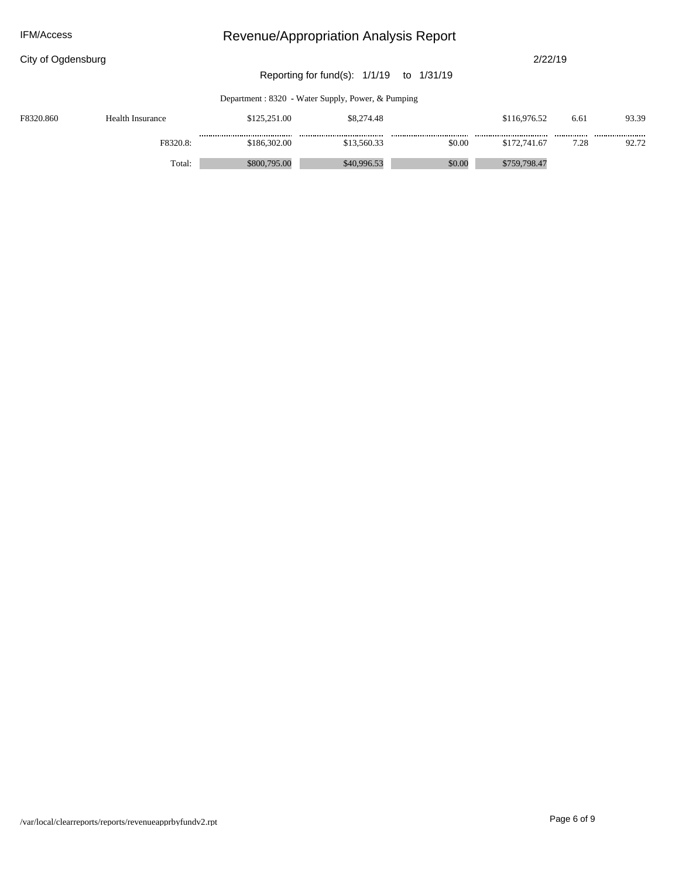| City of Ogdensburg |  |
|--------------------|--|
|--------------------|--|

2/22/19

### Reporting for fund(s): 1/1/19 to 1/31/19

Department : 8320 **-** Water Supply, Power, & Pumping

| F8320.860 | Health Insurance | \$125,251.00 | \$8,274.48  |            | \$116,976.52     | 6.61     | 93.39     |
|-----------|------------------|--------------|-------------|------------|------------------|----------|-----------|
|           | F8320.8:         | \$186,302.00 | \$13,560.33 | <br>\$0.00 | <br>\$172,741.67 | <br>7.28 | <br>92.72 |
|           | Total:           | \$800,795.00 | \$40,996.53 | \$0.00     | \$759,798.47     |          |           |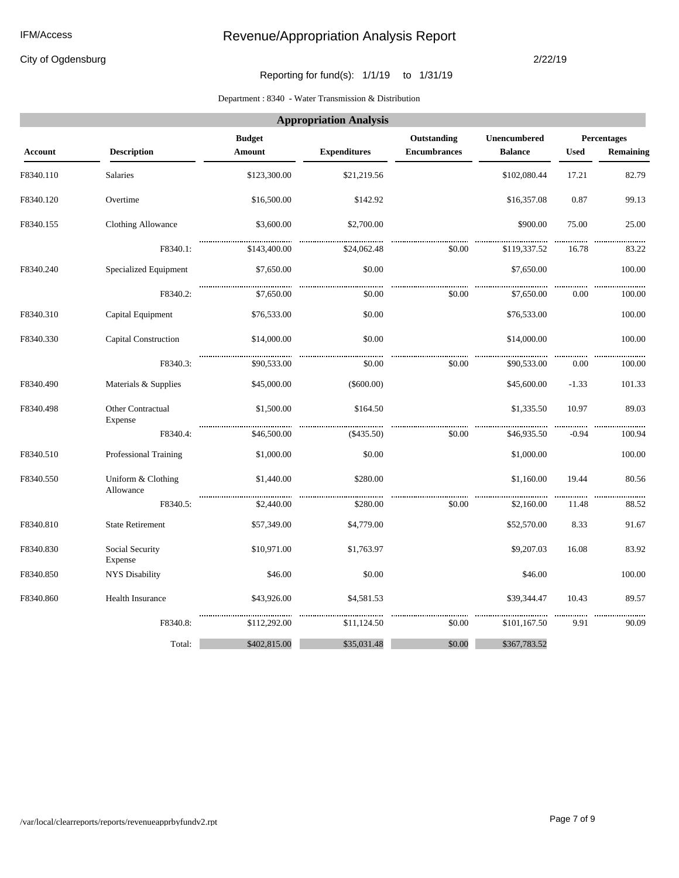City of Ogdensburg

#### 2/22/19

### Reporting for fund(s): 1/1/19 to 1/31/19

#### Department : 8340 **-** Water Transmission & Distribution

|                | <b>Appropriation Analysis</b>   |                         |                     |                                    |                                       |             |                          |  |  |  |  |
|----------------|---------------------------------|-------------------------|---------------------|------------------------------------|---------------------------------------|-------------|--------------------------|--|--|--|--|
| <b>Account</b> | <b>Description</b>              | <b>Budget</b><br>Amount | <b>Expenditures</b> | Outstanding<br><b>Encumbrances</b> | <b>Unencumbered</b><br><b>Balance</b> | <b>Used</b> | Percentages<br>Remaining |  |  |  |  |
| F8340.110      | <b>Salaries</b>                 | \$123,300.00            | \$21,219.56         |                                    | \$102,080.44                          | 17.21       | 82.79                    |  |  |  |  |
| F8340.120      | Overtime                        | \$16,500.00             | \$142.92            |                                    | \$16,357.08                           | 0.87        | 99.13                    |  |  |  |  |
| F8340.155      | Clothing Allowance              | \$3,600.00              | \$2,700.00          |                                    | \$900.00                              | 75.00       | 25.00                    |  |  |  |  |
|                | F8340.1:                        | \$143,400.00            | \$24,062.48         | \$0.00                             | \$119,337.52                          | 16.78       | <br>83.22                |  |  |  |  |
| F8340.240      | Specialized Equipment           | \$7,650.00              | \$0.00              |                                    | \$7,650.00                            |             | 100.00                   |  |  |  |  |
|                | F8340.2:                        | \$7,650.00              | \$0.00              | \$0.00                             | \$7,650.00                            | 0.00        | .<br>100.00              |  |  |  |  |
| F8340.310      | Capital Equipment               | \$76,533.00             | \$0.00              |                                    | \$76,533.00                           |             | 100.00                   |  |  |  |  |
| F8340.330      | Capital Construction            | \$14,000.00             | \$0.00              |                                    | \$14,000.00                           |             | 100.00                   |  |  |  |  |
|                | F8340.3:                        | \$90,533.00             | \$0.00              | \$0.00                             | \$90,533.00                           | 0.00        | 100.00                   |  |  |  |  |
| F8340.490      | Materials & Supplies            | \$45,000.00             | $(\$600.00)$        |                                    | \$45,600.00                           | $-1.33$     | 101.33                   |  |  |  |  |
| F8340.498      | Other Contractual<br>Expense    | \$1,500.00              | \$164.50            |                                    | \$1,335.50                            | 10.97       | 89.03                    |  |  |  |  |
|                | F8340.4:                        | \$46,500.00             | $(\$435.50)$        | \$0.00                             | \$46,935.50                           | $-0.94$     | 100.94                   |  |  |  |  |
| F8340.510      | Professional Training           | \$1,000.00              | \$0.00              |                                    | \$1,000.00                            |             | 100.00                   |  |  |  |  |
| F8340.550      | Uniform & Clothing<br>Allowance | \$1,440.00              | \$280.00            |                                    | \$1,160.00                            | 19.44       | 80.56                    |  |  |  |  |
|                | F8340.5:                        | \$2,440.00              | \$280.00            | \$0.00                             | \$2,160.00                            | 11.48       | 88.52                    |  |  |  |  |
| F8340.810      | <b>State Retirement</b>         | \$57,349.00             | \$4,779.00          |                                    | \$52,570.00                           | 8.33        | 91.67                    |  |  |  |  |
| F8340.830      | Social Security<br>Expense      | \$10,971.00             | \$1,763.97          |                                    | \$9,207.03                            | 16.08       | 83.92                    |  |  |  |  |
| F8340.850      | <b>NYS Disability</b>           | \$46.00                 | \$0.00              |                                    | \$46.00                               |             | 100.00                   |  |  |  |  |
| F8340.860      | <b>Health Insurance</b>         | \$43,926.00             | \$4,581.53          |                                    | \$39,344.47                           | 10.43       | 89.57                    |  |  |  |  |
|                | F8340.8:                        | \$112,292.00            | \$11,124.50         | \$0.00                             | \$101,167.50                          | 9.91        | 90.09                    |  |  |  |  |
|                | Total:                          | \$402,815.00            | \$35,031.48         | \$0.00                             | \$367,783.52                          |             |                          |  |  |  |  |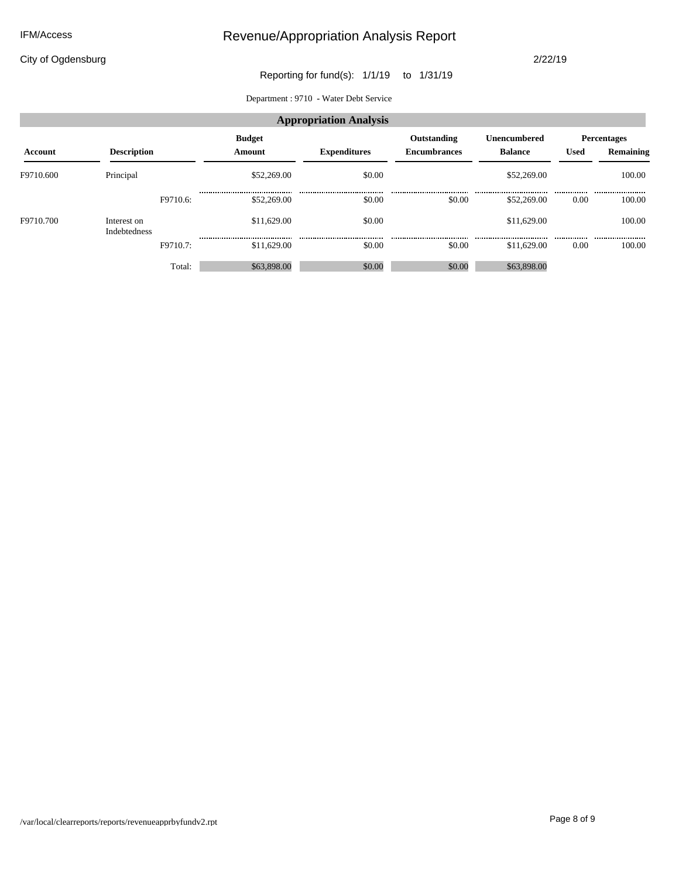City of Ogdensburg

2/22/19

### Reporting for fund(s): 1/1/19 to 1/31/19

Department : 9710 **-** Water Debt Service

| <b>Appropriation Analysis</b> |                             |          |             |                                                |                                    |                                       |             |                                 |  |  |
|-------------------------------|-----------------------------|----------|-------------|------------------------------------------------|------------------------------------|---------------------------------------|-------------|---------------------------------|--|--|
| Account                       | <b>Description</b>          |          |             | <b>Budget</b><br><b>Expenditures</b><br>Amount | Outstanding<br><b>Encumbrances</b> | <b>Unencumbered</b><br><b>Balance</b> | <b>Used</b> | <b>Percentages</b><br>Remaining |  |  |
| F9710.600                     | Principal                   |          | \$52,269.00 | \$0.00                                         |                                    | \$52,269.00                           |             | 100.00                          |  |  |
|                               |                             | F9710.6: | \$52,269.00 | \$0.00                                         | \$0.00                             | \$52,269.00                           | <br>0.00    | <br>100.00                      |  |  |
| F9710.700                     | Interest on<br>Indebtedness |          | \$11,629.00 | \$0.00                                         |                                    | \$11,629.00                           |             | 100.00                          |  |  |
|                               |                             | F9710.7: | \$11,629.00 | <br>\$0.00                                     | \$0.00                             | <br>\$11,629.00                       | <br>0.00    | <br>100.00                      |  |  |
|                               |                             | Total:   | \$63,898.00 | \$0.00                                         | \$0.00                             | \$63,898.00                           |             |                                 |  |  |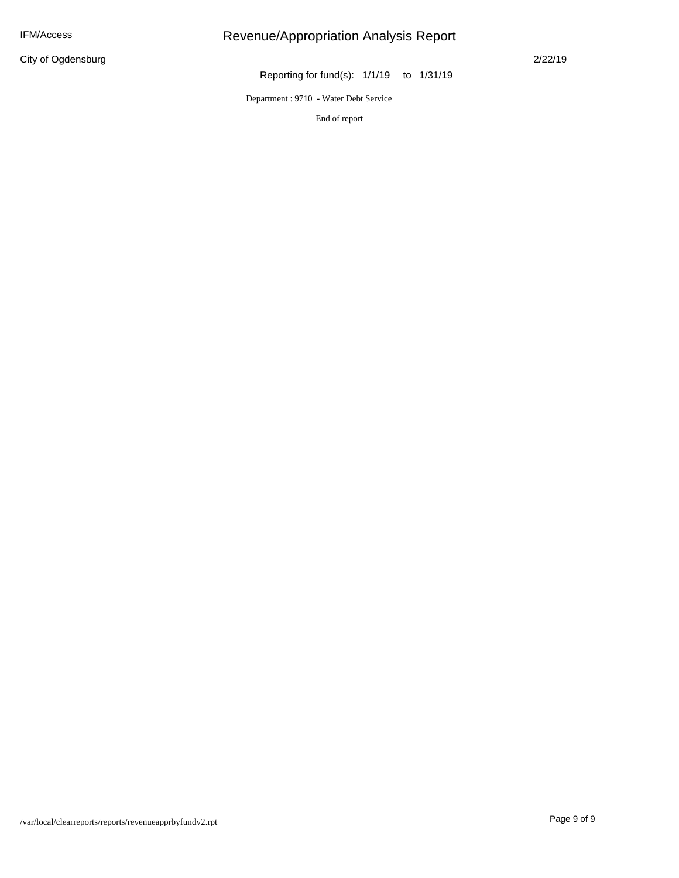City of Ogdensburg

# Revenue/Appropriation Analysis Report

2/22/19

Reporting for fund(s): 1/1/19 to 1/31/19

Department : 9710 **-** Water Debt Service

End of report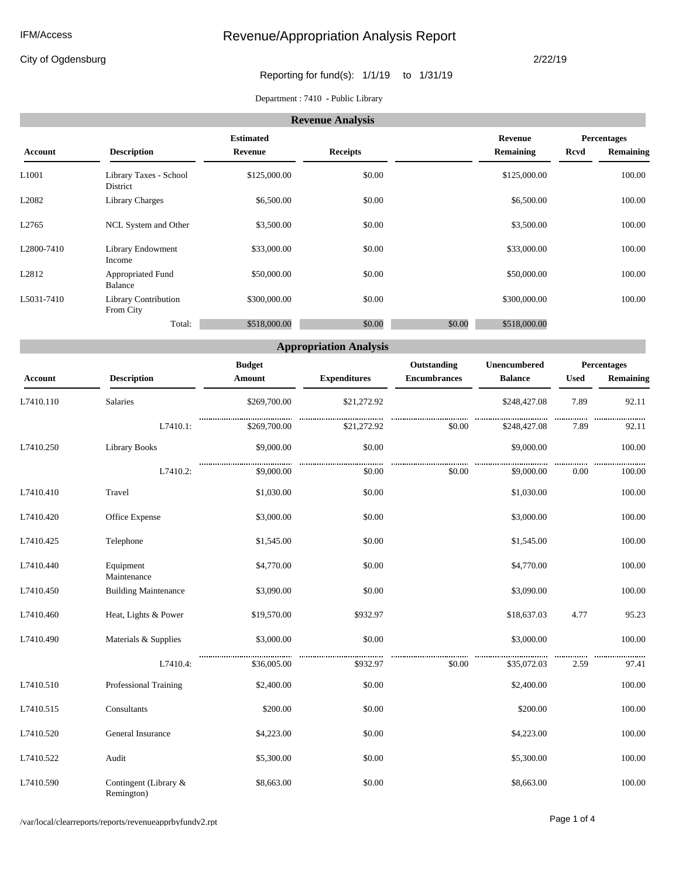City of Ogdensburg

#### 2/22/19

### Reporting for fund(s): 1/1/19 to 1/31/19

Department : 7410 **-** Public Library

| <b>Revenue Analysis</b> |                                    |                  |                 |                        |                    |           |  |  |  |  |
|-------------------------|------------------------------------|------------------|-----------------|------------------------|--------------------|-----------|--|--|--|--|
|                         |                                    | <b>Estimated</b> | Revenue         |                        | <b>Percentages</b> |           |  |  |  |  |
| <b>Account</b>          | <b>Description</b>                 | Revenue          | <b>Receipts</b> | Remaining              | <b>Rcvd</b>        | Remaining |  |  |  |  |
| L <sub>1001</sub>       | Library Taxes - School<br>District | \$125,000.00     | \$0.00          | \$125,000.00           |                    | 100.00    |  |  |  |  |
| L2082                   | <b>Library Charges</b>             | \$6,500.00       | \$0.00          | \$6,500.00             |                    | 100.00    |  |  |  |  |
| L2765                   | NCL System and Other               | \$3,500.00       | \$0.00          | \$3,500.00             |                    | 100.00    |  |  |  |  |
| L <sub>2800</sub> -7410 | Library Endowment<br>Income        | \$33,000.00      | \$0.00          | \$33,000.00            |                    | 100.00    |  |  |  |  |
| L2812                   | Appropriated Fund<br>Balance       | \$50,000.00      | \$0.00          | \$50,000.00            |                    | 100.00    |  |  |  |  |
| L5031-7410              | Library Contribution<br>From City  | \$300,000.00     | \$0.00          | \$300,000.00           |                    | 100.00    |  |  |  |  |
|                         | Total:                             | \$518,000.00     | \$0.00          | \$0.00<br>\$518,000.00 |                    |           |  |  |  |  |

#### **Appropriation Analysis**

|                |                                     | <b>Budget</b> |                     | Outstanding         | Unencumbered   | Percentages |            |
|----------------|-------------------------------------|---------------|---------------------|---------------------|----------------|-------------|------------|
| <b>Account</b> | <b>Description</b>                  | Amount        | <b>Expenditures</b> | <b>Encumbrances</b> | <b>Balance</b> | <b>Used</b> | Remaining  |
| L7410.110      | Salaries                            | \$269,700.00  | \$21,272.92         |                     | \$248,427.08   | 7.89        | 92.11      |
|                | L7410.1:                            | \$269,700.00  | \$21,272.92         | \$0.00              | \$248,427.08   | 7.89        | .<br>92.11 |
| L7410.250      | Library Books                       | \$9,000.00    | \$0.00              |                     | \$9,000.00     |             | 100.00     |
|                | L7410.2:                            | \$9,000.00    | \$0.00              | \$0.00              | \$9,000.00     | 0.00        | 100.00     |
| L7410.410      | Travel                              | \$1,030.00    | \$0.00              |                     | \$1,030.00     |             | 100.00     |
| L7410.420      | Office Expense                      | \$3,000.00    | \$0.00              |                     | \$3,000.00     |             | 100.00     |
| L7410.425      | Telephone                           | \$1,545.00    | \$0.00              |                     | \$1,545.00     |             | 100.00     |
| L7410.440      | Equipment<br>Maintenance            | \$4,770.00    | \$0.00              |                     | \$4,770.00     |             | 100.00     |
| L7410.450      | <b>Building Maintenance</b>         | \$3,090.00    | \$0.00              |                     | \$3,090.00     |             | 100.00     |
| L7410.460      | Heat, Lights & Power                | \$19,570.00   | \$932.97            |                     | \$18,637.03    | 4.77        | 95.23      |
| L7410.490      | Materials & Supplies                | \$3,000.00    | \$0.00              |                     | \$3,000.00     |             | 100.00     |
|                | L7410.4:                            | \$36,005.00   | \$932.97            | \$0.00              | \$35,072.03    | 2.59        | 97.41      |
| L7410.510      | Professional Training               | \$2,400.00    | \$0.00              |                     | \$2,400.00     |             | 100.00     |
| L7410.515      | Consultants                         | \$200.00      | \$0.00              |                     | \$200.00       |             | 100.00     |
| L7410.520      | General Insurance                   | \$4,223.00    | \$0.00              |                     | \$4,223.00     |             | 100.00     |
| L7410.522      | Audit                               | \$5,300.00    | \$0.00              |                     | \$5,300.00     |             | 100.00     |
| L7410.590      | Contingent (Library &<br>Remington) | \$8,663.00    | \$0.00              |                     | \$8,663.00     |             | 100.00     |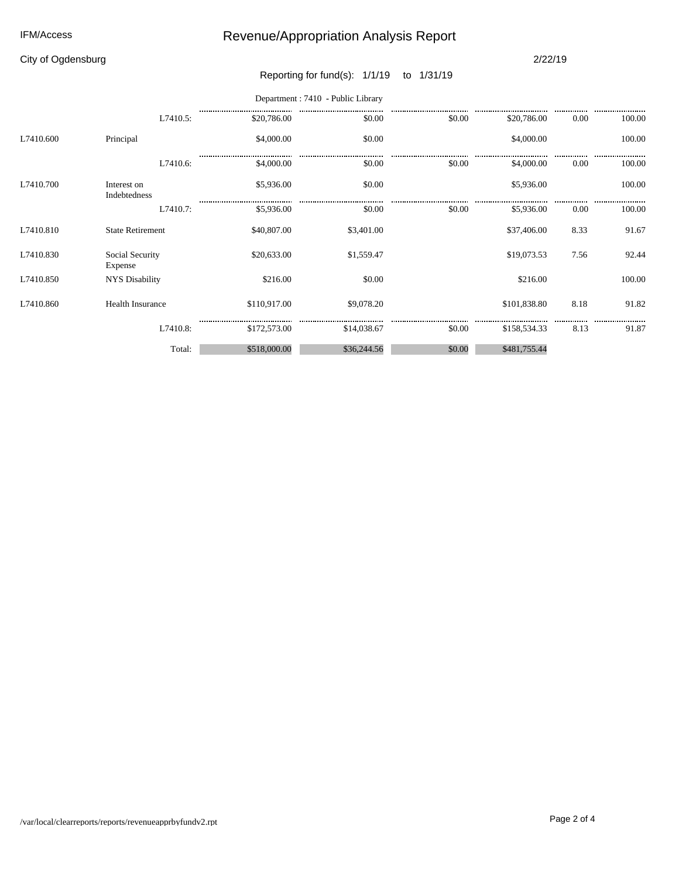### City of Ogdensburg

#### 2/22/19

# Reporting for fund(s): 1/1/19 to 1/31/19

|           |                             |          |              | Department: 7410 - Public Library |            |                 |          |            |
|-----------|-----------------------------|----------|--------------|-----------------------------------|------------|-----------------|----------|------------|
|           |                             | L7410.5: | \$20,786.00  | \$0.00                            | <br>\$0.00 | <br>\$20,786.00 | <br>0.00 | <br>100.00 |
| L7410.600 | Principal                   |          | \$4,000.00   | \$0.00                            |            | \$4,000.00      |          | 100.00     |
|           |                             | L7410.6: | \$4,000.00   | \$0.00                            | \$0.00     | \$4,000.00      | 0.00     | 100.00     |
| L7410.700 | Interest on<br>Indebtedness |          | \$5,936.00   | \$0.00                            |            | \$5,936.00      |          | 100.00     |
|           |                             | L7410.7: | \$5,936.00   | \$0.00                            | \$0.00     | <br>\$5,936.00  | <br>0.00 | <br>100.00 |
| L7410.810 | <b>State Retirement</b>     |          | \$40,807.00  | \$3,401.00                        |            | \$37,406.00     | 8.33     | 91.67      |
| L7410.830 | Social Security<br>Expense  |          | \$20,633.00  | \$1,559.47                        |            | \$19,073.53     | 7.56     | 92.44      |
| L7410.850 | <b>NYS Disability</b>       |          | \$216.00     | \$0.00                            |            | \$216.00        |          | 100.00     |
| L7410.860 | Health Insurance            |          | \$110,917.00 | \$9,078.20                        |            | \$101,838.80    | 8.18     | 91.82      |
|           |                             | L7410.8: | \$172,573.00 | \$14,038.67                       | \$0.00     | \$158,534.33    | 8.13     | <br>91.87  |
|           |                             | Total:   | \$518,000.00 | \$36,244.56                       | \$0.00     | \$481,755.44    |          |            |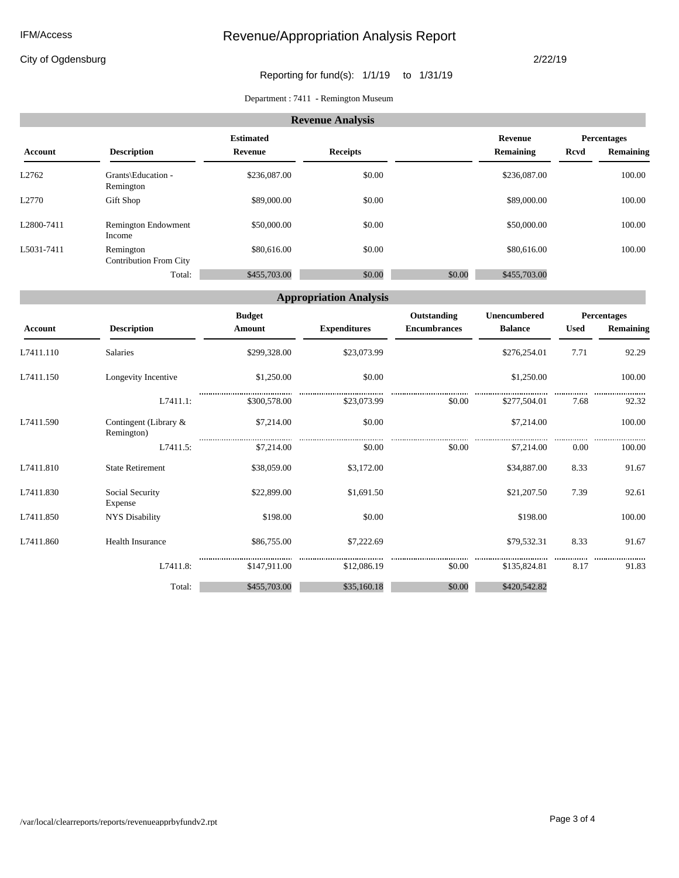City of Ogdensburg

2/22/19

# Reporting for fund(s): 1/1/19 to 1/31/19

Department : 7411 **-** Remington Museum

| <b>Revenue Analysis</b> |                                     |              |                 |        |                    |             |           |  |  |  |  |  |
|-------------------------|-------------------------------------|--------------|-----------------|--------|--------------------|-------------|-----------|--|--|--|--|--|
|                         |                                     |              | Revenue         |        | <b>Percentages</b> |             |           |  |  |  |  |  |
| Account                 | <b>Description</b>                  | Revenue      | <b>Receipts</b> |        | Remaining          | <b>Rcvd</b> | Remaining |  |  |  |  |  |
| L <sub>2762</sub>       | Grants\Education -<br>Remington     | \$236,087.00 | \$0.00          |        | \$236,087.00       |             | 100.00    |  |  |  |  |  |
| L2770                   | Gift Shop                           | \$89,000.00  | \$0.00          |        | \$89,000.00        |             | 100.00    |  |  |  |  |  |
| L2800-7411              | Remington Endowment<br>Income       | \$50,000.00  | \$0.00          |        | \$50,000.00        |             | 100.00    |  |  |  |  |  |
| L5031-7411              | Remington<br>Contribution From City | \$80,616.00  | \$0.00          |        | \$80,616.00        |             | 100.00    |  |  |  |  |  |
|                         | Total:                              | \$455,703.00 | \$0.00          | \$0.00 | \$455,703.00       |             |           |  |  |  |  |  |

| <b>Appropriation Analysis</b> |                                     |                         |                     |                                    |                                |             |           |  |  |  |  |  |
|-------------------------------|-------------------------------------|-------------------------|---------------------|------------------------------------|--------------------------------|-------------|-----------|--|--|--|--|--|
|                               | <b>Description</b>                  | <b>Budget</b><br>Amount | <b>Expenditures</b> | Outstanding<br><b>Encumbrances</b> | Unencumbered<br><b>Balance</b> | Percentages |           |  |  |  |  |  |
| Account                       |                                     |                         |                     |                                    |                                | <b>Used</b> | Remaining |  |  |  |  |  |
| L7411.110                     | Salaries                            | \$299,328.00            | \$23,073.99         |                                    | \$276,254.01                   | 7.71        | 92.29     |  |  |  |  |  |
| L7411.150                     | Longevity Incentive                 | \$1,250.00              | \$0.00              |                                    | \$1,250.00                     |             | 100.00    |  |  |  |  |  |
|                               | L7411.1:                            | \$300,578.00            | \$23,073.99         | \$0.00                             | \$277,504.01                   | 7.68        | 92.32     |  |  |  |  |  |
| L7411.590                     | Contingent (Library &<br>Remington) | \$7,214.00              | \$0.00              |                                    | \$7,214.00                     |             | 100.00    |  |  |  |  |  |
|                               | L7411.5:                            | \$7,214.00              | \$0.00              | \$0.00                             | \$7,214.00                     | 0.00        | 100.00    |  |  |  |  |  |
| L7411.810                     | <b>State Retirement</b>             | \$38,059.00             | \$3,172.00          |                                    | \$34,887.00                    | 8.33        | 91.67     |  |  |  |  |  |
| L7411.830                     | Social Security<br>Expense          | \$22,899.00             | \$1,691.50          |                                    | \$21,207.50                    | 7.39        | 92.61     |  |  |  |  |  |
| L7411.850                     | <b>NYS Disability</b>               | \$198.00                | \$0.00              |                                    | \$198.00                       |             | 100.00    |  |  |  |  |  |
| L7411.860                     | <b>Health Insurance</b>             | \$86,755.00             | \$7,222.69          |                                    | \$79,532.31                    | 8.33        | 91.67     |  |  |  |  |  |
|                               | L7411.8:                            | \$147,911.00            | \$12,086.19         | \$0.00                             | \$135,824.81                   | 8.17        | 91.83     |  |  |  |  |  |
|                               | Total:                              | \$455,703.00            | \$35,160.18         | \$0.00                             | \$420,542.82                   |             |           |  |  |  |  |  |